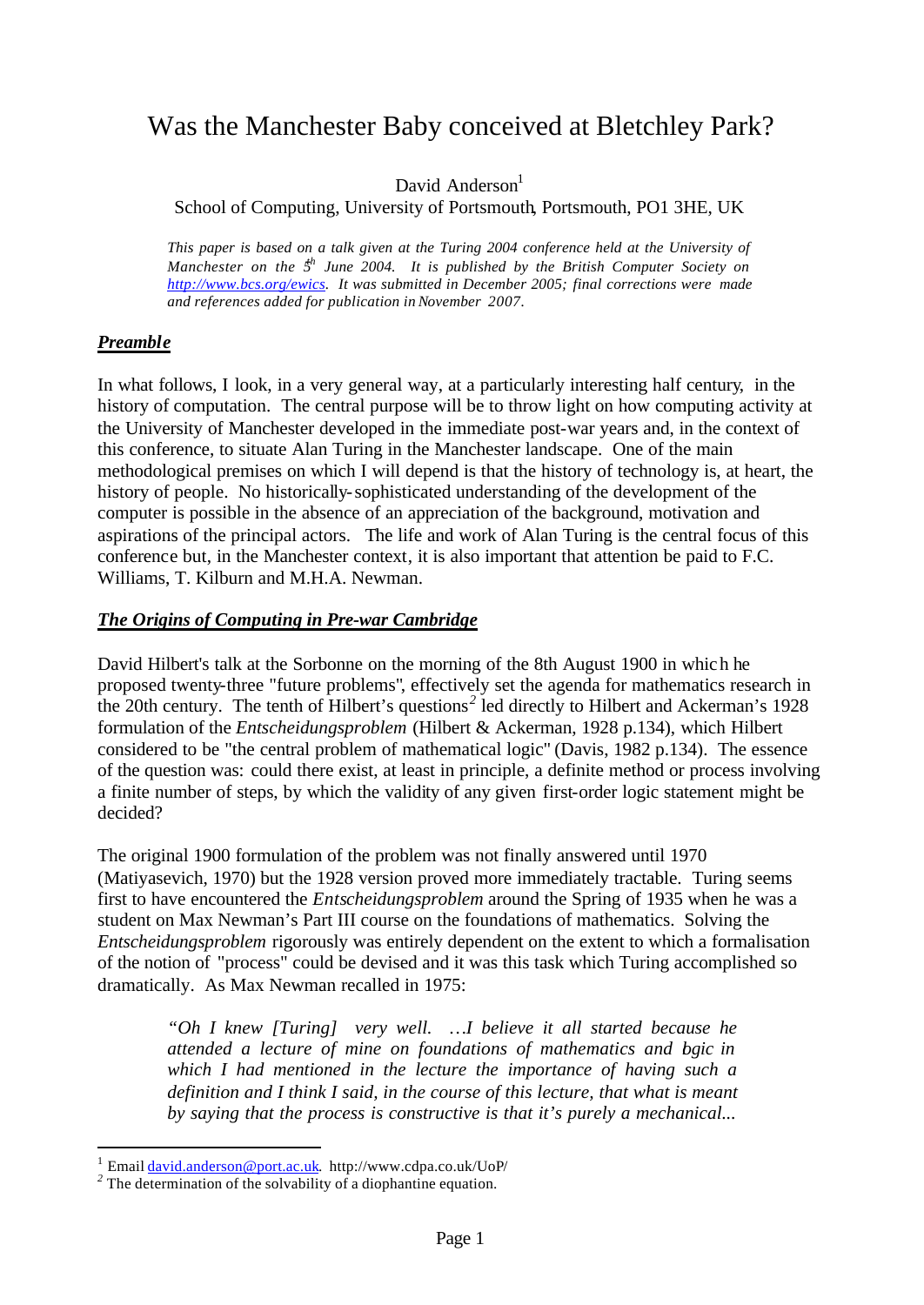# Was the Manchester Baby conceived at Bletchley Park?

David Anderson<sup>1</sup>

School of Computing, University of Portsmouth, Portsmouth, PO1 3HE, UK

*This paper is based on a talk given at the Turing 2004 conference held at the University of Manchester on the 5th June 2004. It is published by the British Computer Society on http://www.bcs.org/ewics. It was submitted in December 2005; final corrections were made and references added for publication in November 2007.*

#### *Preamble*

l

In what follows, I look, in a very general way, at a particularly interesting half century, in the history of computation. The central purpose will be to throw light on how computing activity at the University of Manchester developed in the immediate post-war years and, in the context of this conference, to situate Alan Turing in the Manchester landscape. One of the main methodological premises on which I will depend is that the history of technology is, at heart, the history of people. No historically-sophisticated understanding of the development of the computer is possible in the absence of an appreciation of the background, motivation and aspirations of the principal actors. The life and work of Alan Turing is the central focus of this conference but, in the Manchester context, it is also important that attention be paid to F.C. Williams, T. Kilburn and M.H.A. Newman.

#### *The Origins of Computing in Pre-war Cambridge*

David Hilbert's talk at the Sorbonne on the morning of the 8th August 1900 in which he proposed twenty-three "future problems", effectively set the agenda for mathematics research in the 20th century. The tenth of Hilbert's questions*<sup>2</sup>* led directly to Hilbert and Ackerman's 1928 formulation of the *Entscheidungsproblem* (Hilbert & Ackerman, 1928 p.134), which Hilbert considered to be "the central problem of mathematical logic" (Davis, 1982 p.134). The essence of the question was: could there exist, at least in principle, a definite method or process involving a finite number of steps, by which the validity of any given first-order logic statement might be decided?

The original 1900 formulation of the problem was not finally answered until 1970 (Matiyasevich, 1970) but the 1928 version proved more immediately tractable. Turing seems first to have encountered the *Entscheidungsproblem* around the Spring of 1935 when he was a student on Max Newman's Part III course on the foundations of mathematics. Solving the *Entscheidungsproblem* rigorously was entirely dependent on the extent to which a formalisation of the notion of "process" could be devised and it was this task which Turing accomplished so dramatically. As Max Newman recalled in 1975:

*"Oh I knew [Turing] very well. …I believe it all started because he attended a lecture of mine on foundations of mathematics and logic in which I had mentioned in the lecture the importance of having such a definition and I think I said, in the course of this lecture, that what is meant by saying that the process is constructive is that it's purely a mechanical...* 

<sup>&</sup>lt;sup>1</sup> Email *david.anderson@port.ac.uk.* http://www.cdpa.co.uk/UoP/

 $2^2$  The determination of the solvability of a diophantine equation.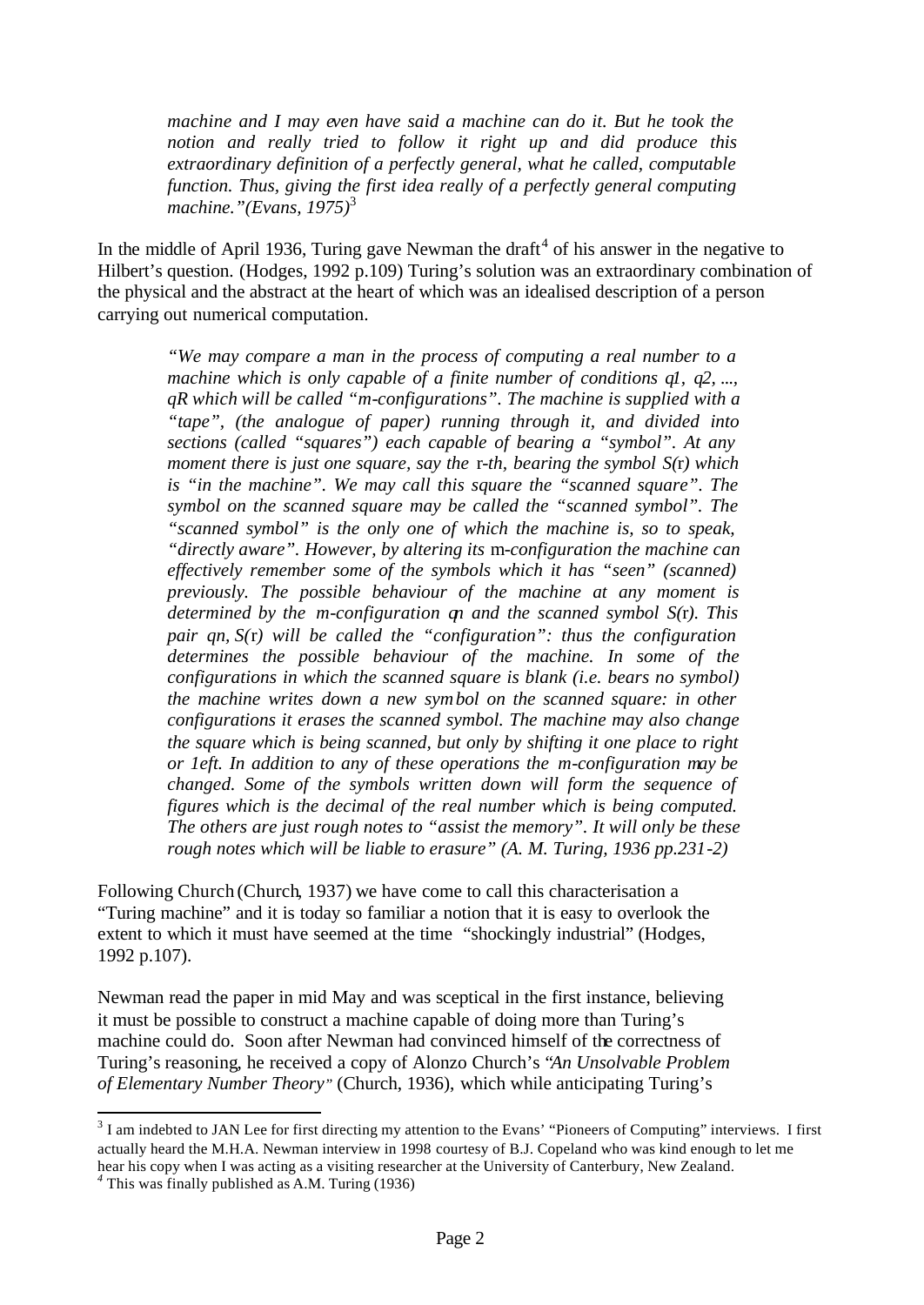*machine and I may even have said a machine can do it. But he took the notion and really tried to follow it right up and did produce this extraordinary definition of a perfectly general, what he called, computable function. Thus, giving the first idea really of a perfectly general computing machine."(Evans, 1975)*<sup>3</sup>

In the middle of April 1936, Turing gave Newman the draft<sup>4</sup> of his answer in the negative to Hilbert's question. (Hodges, 1992 p.109) Turing's solution was an extraordinary combination of the physical and the abstract at the heart of which was an idealised description of a person carrying out numerical computation.

*"We may compare a man in the process of computing a real number to a machine which is only capable of a finite number of conditions al, q2, ..., qR which will be called "m-configurations". The machine is supplied with a "tape", (the analogue of paper) running through it, and divided into sections (called "squares") each capable of bearing a "symbol". At any moment there is just one square, say the* r*-th, bearing the symbol S(*r*) which is "in the machine". We may call this square the "scanned square". The symbol on the scanned square may be called the "scanned symbol". The "scanned symbol" is the only one of which the machine is, so to speak, "directly aware". However, by altering its* m*-configuration the machine can effectively remember some of the symbols which it has "seen" (scanned) previously. The possible behaviour of the machine at any moment is determined by the m-configuration qn and the scanned symbol S(*r*). This pair qn, S(*r*) will be called the "configuration": thus the configuration determines the possible behaviour of the machine. In some of the configurations in which the scanned square is blank (i.e. bears no symbol) the machine writes down a new symbol on the scanned square: in other configurations it erases the scanned symbol. The machine may also change the square which is being scanned, but only by shifting it one place to right or 1eft. In addition to any of these operations the m-configuration may be changed. Some of the symbols written down will form the sequence of figures which is the decimal of the real number which is being computed. The others are just rough notes to "assist the memory". It will only be these rough notes which will be liable to erasure" (A. M. Turing, 1936 pp.231-2)*

Following Church (Church, 1937) we have come to call this characterisation a "Turing machine" and it is today so familiar a notion that it is easy to overlook the extent to which it must have seemed at the time "shockingly industrial" (Hodges, 1992 p.107).

Newman read the paper in mid May and was sceptical in the first instance, believing it must be possible to construct a machine capable of doing more than Turing's machine could do. Soon after Newman had convinced himself of the correctness of Turing's reasoning, he received a copy of Alonzo Church's "*An Unsolvable Problem of Elementary Number Theory"* (Church, 1936), which while anticipating Turing's

 $3$  I am indebted to JAN Lee for first directing my attention to the Evans' "Pioneers of Computing" interviews. I first actually heard the M.H.A. Newman interview in 1998 courtesy of B.J. Copeland who was kind enough to let me hear his copy when I was acting as a visiting researcher at the University of Canterbury, New Zealand.

*<sup>4</sup>* This was finally published as A.M. Turing (1936)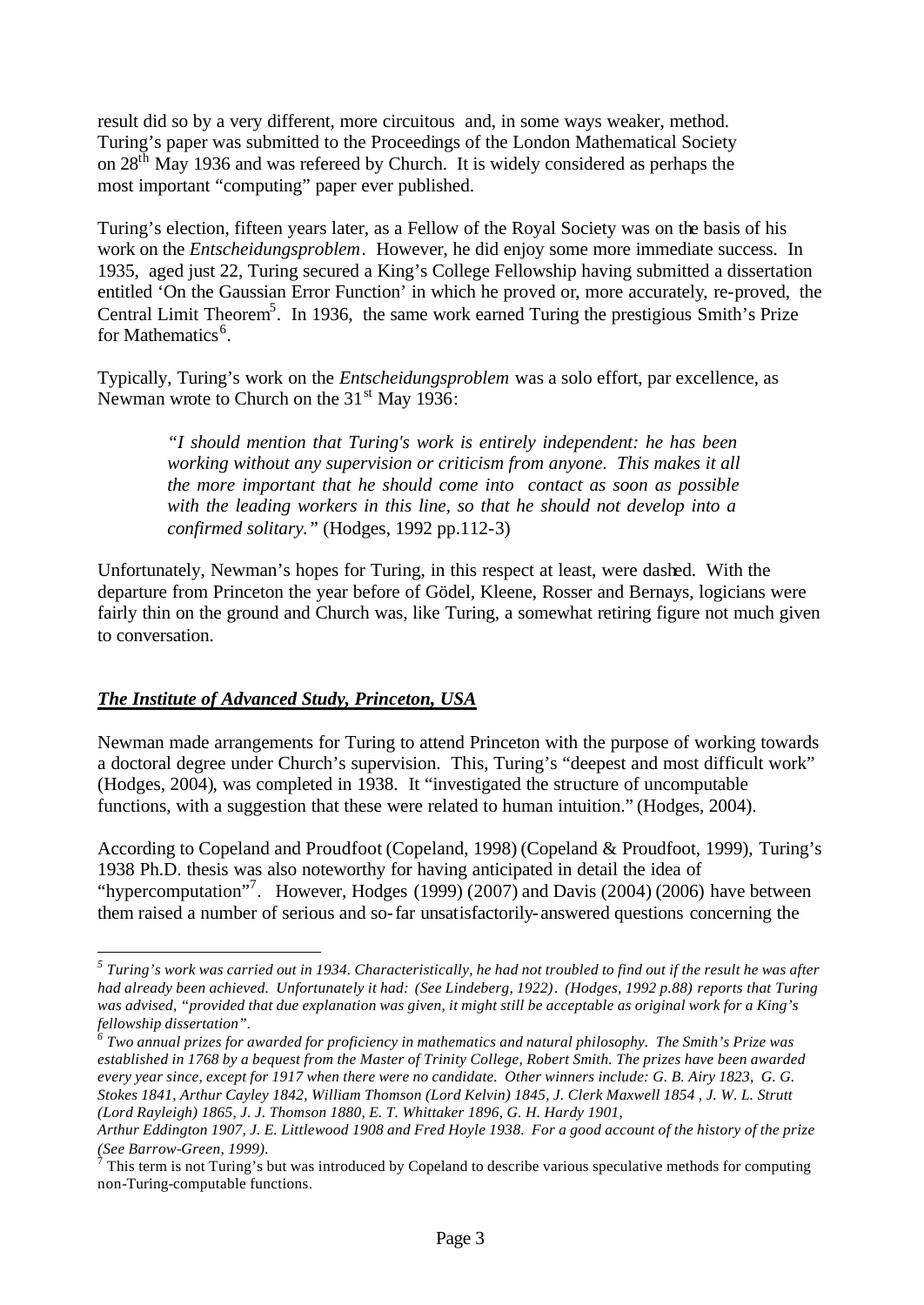result did so by a very different, more circuitous and, in some ways weaker, method. Turing's paper was submitted to the Proceedings of the London Mathematical Society on 28th May 1936 and was refereed by Church. It is widely considered as perhaps the most important "computing" paper ever published.

Turing's election, fifteen years later, as a Fellow of the Royal Society was on the basis of his work on the *Entscheidungsproblem*. However, he did enjoy some more immediate success. In 1935, aged just 22, Turing secured a King's College Fellowship having submitted a dissertation entitled 'On the Gaussian Error Function' in which he proved or, more accurately, re-proved, the Central Limit Theorem<sup>5</sup>. In 1936, the same work earned Turing the prestigious Smith's Prize for Mathematics<sup>6</sup>.

Typically, Turing's work on the *Entscheidungsproblem* was a solo effort, par excellence, as Newman wrote to Church on the  $31<sup>st</sup>$  May 1936:

> *"I should mention that Turing's work is entirely independent: he has been working without any supervision or criticism from anyone. This makes it all the more important that he should come into contact as soon as possible with the leading workers in this line, so that he should not develop into a confirmed solitary."* (Hodges, 1992 pp.112-3)

Unfortunately, Newman's hopes for Turing, in this respect at least, were dashed. With the departure from Princeton the year before of Gödel, Kleene, Rosser and Bernays, logicians were fairly thin on the ground and Church was, like Turing, a somewhat retiring figure not much given to conversation.

#### *The Institute of Advanced Study, Princeton, USA*

l

Newman made arrangements for Turing to attend Princeton with the purpose of working towards a doctoral degree under Church's supervision. This, Turing's "deepest and most difficult work" (Hodges, 2004), was completed in 1938. It "investigated the structure of uncomputable functions, with a suggestion that these were related to human intuition." (Hodges, 2004).

According to Copeland and Proudfoot (Copeland, 1998) (Copeland & Proudfoot, 1999), Turing's 1938 Ph.D. thesis was also noteworthy for having anticipated in detail the idea of "hypercomputation"<sup>7</sup>. However, Hodges (1999) (2007) and Davis (2004) (2006) have between them raised a number of serious and so-far unsatisfactorily-answered questions concerning the

*<sup>5</sup> Turing's work was carried out in 1934. Characteristically, he had not troubled to find out if the result he was after had already been achieved. Unfortunately it had: (See Lindeberg, 1922). (Hodges, 1992 p.88) reports that Turing was advised, "provided that due explanation was given, it might still be acceptable as original work for a King's fellowship dissertation".* 

*<sup>6</sup> Two annual prizes for awarded for proficiency in mathematics and natural philosophy. The Smith's Prize was established in 1768 by a bequest from the Master of Trinity College, Robert Smith. The prizes have been awarded every year since, except for 1917 when there were no candidate. Other winners include: G. B. Airy 1823, G. G. Stokes 1841, Arthur Cayley 1842, William Thomson (Lord Kelvin) 1845, J. Clerk Maxwell 1854 , J. W. L. Strutt (Lord Rayleigh) 1865, J. J. Thomson 1880, E. T. Whittaker 1896, G. H. Hardy 1901,*

*Arthur Eddington 1907, J. E. Littlewood 1908 and Fred Hoyle 1938. For a good account of the history of the prize (See Barrow-Green, 1999).*<br><sup>7</sup> This term is not Turing's l

This term is not Turing's but was introduced by Copeland to describe various speculative methods for computing non-Turing-computable functions.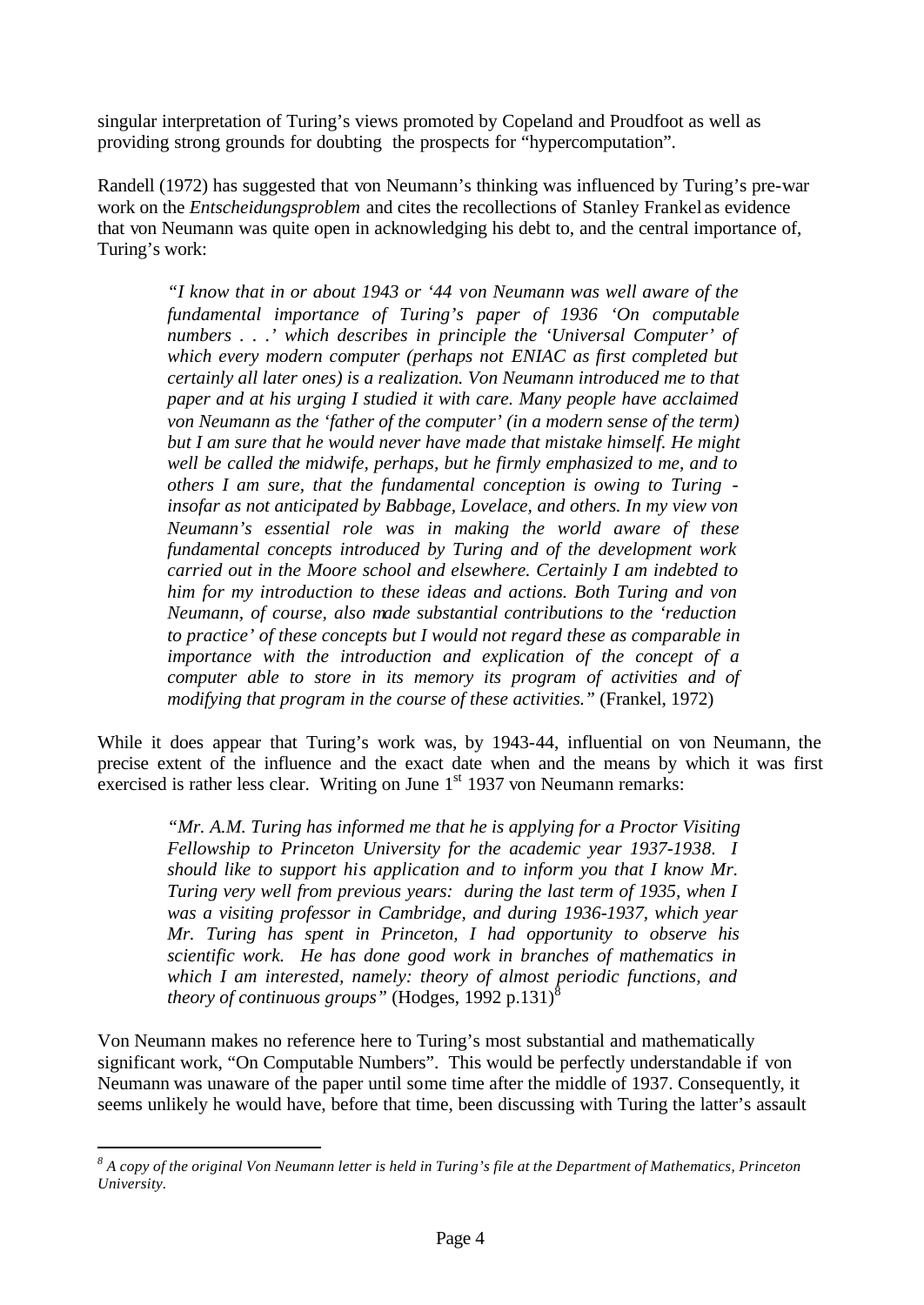singular interpretation of Turing's views promoted by Copeland and Proudfoot as well as providing strong grounds for doubting the prospects for "hypercomputation".

Randell (1972) has suggested that von Neumann's thinking was influenced by Turing's pre-war work on the *Entscheidungsproblem* and cites the recollections of Stanley Frankel as evidence that von Neumann was quite open in acknowledging his debt to, and the central importance of, Turing's work:

*"I know that in or about 1943 or '44 von Neumann was well aware of the fundamental importance of Turing's paper of 1936 'On computable numbers . . .' which describes in principle the 'Universal Computer' of which every modern computer (perhaps not ENIAC as first completed but certainly all later ones) is a realization. Von Neumann introduced me to that paper and at his urging I studied it with care. Many people have acclaimed von Neumann as the 'father of the computer' (in a modern sense of the term) but I am sure that he would never have made that mistake himself. He might well be called the midwife, perhaps, but he firmly emphasized to me, and to others I am sure, that the fundamental conception is owing to Turing insofar as not anticipated by Babbage, Lovelace, and others. In my view von Neumann's essential role was in making the world aware of these fundamental concepts introduced by Turing and of the development work carried out in the Moore school and elsewhere. Certainly I am indebted to him for my introduction to these ideas and actions. Both Turing and von Neumann, of course, also made substantial contributions to the 'reduction to practice' of these concepts but I would not regard these as comparable in importance with the introduction and explication of the concept of a computer able to store in its memory its program of activities and of modifying that program in the course of these activities."* (Frankel, 1972)

While it does appear that Turing's work was, by 1943-44, influential on von Neumann, the precise extent of the influence and the exact date when and the means by which it was first exercised is rather less clear. Writing on June  $1<sup>st</sup>$  1937 von Neumann remarks:

*"Mr. A.M. Turing has informed me that he is applying for a Proctor Visiting Fellowship to Princeton University for the academic year 1937-1938. I should like to support his application and to inform you that I know Mr. Turing very well from previous years: during the last term of 1935, when I was a visiting professor in Cambridge, and during 1936-1937, which year Mr. Turing has spent in Princeton, I had opportunity to observe his scientific work. He has done good work in branches of mathematics in which I am interested, namely: theory of almost periodic functions, and theory of continuous groups"* (Hodges, 1992 p.131)<sup>8</sup>

Von Neumann makes no reference here to Turing's most substantial and mathematically significant work, "On Computable Numbers". This would be perfectly understandable if von Neumann was unaware of the paper until some time after the middle of 1937. Consequently, it seems unlikely he would have, before that time, been discussing with Turing the latter's assault

*<sup>8</sup> A copy of the original Von Neumann letter is held in Turing's file at the Department of Mathematics, Princeton University.*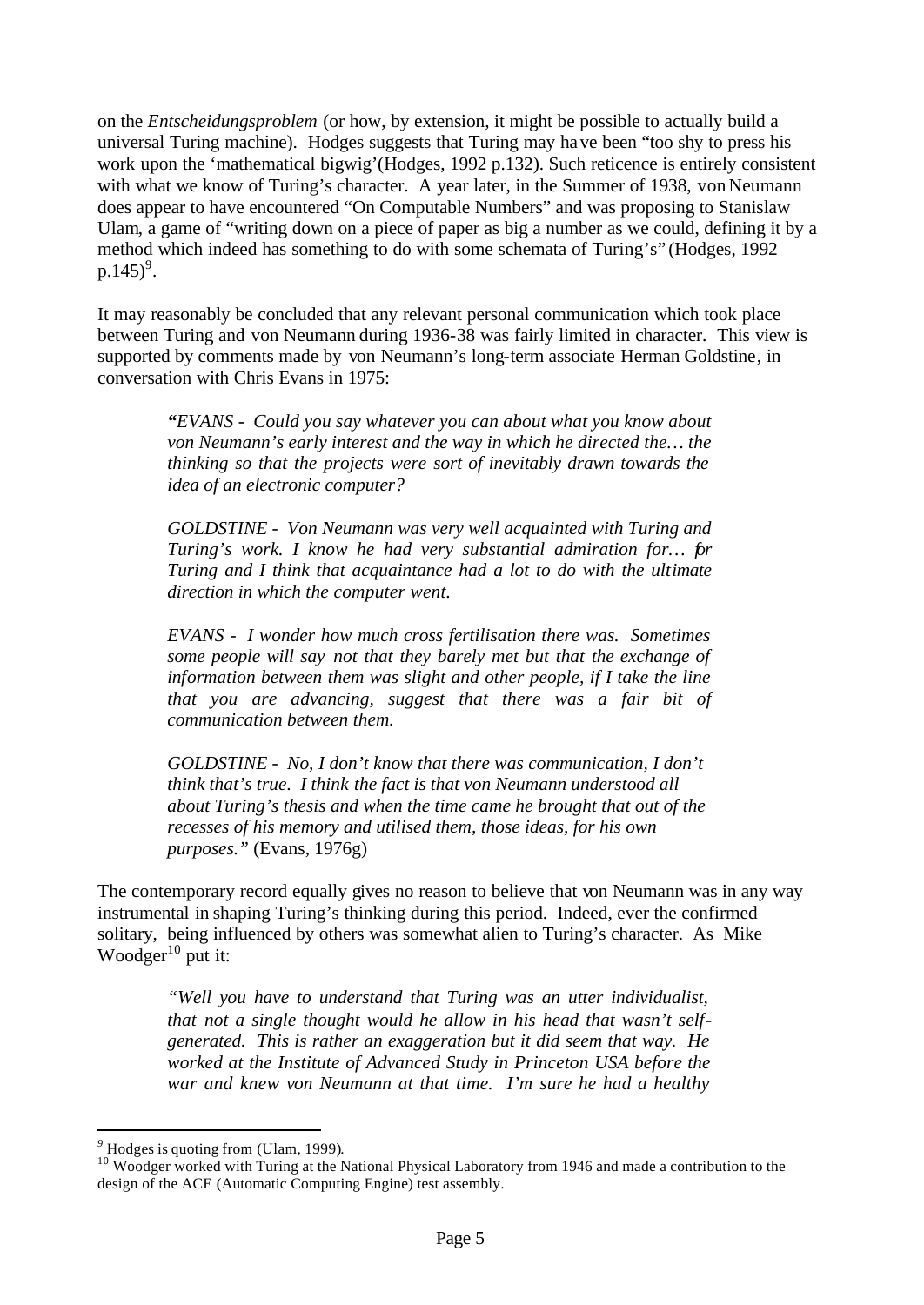on the *Entscheidungsproblem* (or how, by extension, it might be possible to actually build a universal Turing machine). Hodges suggests that Turing may have been "too shy to press his work upon the 'mathematical bigwig'(Hodges, 1992 p.132). Such reticence is entirely consistent with what we know of Turing's character. A year later, in the Summer of 1938, von Neumann does appear to have encountered "On Computable Numbers" and was proposing to Stanislaw Ulam, a game of "writing down on a piece of paper as big a number as we could, defining it by a method which indeed has something to do with some schemata of Turing's" (Hodges, 1992  $p.145)^{9}$ .

It may reasonably be concluded that any relevant personal communication which took place between Turing and von Neumann during 1936-38 was fairly limited in character. This view is supported by comments made by von Neumann's long-term associate Herman Goldstine, in conversation with Chris Evans in 1975:

*"EVANS - Could you say whatever you can about what you know about von Neumann's early interest and the way in which he directed the… the thinking so that the projects were sort of inevitably drawn towards the idea of an electronic computer?* 

*GOLDSTINE - Von Neumann was very well acquainted with Turing and Turing's work. I know he had very substantial admiration for… for Turing and I think that acquaintance had a lot to do with the ultimate direction in which the computer went.*

*EVANS - I wonder how much cross fertilisation there was. Sometimes some people will say not that they barely met but that the exchange of information between them was slight and other people, if I take the line that you are advancing, suggest that there was a fair bit of communication between them.*

*GOLDSTINE - No, I don't know that there was communication, I don't think that's true. I think the fact is that von Neumann understood all about Turing's thesis and when the time came he brought that out of the recesses of his memory and utilised them, those ideas, for his own purposes."* (Evans, 1976g)

The contemporary record equally gives no reason to believe that von Neumann was in any way instrumental in shaping Turing's thinking during this period. Indeed, ever the confirmed solitary, being influenced by others was somewhat alien to Turing's character. As Mike Woodger $^{10}$  put it:

*"Well you have to understand that Turing was an utter individualist, that not a single thought would he allow in his head that wasn't selfgenerated. This is rather an exaggeration but it did seem that way. He worked at the Institute of Advanced Study in Princeton USA before the war and knew von Neumann at that time. I'm sure he had a healthy* 

<sup>&</sup>lt;sup>9</sup> Hodges is quoting from (Ulam, 1999).

<sup>&</sup>lt;sup>10</sup> Woodger worked with Turing at the National Physical Laboratory from 1946 and made a contribution to the design of the ACE (Automatic Computing Engine) test assembly.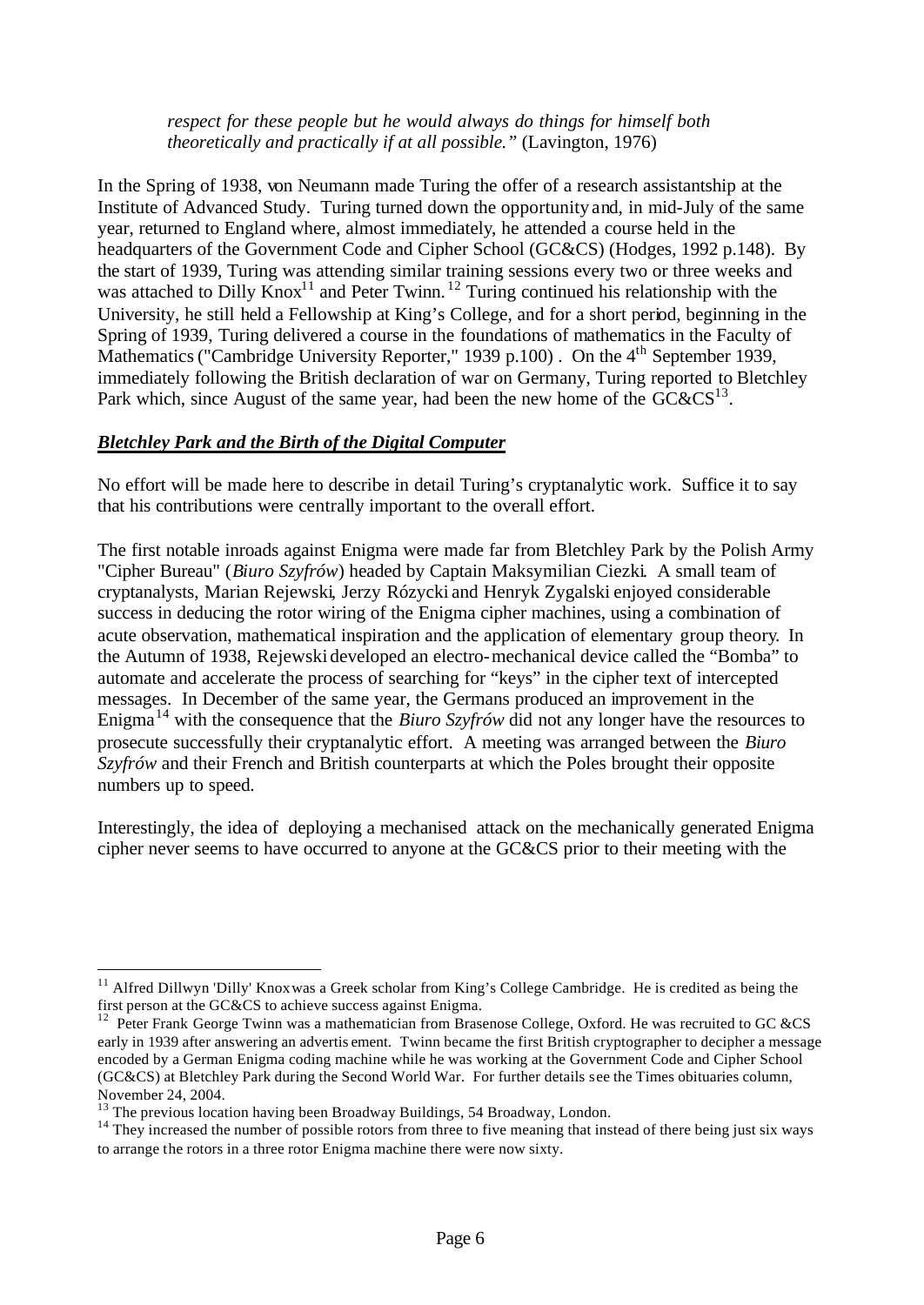*respect for these people but he would always do things for himself both theoretically and practically if at all possible."* (Lavington, 1976)

In the Spring of 1938, von Neumann made Turing the offer of a research assistantship at the Institute of Advanced Study. Turing turned down the opportunity and, in mid-July of the same year, returned to England where, almost immediately, he attended a course held in the headquarters of the Government Code and Cipher School (GC&CS) (Hodges, 1992 p.148). By the start of 1939, Turing was attending similar training sessions every two or three weeks and was attached to Dilly  $\arccos \arccos 11$  and Peter Twinn.<sup>12</sup> Turing continued his relationship with the University, he still held a Fellowship at King's College, and for a short period, beginning in the Spring of 1939, Turing delivered a course in the foundations of mathematics in the Faculty of Mathematics ("Cambridge University Reporter," 1939 p.100). On the 4<sup>th</sup> September 1939, immediately following the British declaration of war on Germany, Turing reported to Bletchley Park which, since August of the same year, had been the new home of the  $GC\&CS^{13}$ .

#### *Bletchley Park and the Birth of the Digital Computer*

No effort will be made here to describe in detail Turing's cryptanalytic work. Suffice it to say that his contributions were centrally important to the overall effort.

The first notable inroads against Enigma were made far from Bletchley Park by the Polish Army "Cipher Bureau" (*Biuro Szyfrów*) headed by Captain Maksymilian Ciezki. A small team of cryptanalysts, Marian Rejewski, Jerzy Rózycki and Henryk Zygalski enjoyed considerable success in deducing the rotor wiring of the Enigma cipher machines, using a combination of acute observation, mathematical inspiration and the application of elementary group theory. In the Autumn of 1938, Rejewski developed an electro-mechanical device called the "Bomba" to automate and accelerate the process of searching for "keys" in the cipher text of intercepted messages. In December of the same year, the Germans produced an improvement in the Enigma<sup>14</sup> with the consequence that the *Biuro Szyfrów* did not any longer have the resources to prosecute successfully their cryptanalytic effort. A meeting was arranged between the *Biuro Szyfrów* and their French and British counterparts at which the Poles brought their opposite numbers up to speed.

Interestingly, the idea of deploying a mechanised attack on the mechanically generated Enigma cipher never seems to have occurred to anyone at the GC&CS prior to their meeting with the

<sup>&</sup>lt;sup>11</sup> Alfred Dillwyn 'Dilly' Knoxwas a Greek scholar from King's College Cambridge. He is credited as being the first person at the GC&CS to achieve success against Enigma.

 $12$  Peter Frank George Twinn was a mathematician from Brasenose College, Oxford. He was recruited to GC &CS early in 1939 after answering an advertis ement. Twinn became the first British cryptographer to decipher a message encoded by a German Enigma coding machine while he was working at the Government Code and Cipher School (GC&CS) at Bletchley Park during the Second World War. For further details see the Times obituaries column, November 24, 2004.

 $13$  The previous location having been Broadway Buildings, 54 Broadway, London.

 $14$  They increased the number of possible rotors from three to five meaning that instead of there being just six ways to arrange the rotors in a three rotor Enigma machine there were now sixty.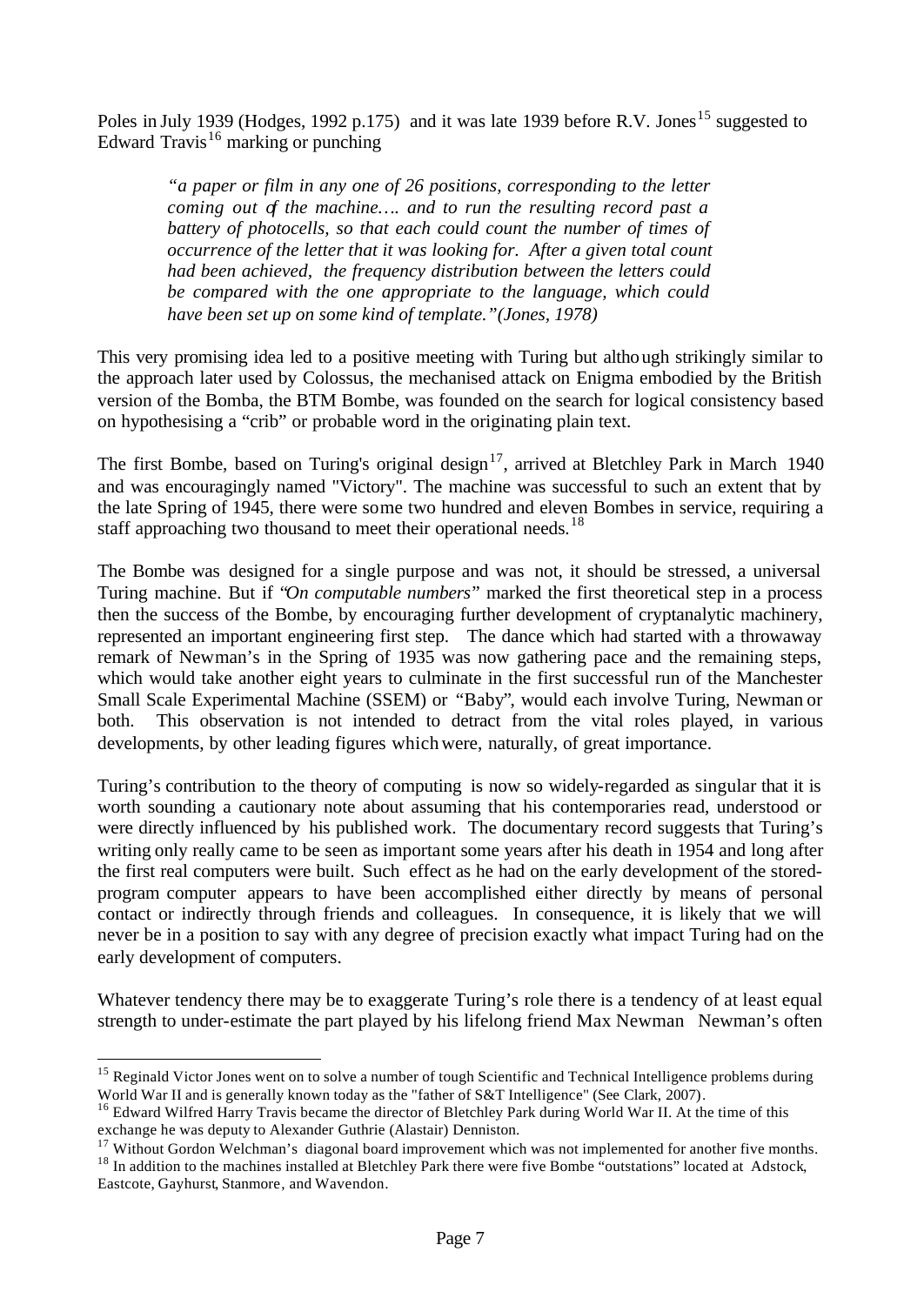Poles in July 1939 (Hodges, 1992 p.175) and it was late 1939 before R.V. Jones<sup>15</sup> suggested to Edward Travis<sup>16</sup> marking or punching

*"a paper or film in any one of 26 positions, corresponding to the letter coming out of the machine…. and to run the resulting record past a*  battery of photocells, so that each could count the number of times of *occurrence of the letter that it was looking for. After a given total count had been achieved, the frequency distribution between the letters could be compared with the one appropriate to the language, which could have been set up on some kind of template."(Jones, 1978)*

This very promising idea led to a positive meeting with Turing but although strikingly similar to the approach later used by Colossus, the mechanised attack on Enigma embodied by the British version of the Bomba, the BTM Bombe, was founded on the search for logical consistency based on hypothesising a "crib" or probable word in the originating plain text.

The first Bombe, based on Turing's original design<sup>17</sup>, arrived at Bletchley Park in March 1940 and was encouragingly named "Victory". The machine was successful to such an extent that by the late Spring of 1945, there were some two hundred and eleven Bombes in service, requiring a staff approaching two thousand to meet their operational needs.<sup>18</sup>

The Bombe was designed for a single purpose and was not, it should be stressed, a universal Turing machine. But if "*On computable numbers*" marked the first theoretical step in a process then the success of the Bombe, by encouraging further development of cryptanalytic machinery, represented an important engineering first step. The dance which had started with a throwaway remark of Newman's in the Spring of 1935 was now gathering pace and the remaining steps, which would take another eight years to culminate in the first successful run of the Manchester Small Scale Experimental Machine (SSEM) or "Baby", would each involve Turing, Newman or both. This observation is not intended to detract from the vital roles played, in various developments, by other leading figures which were, naturally, of great importance.

Turing's contribution to the theory of computing is now so widely-regarded as singular that it is worth sounding a cautionary note about assuming that his contemporaries read, understood or were directly influenced by his published work. The documentary record suggests that Turing's writing only really came to be seen as important some years after his death in 1954 and long after the first real computers were built. Such effect as he had on the early development of the storedprogram computer appears to have been accomplished either directly by means of personal contact or indirectly through friends and colleagues. In consequence, it is likely that we will never be in a position to say with any degree of precision exactly what impact Turing had on the early development of computers.

Whatever tendency there may be to exaggerate Turing's role there is a tendency of at least equal strength to under-estimate the part played by his lifelong friend Max Newman Newman's often

<sup>&</sup>lt;sup>15</sup> Reginald Victor Jones went on to solve a number of tough Scientific and Technical Intelligence problems during World War II and is generally known today as the "father of S&T Intelligence" (See Clark, 2007).

<sup>&</sup>lt;sup>16</sup> Edward Wilfred Harry Travis became the director of Bletchley Park during World War II. At the time of this exchange he was deputy to Alexander Guthrie (Alastair) Denniston.

<sup>&</sup>lt;sup>17</sup> Without Gordon Welchman's diagonal board improvement which was not implemented for another five months. <sup>18</sup> In addition to the machines installed at Bletchley Park there were five Bombe "outstations" located at Adstock,

Eastcote, Gayhurst, Stanmore, and Wavendon.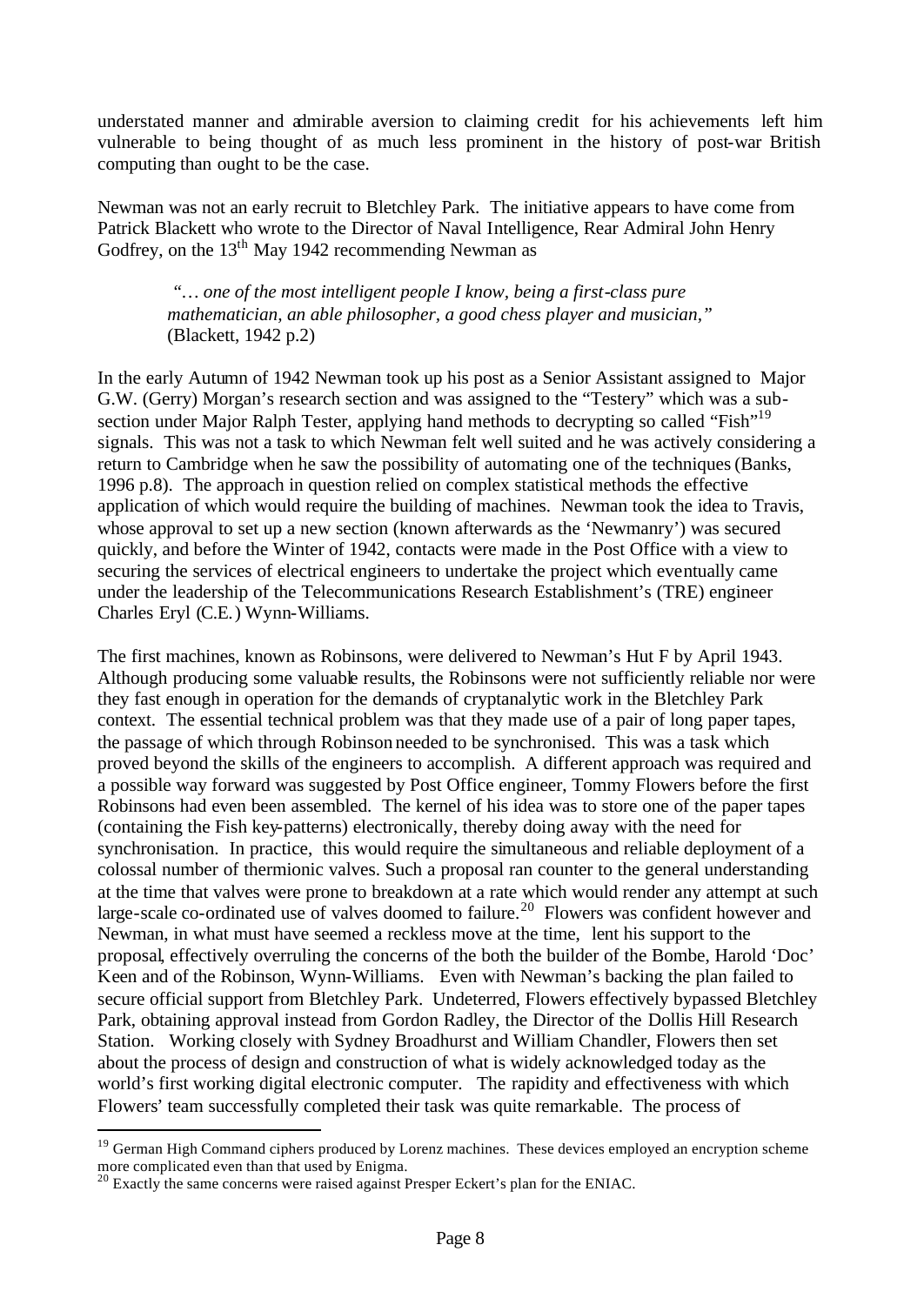understated manner and admirable aversion to claiming credit for his achievements left him vulnerable to being thought of as much less prominent in the history of post-war British computing than ought to be the case.

Newman was not an early recruit to Bletchley Park. The initiative appears to have come from Patrick Blackett who wrote to the Director of Naval Intelligence, Rear Admiral John Henry Godfrey, on the  $13<sup>th</sup>$  May 1942 recommending Newman as

 *"… one of the most intelligent people I know, being a first-class pure mathematician, an able philosopher, a good chess player and musician,"* (Blackett, 1942 p.2)

In the early Autumn of 1942 Newman took up his post as a Senior Assistant assigned to Major G.W. (Gerry) Morgan's research section and was assigned to the "Testery" which was a subsection under Major Ralph Tester, applying hand methods to decrypting so called "Fish"<sup>19</sup> signals. This was not a task to which Newman felt well suited and he was actively considering a return to Cambridge when he saw the possibility of automating one of the techniques(Banks, 1996 p.8). The approach in question relied on complex statistical methods the effective application of which would require the building of machines. Newman took the idea to Travis, whose approval to set up a new section (known afterwards as the 'Newmanry') was secured quickly, and before the Winter of 1942, contacts were made in the Post Office with a view to securing the services of electrical engineers to undertake the project which eventually came under the leadership of the Telecommunications Research Establishment's (TRE) engineer Charles Eryl (C.E.) Wynn-Williams.

The first machines, known as Robinsons, were delivered to Newman's Hut F by April 1943. Although producing some valuable results, the Robinsons were not sufficiently reliable nor were they fast enough in operation for the demands of cryptanalytic work in the Bletchley Park context. The essential technical problem was that they made use of a pair of long paper tapes, the passage of which through Robinson needed to be synchronised. This was a task which proved beyond the skills of the engineers to accomplish. A different approach was required and a possible way forward was suggested by Post Office engineer, Tommy Flowers before the first Robinsons had even been assembled. The kernel of his idea was to store one of the paper tapes (containing the Fish key-patterns) electronically, thereby doing away with the need for synchronisation. In practice, this would require the simultaneous and reliable deployment of a colossal number of thermionic valves. Such a proposal ran counter to the general understanding at the time that valves were prone to breakdown at a rate which would render any attempt at such large-scale co-ordinated use of valves doomed to failure.<sup>20</sup> Flowers was confident however and Newman, in what must have seemed a reckless move at the time, lent his support to the proposal, effectively overruling the concerns of the both the builder of the Bombe, Harold 'Doc' Keen and of the Robinson, Wynn-Williams. Even with Newman's backing the plan failed to secure official support from Bletchley Park. Undeterred, Flowers effectively bypassed Bletchley Park, obtaining approval instead from Gordon Radley, the Director of the Dollis Hill Research Station. Working closely with Sydney Broadhurst and William Chandler, Flowers then set about the process of design and construction of what is widely acknowledged today as the world's first working digital electronic computer. The rapidity and effectiveness with which Flowers' team successfully completed their task was quite remarkable. The process of

<sup>&</sup>lt;sup>19</sup> German High Command ciphers produced by Lorenz machines. These devices employed an encryption scheme more complicated even than that used by Enigma.

 $^{20}$  Exactly the same concerns were raised against Presper Eckert's plan for the ENIAC.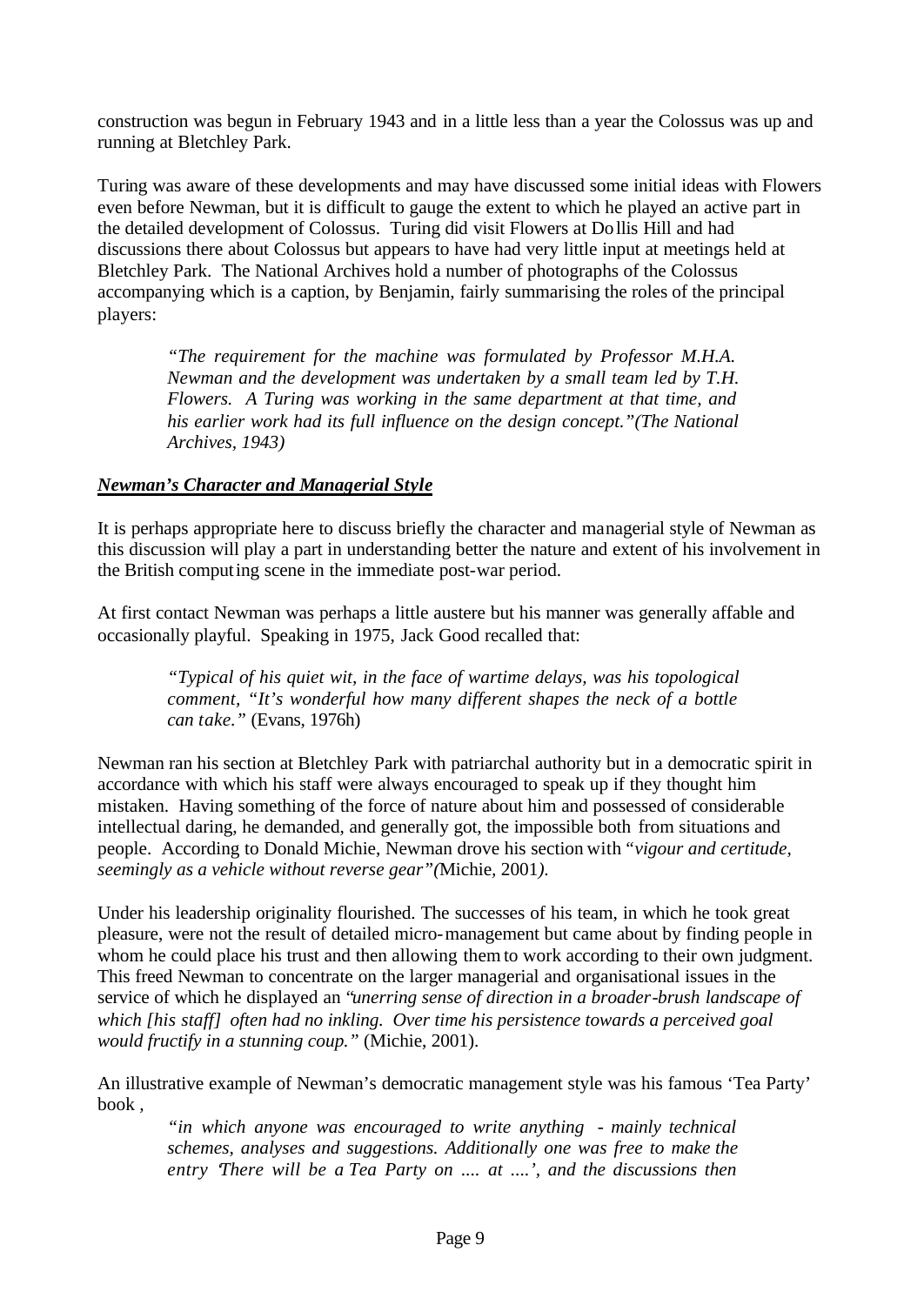construction was begun in February 1943 and in a little less than a year the Colossus was up and running at Bletchley Park.

Turing was aware of these developments and may have discussed some initial ideas with Flowers even before Newman, but it is difficult to gauge the extent to which he played an active part in the detailed development of Colossus. Turing did visit Flowers at Dollis Hill and had discussions there about Colossus but appears to have had very little input at meetings held at Bletchley Park. The National Archives hold a number of photographs of the Colossus accompanying which is a caption, by Benjamin, fairly summarising the roles of the principal players:

*"The requirement for the machine was formulated by Professor M.H.A. Newman and the development was undertaken by a small team led by T.H. Flowers. A Turing was working in the same department at that time, and his earlier work had its full influence on the design concept."(The National Archives, 1943)*

#### *Newman's Character and Managerial Style*

It is perhaps appropriate here to discuss briefly the character and managerial style of Newman as this discussion will play a part in understanding better the nature and extent of his involvement in the British computing scene in the immediate post-war period.

At first contact Newman was perhaps a little austere but his manner was generally affable and occasionally playful. Speaking in 1975, Jack Good recalled that:

*"Typical of his quiet wit, in the face of wartime delays, was his topological comment, "It's wonderful how many different shapes the neck of a bottle can take."* (Evans, 1976h)

Newman ran his section at Bletchley Park with patriarchal authority but in a democratic spirit in accordance with which his staff were always encouraged to speak up if they thought him mistaken. Having something of the force of nature about him and possessed of considerable intellectual daring, he demanded, and generally got, the impossible both from situations and people. According to Donald Michie, Newman drove his section with *"vigour and certitude, seemingly as a vehicle without reverse gear"(*Michie*,* 2001*)*.

Under his leadership originality flourished. The successes of his team, in which he took great pleasure, were not the result of detailed micro-management but came about by finding people in whom he could place his trust and then allowing them to work according to their own judgment. This freed Newman to concentrate on the larger managerial and organisational issues in the service of which he displayed an "*unerring sense of direction in a broader-brush landscape of which [his staff] often had no inkling. Over time his persistence towards a perceived goal would fructify in a stunning coup."* (Michie, 2001).

An illustrative example of Newman's democratic management style was his famous 'Tea Party' book *,* 

*"in which anyone was encouraged to write anything - mainly technical schemes, analyses and suggestions. Additionally one was free to make the entry 'There will be a Tea Party on .... at ....', and the discussions then*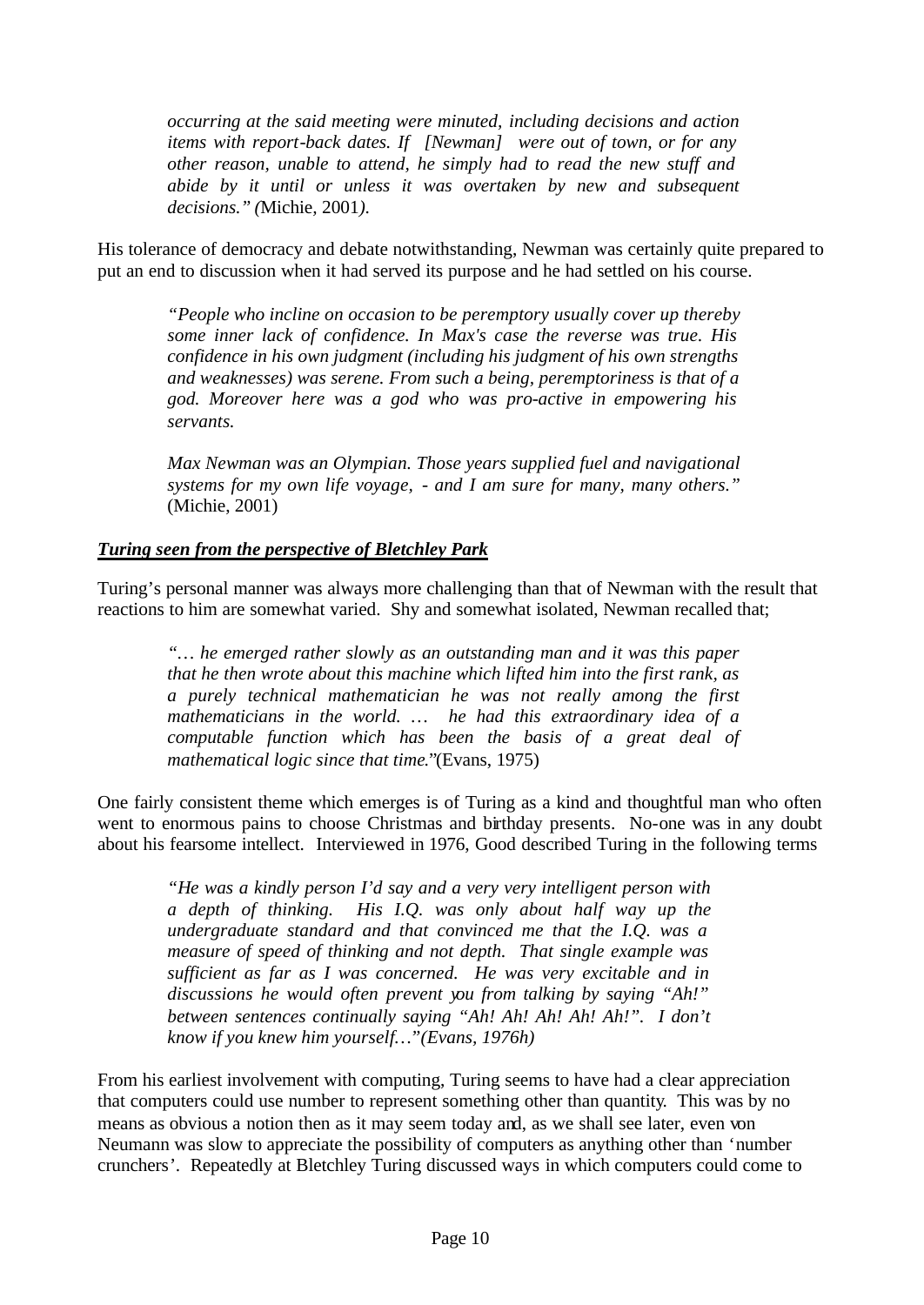*occurring at the said meeting were minuted, including decisions and action items with report-back dates. If [Newman] were out of town, or for any other reason, unable to attend, he simply had to read the new stuff and abide by it until or unless it was overtaken by new and subsequent decisions." (*Michie*,* 2001*)*.

His tolerance of democracy and debate notwithstanding, Newman was certainly quite prepared to put an end to discussion when it had served its purpose and he had settled on his course.

*"People who incline on occasion to be peremptory usually cover up thereby some inner lack of confidence. In Max's case the reverse was true. His confidence in his own judgment (including his judgment of his own strengths and weaknesses) was serene. From such a being, peremptoriness is that of a god. Moreover here was a god who was pro-active in empowering his servants.*

*Max Newman was an Olympian. Those years supplied fuel and navigational systems for my own life voyage, - and I am sure for many, many others."* (Michie, 2001)

#### *Turing seen from the perspective of Bletchley Park*

Turing's personal manner was always more challenging than that of Newman with the result that reactions to him are somewhat varied. Shy and somewhat isolated, Newman recalled that;

*"… he emerged rather slowly as an outstanding man and it was this paper that he then wrote about this machine which lifted him into the first rank, as a purely technical mathematician he was not really among the first mathematicians in the world. … he had this extraordinary idea of a computable function which has been the basis of a great deal of mathematical logic since that time*."(Evans, 1975)

One fairly consistent theme which emerges is of Turing as a kind and thoughtful man who often went to enormous pains to choose Christmas and birthday presents. No-one was in any doubt about his fearsome intellect. Interviewed in 1976, Good described Turing in the following terms

*"He was a kindly person I'd say and a very very intelligent person with a depth of thinking. His I.Q. was only about half way up the undergraduate standard and that convinced me that the I.Q. was a measure of speed of thinking and not depth. That single example was sufficient as far as I was concerned. He was very excitable and in discussions he would often prevent you from talking by saying "Ah!" between sentences continually saying "Ah! Ah! Ah! Ah! Ah!". I don't know if you knew him yourself…"(Evans, 1976h)*

From his earliest involvement with computing, Turing seems to have had a clear appreciation that computers could use number to represent something other than quantity. This was by no means as obvious a notion then as it may seem today and, as we shall see later, even von Neumann was slow to appreciate the possibility of computers as anything other than 'number crunchers'. Repeatedly at Bletchley Turing discussed ways in which computers could come to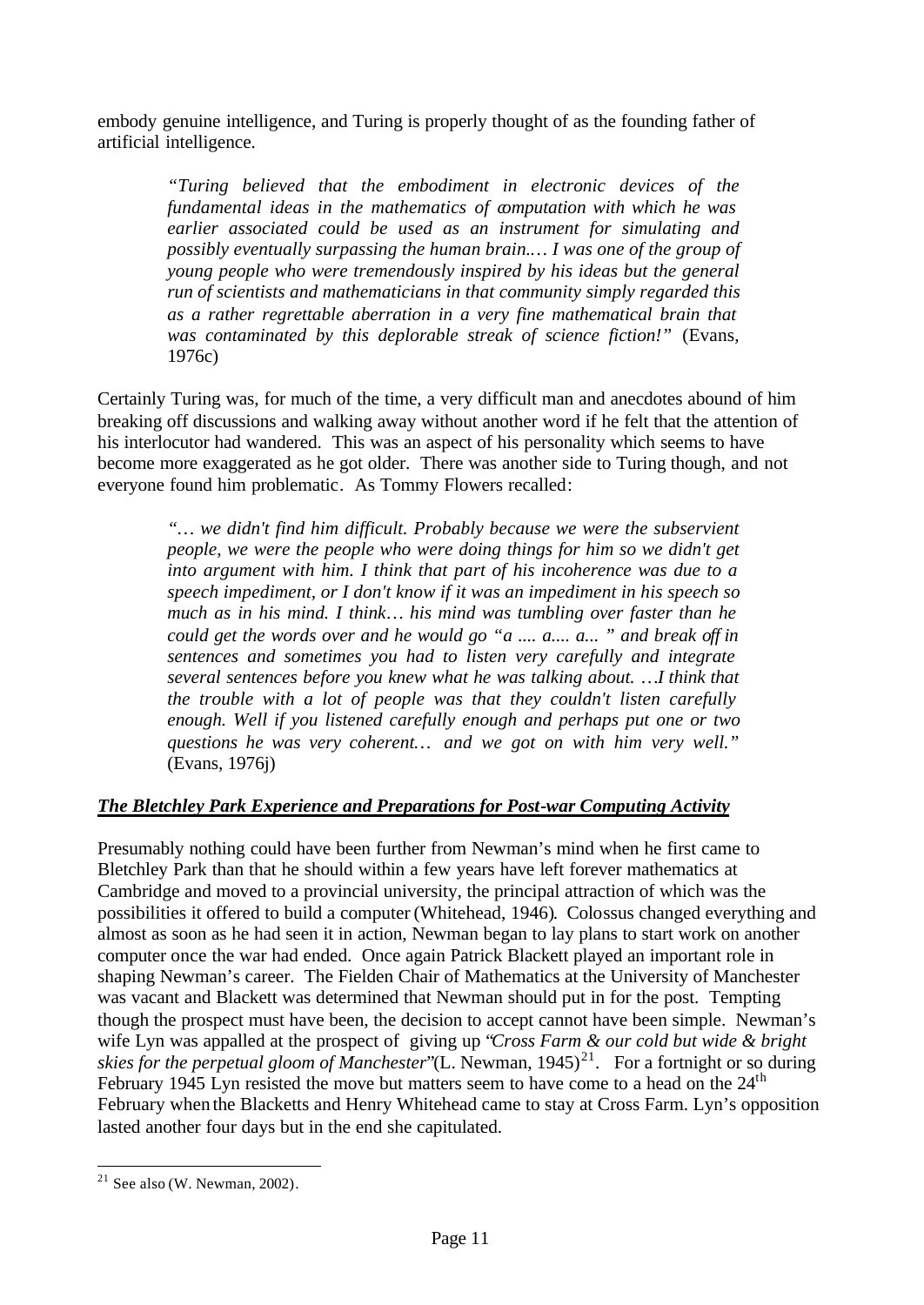embody genuine intelligence, and Turing is properly thought of as the founding father of artificial intelligence.

> *"Turing believed that the embodiment in electronic devices of the fundamental ideas in the mathematics of computation with which he was earlier associated could be used as an instrument for simulating and possibly eventually surpassing the human brain.... I was one of the group of young people who were tremendously inspired by his ideas but the general run of scientists and mathematicians in that community simply regarded this as a rather regrettable aberration in a very fine mathematical brain that was contaminated by this deplorable streak of science fiction!"* (Evans, 1976c)

Certainly Turing was, for much of the time, a very difficult man and anecdotes abound of him breaking off discussions and walking away without another word if he felt that the attention of his interlocutor had wandered. This was an aspect of his personality which seems to have become more exaggerated as he got older. There was another side to Turing though, and not everyone found him problematic. As Tommy Flowers recalled:

*"… we didn't find him difficult. Probably because we were the subservient people, we were the people who were doing things for him so we didn't get into argument with him. I think that part of his incoherence was due to a speech impediment, or I don't know if it was an impediment in his speech so much as in his mind. I think… his mind was tumbling over faster than he could get the words over and he would go "a .... a.... a... " and break off in sentences and sometimes you had to listen very carefully and integrate several sentences before you knew what he was talking about. …I think that the trouble with a lot of people was that they couldn't listen carefully enough. Well if you listened carefully enough and perhaps put one or two questions he was very coherent… and we got on with him very well."*  (Evans, 1976j)

### *The Bletchley Park Experience and Preparations for Post-war Computing Activity*

Presumably nothing could have been further from Newman's mind when he first came to Bletchley Park than that he should within a few years have left forever mathematics at Cambridge and moved to a provincial university, the principal attraction of which was the possibilities it offered to build a computer (Whitehead, 1946). Colossus changed everything and almost as soon as he had seen it in action, Newman began to lay plans to start work on another computer once the war had ended. Once again Patrick Blackett played an important role in shaping Newman's career. The Fielden Chair of Mathematics at the University of Manchester was vacant and Blackett was determined that Newman should put in for the post. Tempting though the prospect must have been, the decision to accept cannot have been simple. Newman's wife Lyn was appalled at the prospect of giving up "*Cross Farm & our cold but wide & bright*  skies for the perpetual gloom of Manchester"(L. Newman,  $1945)^{21}$ . For a fortnight or so during February 1945 Lyn resisted the move but matters seem to have come to a head on the  $24<sup>th</sup>$ February when the Blacketts and Henry Whitehead came to stay at Cross Farm. Lyn's opposition lasted another four days but in the end she capitulated.

l  $21$  See also (W. Newman, 2002).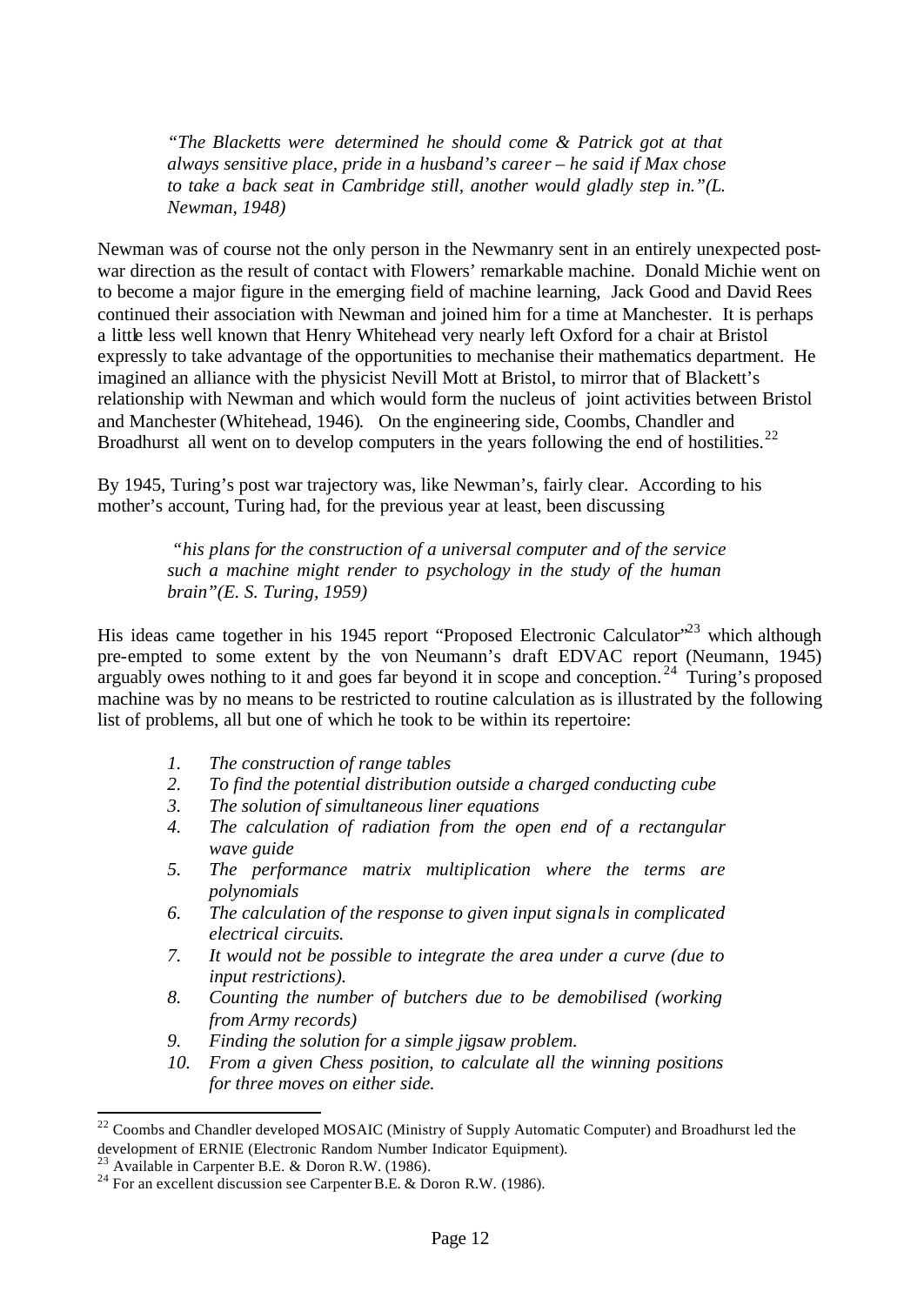*"The Blacketts were determined he should come & Patrick got at that always sensitive place, pride in a husband's career – he said if Max chose to take a back seat in Cambridge still, another would gladly step in."(L. Newman, 1948)*

Newman was of course not the only person in the Newmanry sent in an entirely unexpected postwar direction as the result of contact with Flowers' remarkable machine. Donald Michie went on to become a major figure in the emerging field of machine learning, Jack Good and David Rees continued their association with Newman and joined him for a time at Manchester. It is perhaps a little less well known that Henry Whitehead very nearly left Oxford for a chair at Bristol expressly to take advantage of the opportunities to mechanise their mathematics department. He imagined an alliance with the physicist Nevill Mott at Bristol, to mirror that of Blackett's relationship with Newman and which would form the nucleus of joint activities between Bristol and Manchester (Whitehead, 1946). On the engineering side, Coombs, Chandler and Broadhurst all went on to develop computers in the years following the end of hostilities.<sup>22</sup>

By 1945, Turing's post war trajectory was, like Newman's, fairly clear. According to his mother's account, Turing had, for the previous year at least, been discussing

> *"his plans for the construction of a universal computer and of the service such a machine might render to psychology in the study of the human brain"(E. S. Turing, 1959)*

His ideas came together in his 1945 report "Proposed Electronic Calculator"<sup>23</sup> which although pre-empted to some extent by the von Neumann's draft EDVAC report (Neumann, 1945) arguably owes nothing to it and goes far beyond it in scope and conception.<sup>24</sup> Turing's proposed machine was by no means to be restricted to routine calculation as is illustrated by the following list of problems, all but one of which he took to be within its repertoire:

- *1. The construction of range tables*
- *2. To find the potential distribution outside a charged conducting cube*
- *3. The solution of simultaneous liner equations*
- *4. The calculation of radiation from the open end of a rectangular wave guide*
- *5. The performance matrix multiplication where the terms are polynomials*
- *6. The calculation of the response to given input signals in complicated electrical circuits.*
- *7. It would not be possible to integrate the area under a curve (due to input restrictions).*
- *8. Counting the number of butchers due to be demobilised (working from Army records)*
- *9. Finding the solution for a simple jigsaw problem.*
- *10. From a given Chess position, to calculate all the winning positions for three moves on either side.*

<sup>&</sup>lt;sup>22</sup> Coombs and Chandler developed MOSAIC (Ministry of Supply Automatic Computer) and Broadhurst led the development of ERNIE (Electronic Random Number Indicator Equipment).

<sup>&</sup>lt;sup>23</sup> Available in Carpenter B.E. & Doron R.W. (1986).

<sup>&</sup>lt;sup>24</sup> For an excellent discussion see Carpenter B.E. & Doron R.W. (1986).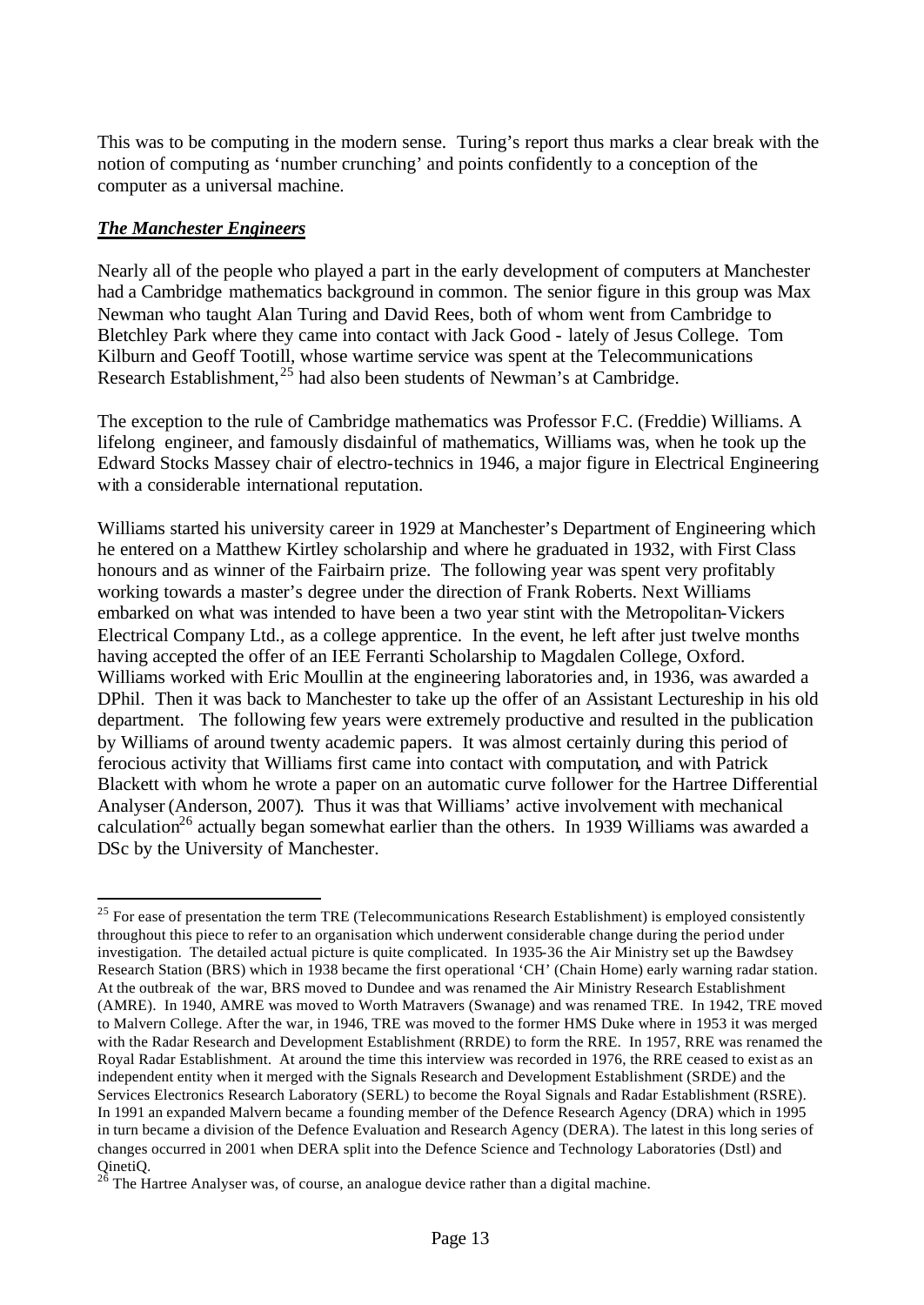This was to be computing in the modern sense. Turing's report thus marks a clear break with the notion of computing as 'number crunching' and points confidently to a conception of the computer as a universal machine.

#### *The Manchester Engineers*

l

Nearly all of the people who played a part in the early development of computers at Manchester had a Cambridge mathematics background in common. The senior figure in this group was Max Newman who taught Alan Turing and David Rees, both of whom went from Cambridge to Bletchley Park where they came into contact with Jack Good - lately of Jesus College. Tom Kilburn and Geoff Tootill, whose wartime service was spent at the Telecommunications Research Establishment,<sup>25</sup> had also been students of Newman's at Cambridge.

The exception to the rule of Cambridge mathematics was Professor F.C. (Freddie) Williams. A lifelong engineer, and famously disdainful of mathematics, Williams was, when he took up the Edward Stocks Massey chair of electro-technics in 1946, a major figure in Electrical Engineering with a considerable international reputation.

Williams started his university career in 1929 at Manchester's Department of Engineering which he entered on a Matthew Kirtley scholarship and where he graduated in 1932, with First Class honours and as winner of the Fairbairn prize. The following year was spent very profitably working towards a master's degree under the direction of Frank Roberts. Next Williams embarked on what was intended to have been a two year stint with the Metropolitan-Vickers Electrical Company Ltd., as a college apprentice. In the event, he left after just twelve months having accepted the offer of an IEE Ferranti Scholarship to Magdalen College, Oxford. Williams worked with Eric Moullin at the engineering laboratories and, in 1936, was awarded a DPhil. Then it was back to Manchester to take up the offer of an Assistant Lectureship in his old department. The following few years were extremely productive and resulted in the publication by Williams of around twenty academic papers. It was almost certainly during this period of ferocious activity that Williams first came into contact with computation, and with Patrick Blackett with whom he wrote a paper on an automatic curve follower for the Hartree Differential Analyser (Anderson, 2007). Thus it was that Williams' active involvement with mechanical calculation<sup>26</sup> actually began somewhat earlier than the others. In 1939 Williams was awarded a DSc by the University of Manchester.

<sup>&</sup>lt;sup>25</sup> For ease of presentation the term TRE (Telecommunications Research Establishment) is employed consistently throughout this piece to refer to an organisation which underwent considerable change during the period under investigation. The detailed actual picture is quite complicated. In 1935-36 the Air Ministry set up the Bawdsey Research Station (BRS) which in 1938 became the first operational 'CH' (Chain Home) early warning radar station. At the outbreak of the war, BRS moved to Dundee and was renamed the Air Ministry Research Establishment (AMRE). In 1940, AMRE was moved to Worth Matravers (Swanage) and was renamed TRE. In 1942, TRE moved to Malvern College. After the war, in 1946, TRE was moved to the former HMS Duke where in 1953 it was merged with the Radar Research and Development Establishment (RRDE) to form the RRE. In 1957, RRE was renamed the Royal Radar Establishment. At around the time this interview was recorded in 1976, the RRE ceased to exist as an independent entity when it merged with the Signals Research and Development Establishment (SRDE) and the Services Electronics Research Laboratory (SERL) to become the Royal Signals and Radar Establishment (RSRE). In 1991 an expanded Malvern became a founding member of the Defence Research Agency (DRA) which in 1995 in turn became a division of the Defence Evaluation and Research Agency (DERA). The latest in this long series of changes occurred in 2001 when DERA split into the Defence Science and Technology Laboratories (Dstl) and QinetiQ.

 $^{2\delta}$  The Hartree Analyser was, of course, an analogue device rather than a digital machine.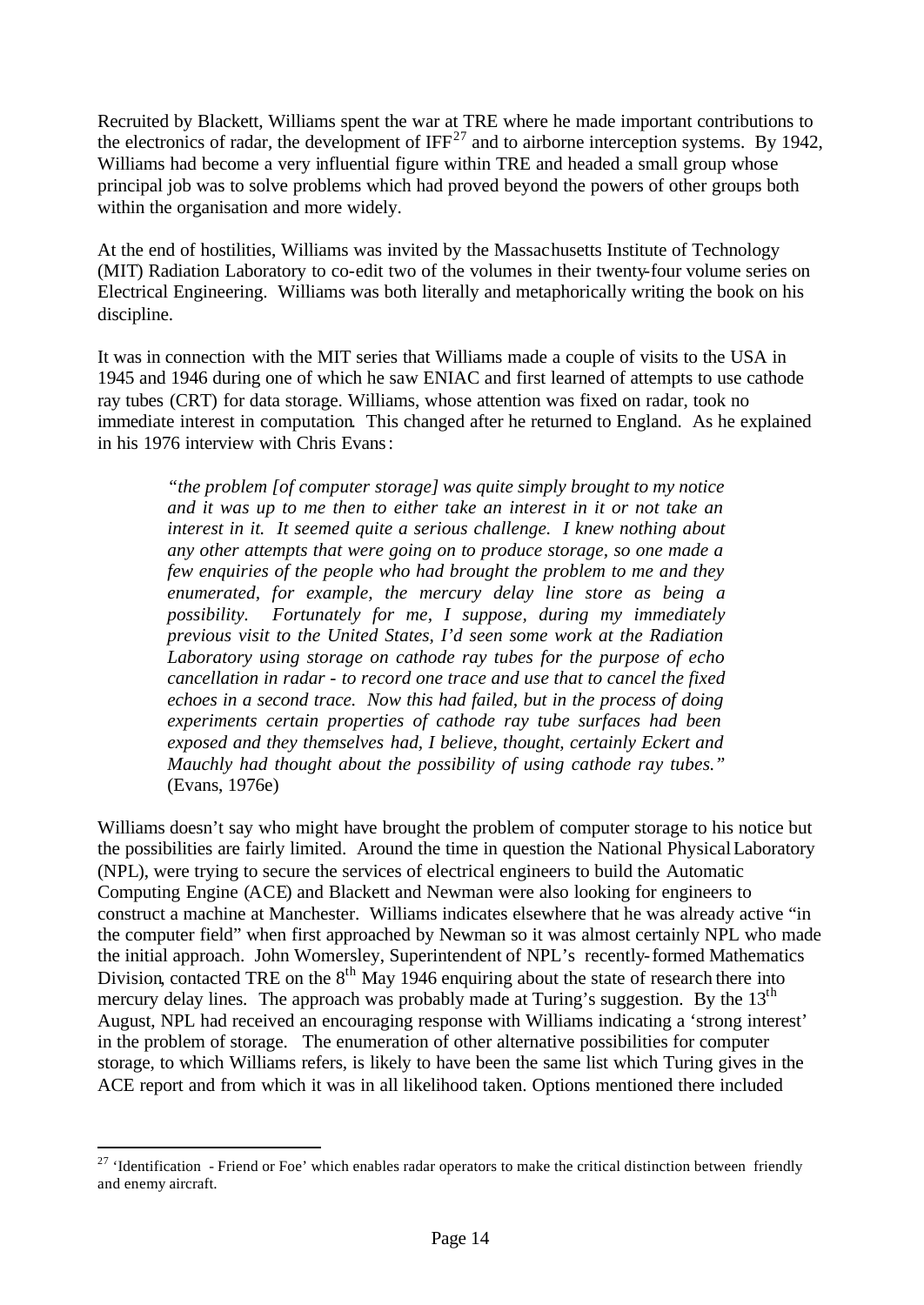Recruited by Blackett, Williams spent the war at TRE where he made important contributions to the electronics of radar, the development of  $IFF<sup>27</sup>$  and to airborne interception systems. By 1942, Williams had become a very influential figure within TRE and headed a small group whose principal job was to solve problems which had proved beyond the powers of other groups both within the organisation and more widely.

At the end of hostilities, Williams was invited by the Massachusetts Institute of Technology (MIT) Radiation Laboratory to co-edit two of the volumes in their twenty-four volume series on Electrical Engineering. Williams was both literally and metaphorically writing the book on his discipline.

It was in connection with the MIT series that Williams made a couple of visits to the USA in 1945 and 1946 during one of which he saw ENIAC and first learned of attempts to use cathode ray tubes (CRT) for data storage. Williams, whose attention was fixed on radar, took no immediate interest in computation. This changed after he returned to England. As he explained in his 1976 interview with Chris Evans:

*"the problem [of computer storage] was quite simply brought to my notice and it was up to me then to either take an interest in it or not take an interest in it. It seemed quite a serious challenge. I knew nothing about any other attempts that were going on to produce storage, so one made a few enquiries of the people who had brought the problem to me and they enumerated, for example, the mercury delay line store as being a possibility. Fortunately for me, I suppose, during my immediately previous visit to the United States, I'd seen some work at the Radiation Laboratory using storage on cathode ray tubes for the purpose of echo cancellation in radar - to record one trace and use that to cancel the fixed echoes in a second trace. Now this had failed, but in the process of doing experiments certain properties of cathode ray tube surfaces had been exposed and they themselves had, I believe, thought, certainly Eckert and Mauchly had thought about the possibility of using cathode ray tubes."* (Evans, 1976e)

Williams doesn't say who might have brought the problem of computer storage to his notice but the possibilities are fairly limited. Around the time in question the National Physical Laboratory (NPL), were trying to secure the services of electrical engineers to build the Automatic Computing Engine (ACE) and Blackett and Newman were also looking for engineers to construct a machine at Manchester. Williams indicates elsewhere that he was already active "in the computer field" when first approached by Newman so it was almost certainly NPL who made the initial approach. John Womersley, Superintendent of NPL's recently-formed Mathematics Division, contacted TRE on the  $8<sup>th</sup>$  May 1946 enquiring about the state of research there into mercury delay lines. The approach was probably made at Turing's suggestion. By the 13<sup>th</sup> August, NPL had received an encouraging response with Williams indicating a 'strong interest' in the problem of storage. The enumeration of other alternative possibilities for computer storage, to which Williams refers, is likely to have been the same list which Turing gives in the ACE report and from which it was in all likelihood taken. Options mentioned there included

 $27$  'Identification - Friend or Foe' which enables radar operators to make the critical distinction between friendly and enemy aircraft.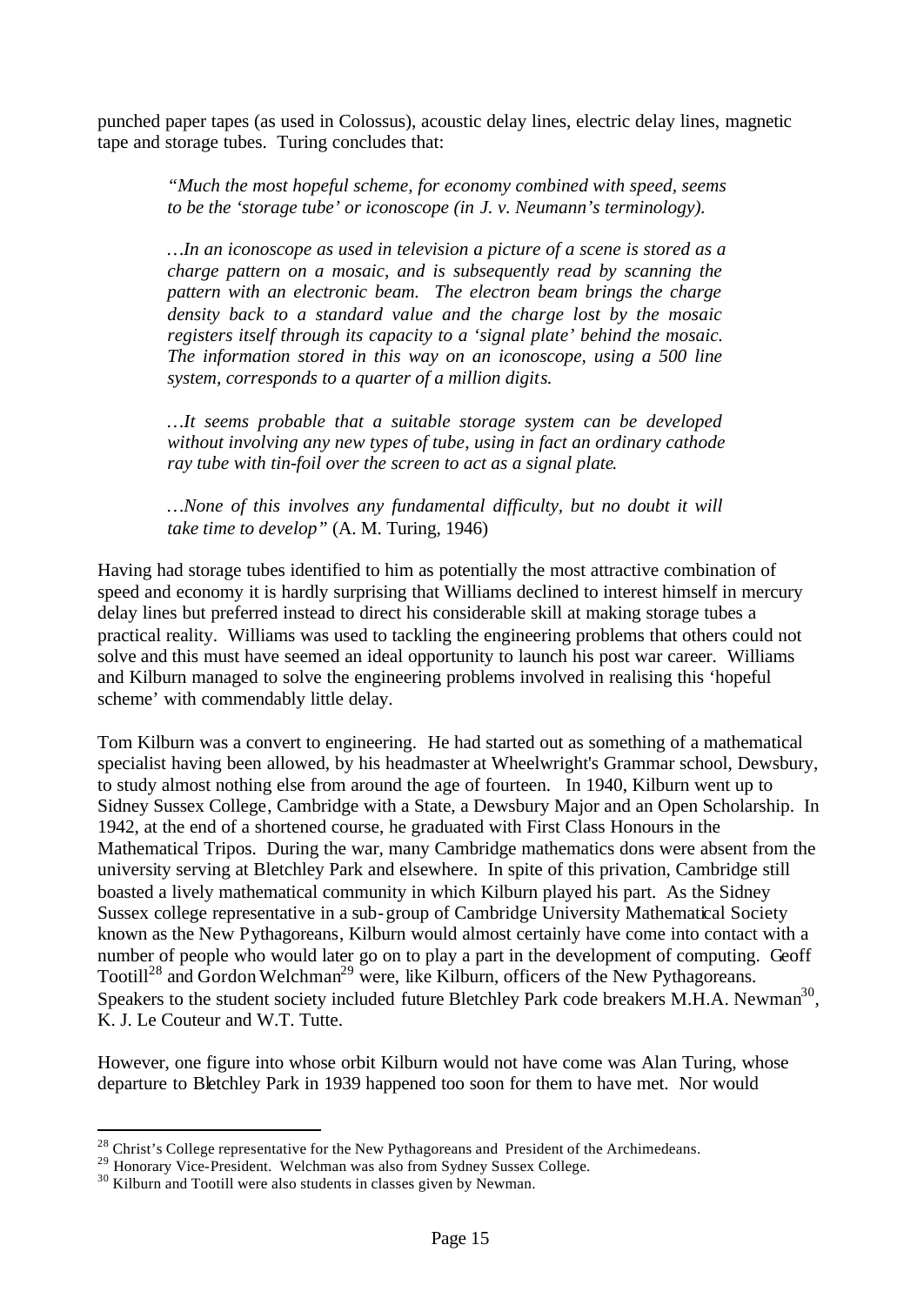punched paper tapes (as used in Colossus), acoustic delay lines, electric delay lines, magnetic tape and storage tubes. Turing concludes that:

*"Much the most hopeful scheme, for economy combined with speed, seems to be the 'storage tube' or iconoscope (in J. v. Neumann's terminology).*

*…In an iconoscope as used in television a picture of a scene is stored as a charge pattern on a mosaic, and is subsequently read by scanning the pattern with an electronic beam. The electron beam brings the charge density back to a standard value and the charge lost by the mosaic registers itself through its capacity to a 'signal plate' behind the mosaic. The information stored in this way on an iconoscope, using a 500 line system, corresponds to a quarter of a million digits.* 

*…It seems probable that a suitable storage system can be developed without involving any new types of tube, using in fact an ordinary cathode ray tube with tin-foil over the screen to act as a signal plate.*

*…None of this involves any fundamental difficulty, but no doubt it will take time to develop"* (A. M. Turing, 1946)

Having had storage tubes identified to him as potentially the most attractive combination of speed and economy it is hardly surprising that Williams declined to interest himself in mercury delay lines but preferred instead to direct his considerable skill at making storage tubes a practical reality. Williams was used to tackling the engineering problems that others could not solve and this must have seemed an ideal opportunity to launch his post war career. Williams and Kilburn managed to solve the engineering problems involved in realising this 'hopeful scheme' with commendably little delay.

Tom Kilburn was a convert to engineering. He had started out as something of a mathematical specialist having been allowed, by his headmaster at Wheelwright's Grammar school, Dewsbury, to study almost nothing else from around the age of fourteen. In 1940, Kilburn went up to Sidney Sussex College, Cambridge with a State, a Dewsbury Major and an Open Scholarship. In 1942, at the end of a shortened course, he graduated with First Class Honours in the Mathematical Tripos. During the war, many Cambridge mathematics dons were absent from the university serving at Bletchley Park and elsewhere. In spite of this privation, Cambridge still boasted a lively mathematical community in which Kilburn played his part. As the Sidney Sussex college representative in a sub-group of Cambridge University Mathematical Society known as the New Pythagoreans, Kilburn would almost certainly have come into contact with a number of people who would later go on to play a part in the development of computing. Geoff Tootill<sup>28</sup> and Gordon Welchman<sup>29</sup> were, like Kilburn, officers of the New Pythagoreans. Speakers to the student society included future Bletchley Park code breakers M.H.A. Newman<sup>30</sup>, K. J. Le Couteur and W.T. Tutte.

However, one figure into whose orbit Kilburn would not have come was Alan Turing, whose departure to Bletchley Park in 1939 happened too soon for them to have met. Nor would

 $28$  Christ's College representative for the New Pythagoreans and President of the Archimedeans.

<sup>&</sup>lt;sup>29</sup> Honorary Vice-President. Welchman was also from Sydney Sussex College.

<sup>&</sup>lt;sup>30</sup> Kilburn and Tootill were also students in classes given by Newman.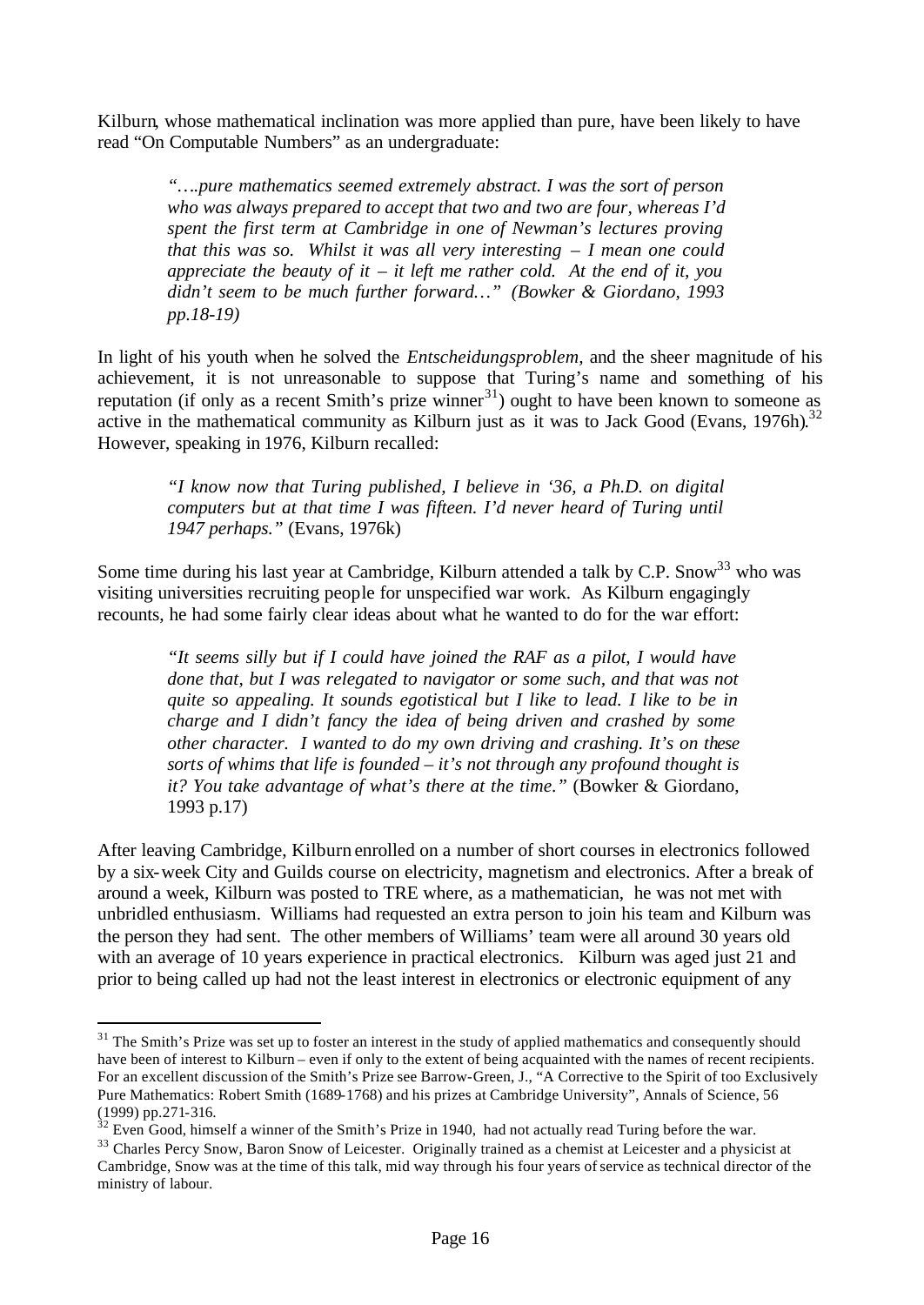Kilburn, whose mathematical inclination was more applied than pure, have been likely to have read "On Computable Numbers" as an undergraduate:

*"….pure mathematics seemed extremely abstract. I was the sort of person who was always prepared to accept that two and two are four, whereas I'd spent the first term at Cambridge in one of Newman's lectures proving that this was so. Whilst it was all very interesting – I mean one could appreciate the beauty of it – it left me rather cold. At the end of it, you didn't seem to be much further forward…" (Bowker & Giordano, 1993 pp.18-19)*

In light of his youth when he solved the *Entscheidungsproblem,* and the sheer magnitude of his achievement, it is not unreasonable to suppose that Turing's name and something of his reputation (if only as a recent Smith's prize winner<sup>31</sup>) ought to have been known to someone as active in the mathematical community as Kilburn just as it was to Jack Good (Evans, 1976h).<sup>32</sup> However, speaking in 1976, Kilburn recalled:

*"I know now that Turing published, I believe in '36, a Ph.D. on digital computers but at that time I was fifteen. I'd never heard of Turing until 1947 perhaps."* (Evans, 1976k)

Some time during his last year at Cambridge, Kilburn attended a talk by C.P. Snow<sup>33</sup> who was visiting universities recruiting people for unspecified war work. As Kilburn engagingly recounts, he had some fairly clear ideas about what he wanted to do for the war effort:

*"It seems silly but if I could have joined the RAF as a pilot, I would have done that, but I was relegated to navigator or some such, and that was not quite so appealing. It sounds egotistical but I like to lead. I like to be in charge and I didn't fancy the idea of being driven and crashed by some other character. I wanted to do my own driving and crashing. It's on these sorts of whims that life is founded – it's not through any profound thought is it? You take advantage of what's there at the time."* (Bowker & Giordano, 1993 p.17)

After leaving Cambridge, Kilburn enrolled on a number of short courses in electronics followed by a six-week City and Guilds course on electricity, magnetism and electronics. After a break of around a week, Kilburn was posted to TRE where, as a mathematician, he was not met with unbridled enthusiasm. Williams had requested an extra person to join his team and Kilburn was the person they had sent. The other members of Williams' team were all around 30 years old with an average of 10 years experience in practical electronics. Kilburn was aged just 21 and prior to being called up had not the least interest in electronics or electronic equipment of any

 $31$  The Smith's Prize was set up to foster an interest in the study of applied mathematics and consequently should have been of interest to Kilburn – even if only to the extent of being acquainted with the names of recent recipients. For an excellent discussion of the Smith's Prize see Barrow-Green, J., "A Corrective to the Spirit of too Exclusively Pure Mathematics: Robert Smith (1689-1768) and his prizes at Cambridge University", Annals of Science, 56 (1999) pp.271-316.

 $32$  Even Good, himself a winner of the Smith's Prize in 1940, had not actually read Turing before the war.

<sup>&</sup>lt;sup>33</sup> Charles Percy Snow, Baron Snow of Leicester. Originally trained as a chemist at Leicester and a physicist at Cambridge, Snow was at the time of this talk, mid way through his four years of service as technical director of the ministry of labour.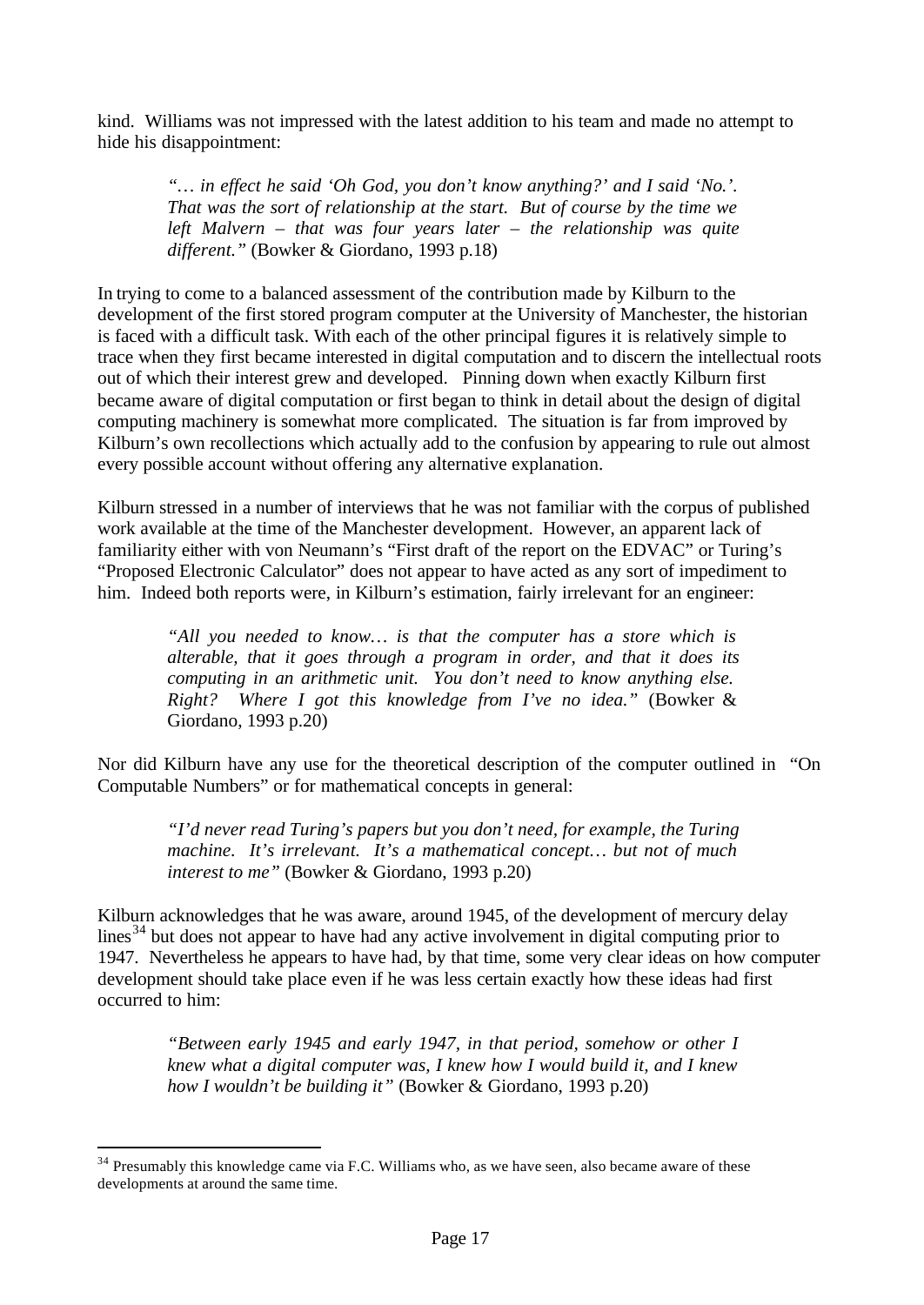kind. Williams was not impressed with the latest addition to his team and made no attempt to hide his disappointment:

*"… in effect he said 'Oh God, you don't know anything?' and I said 'No.'. That was the sort of relationship at the start. But of course by the time we left Malvern – that was four years later – the relationship was quite different."* (Bowker & Giordano, 1993 p.18)

In trying to come to a balanced assessment of the contribution made by Kilburn to the development of the first stored program computer at the University of Manchester, the historian is faced with a difficult task. With each of the other principal figures it is relatively simple to trace when they first became interested in digital computation and to discern the intellectual roots out of which their interest grew and developed. Pinning down when exactly Kilburn first became aware of digital computation or first began to think in detail about the design of digital computing machinery is somewhat more complicated. The situation is far from improved by Kilburn's own recollections which actually add to the confusion by appearing to rule out almost every possible account without offering any alternative explanation.

Kilburn stressed in a number of interviews that he was not familiar with the corpus of published work available at the time of the Manchester development. However, an apparent lack of familiarity either with von Neumann's "First draft of the report on the EDVAC" or Turing's "Proposed Electronic Calculator" does not appear to have acted as any sort of impediment to him. Indeed both reports were, in Kilburn's estimation, fairly irrelevant for an engineer:

*"All you needed to know… is that the computer has a store which is alterable, that it goes through a program in order, and that it does its computing in an arithmetic unit. You don't need to know anything else. Right? Where I got this knowledge from I've no idea."* (Bowker & Giordano, 1993 p.20)

Nor did Kilburn have any use for the theoretical description of the computer outlined in "On Computable Numbers" or for mathematical concepts in general:

*"I'd never read Turing's papers but you don't need, for example, the Turing machine. It's irrelevant. It's a mathematical concept… but not of much interest to me"* (Bowker & Giordano, 1993 p.20)

Kilburn acknowledges that he was aware, around 1945, of the development of mercury delay lines<sup>34</sup> but does not appear to have had any active involvement in digital computing prior to 1947. Nevertheless he appears to have had, by that time, some very clear ideas on how computer development should take place even if he was less certain exactly how these ideas had first occurred to him:

*"Between early 1945 and early 1947, in that period, somehow or other I knew what a digital computer was, I knew how I would build it, and I knew how I wouldn't be building it"* (Bowker & Giordano, 1993 p.20)

<sup>&</sup>lt;sup>34</sup> Presumably this knowledge came via F.C. Williams who, as we have seen, also became aware of these developments at around the same time.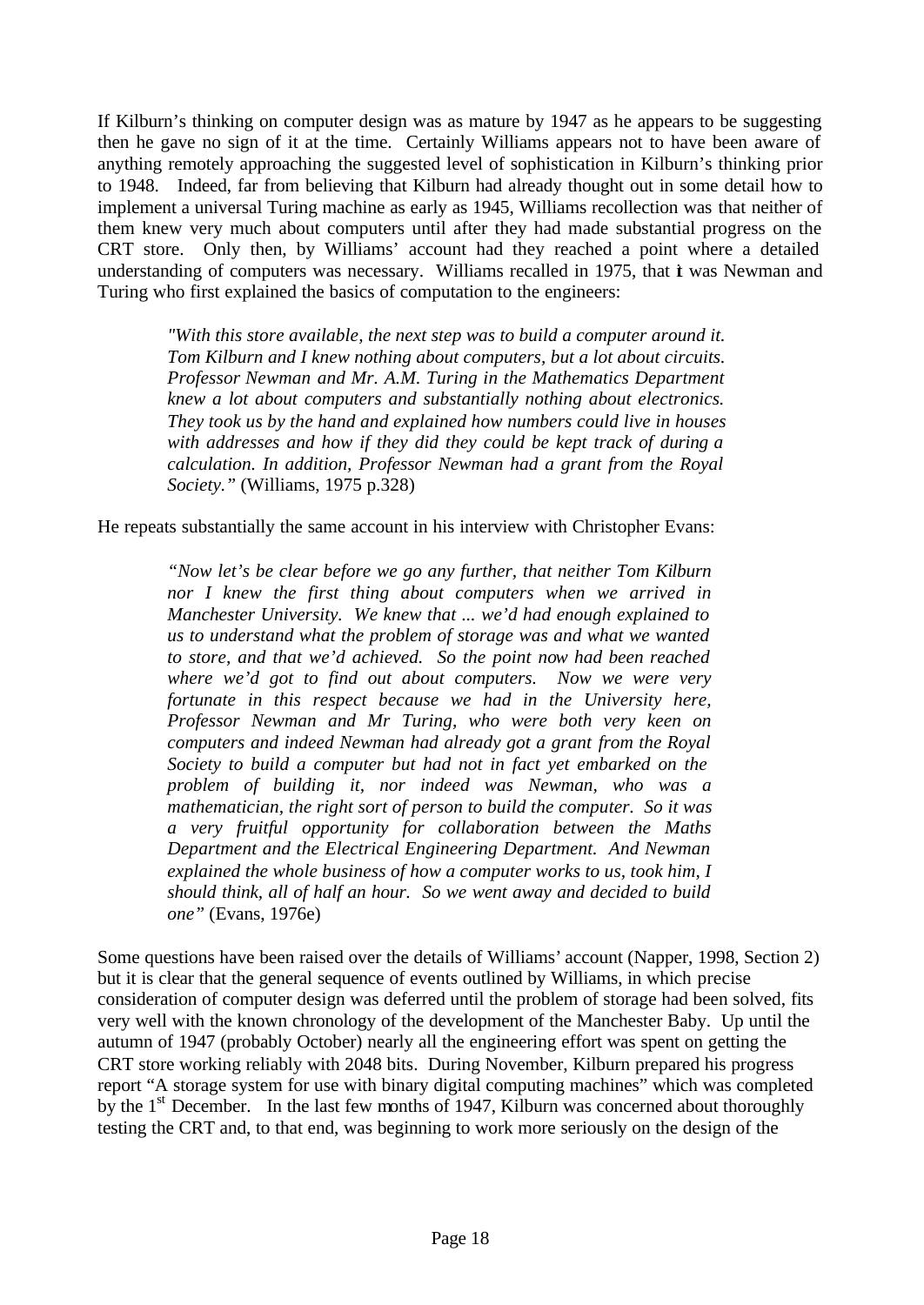If Kilburn's thinking on computer design was as mature by 1947 as he appears to be suggesting then he gave no sign of it at the time. Certainly Williams appears not to have been aware of anything remotely approaching the suggested level of sophistication in Kilburn's thinking prior to 1948. Indeed, far from believing that Kilburn had already thought out in some detail how to implement a universal Turing machine as early as 1945, Williams recollection was that neither of them knew very much about computers until after they had made substantial progress on the CRT store. Only then, by Williams' account had they reached a point where a detailed understanding of computers was necessary. Williams recalled in 1975, that it was Newman and Turing who first explained the basics of computation to the engineers:

*"With this store available, the next step was to build a computer around it. Tom Kilburn and I knew nothing about computers, but a lot about circuits. Professor Newman and Mr. A.M. Turing in the Mathematics Department knew a lot about computers and substantially nothing about electronics. They took us by the hand and explained how numbers could live in houses with addresses and how if they did they could be kept track of during a calculation. In addition, Professor Newman had a grant from the Royal Society."* (Williams, 1975 p.328)

He repeats substantially the same account in his interview with Christopher Evans:

*"Now let's be clear before we go any further, that neither Tom Kilburn nor I knew the first thing about computers when we arrived in Manchester University. We knew that ... we'd had enough explained to us to understand what the problem of storage was and what we wanted to store, and that we'd achieved. So the point now had been reached where we'd got to find out about computers. Now we were very fortunate in this respect because we had in the University here, Professor Newman and Mr Turing, who were both very keen on computers and indeed Newman had already got a grant from the Royal Society to build a computer but had not in fact yet embarked on the problem of building it, nor indeed was Newman, who was a mathematician, the right sort of person to build the computer. So it was a very fruitful opportunity for collaboration between the Maths Department and the Electrical Engineering Department. And Newman explained the whole business of how a computer works to us, took him, I should think, all of half an hour. So we went away and decided to build one"* (Evans, 1976e)

Some questions have been raised over the details of Williams' account (Napper, 1998, Section 2) but it is clear that the general sequence of events outlined by Williams, in which precise consideration of computer design was deferred until the problem of storage had been solved, fits very well with the known chronology of the development of the Manchester Baby. Up until the autumn of 1947 (probably October) nearly all the engineering effort was spent on getting the CRT store working reliably with 2048 bits. During November, Kilburn prepared his progress report "A storage system for use with binary digital computing machines" which was completed by the  $1<sup>st</sup>$  December. In the last few months of 1947, Kilburn was concerned about thoroughly testing the CRT and, to that end, was beginning to work more seriously on the design of the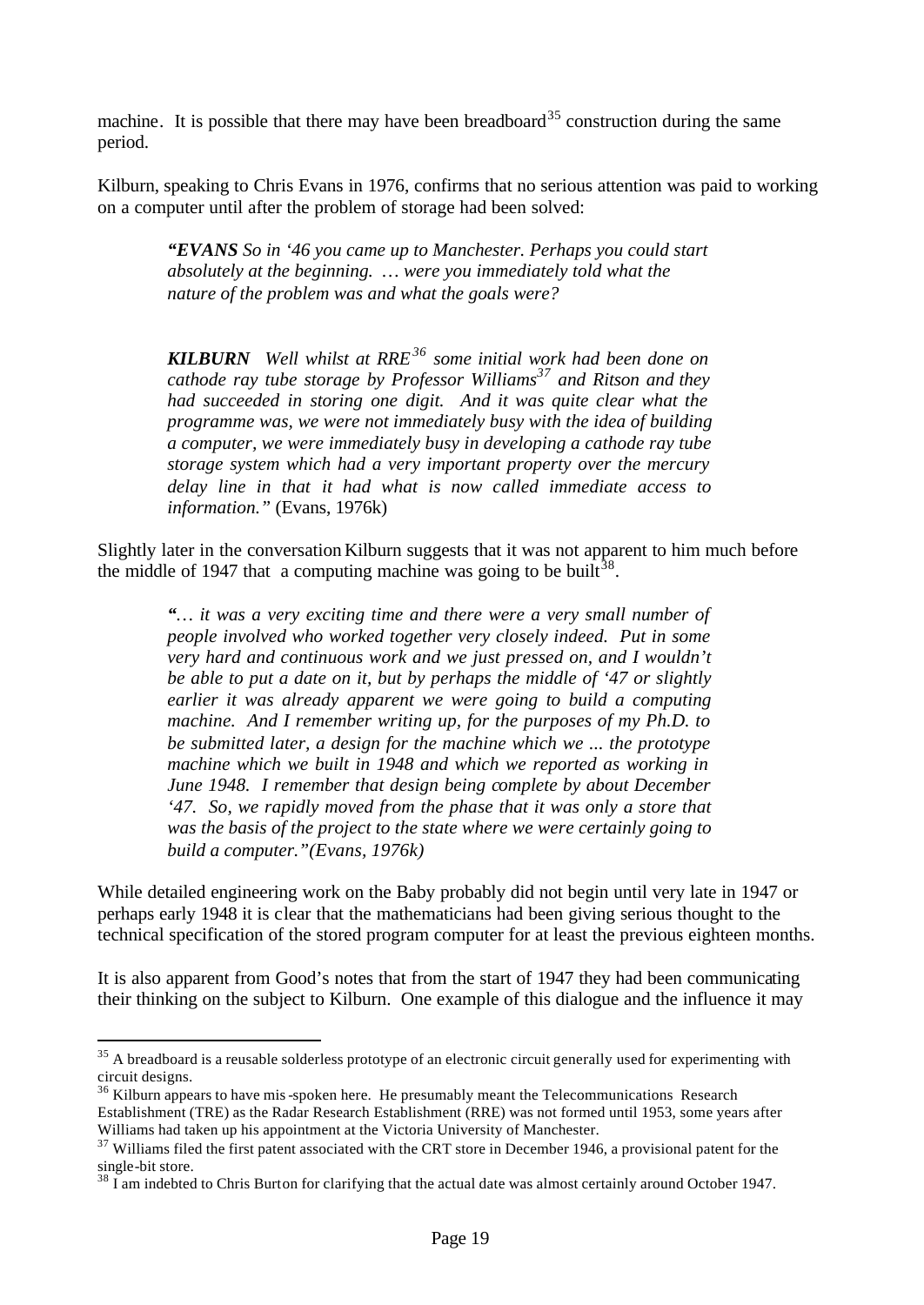machine. It is possible that there may have been breadboard<sup>35</sup> construction during the same period.

Kilburn, speaking to Chris Evans in 1976, confirms that no serious attention was paid to working on a computer until after the problem of storage had been solved:

*"EVANS So in '46 you came up to Manchester. Perhaps you could start absolutely at the beginning. … were you immediately told what the nature of the problem was and what the goals were?*

*KILBURN Well whilst at RRE<sup>36</sup> some initial work had been done on cathode ray tube storage by Professor Williams<sup>37</sup> and Ritson and they had succeeded in storing one digit. And it was quite clear what the programme was, we were not immediately busy with the idea of building a computer, we were immediately busy in developing a cathode ray tube storage system which had a very important property over the mercury delay line in that it had what is now called immediate access to information."* (Evans, 1976k)

Slightly later in the conversation Kilburn suggests that it was not apparent to him much before the middle of 1947 that a computing machine was going to be built<sup>38</sup>.

*"… it was a very exciting time and there were a very small number of people involved who worked together very closely indeed. Put in some very hard and continuous work and we just pressed on, and I wouldn't be able to put a date on it, but by perhaps the middle of '47 or slightly earlier it was already apparent we were going to build a computing machine. And I remember writing up, for the purposes of my Ph.D. to be submitted later, a design for the machine which we ... the prototype machine which we built in 1948 and which we reported as working in June 1948. I remember that design being complete by about December '47. So, we rapidly moved from the phase that it was only a store that was the basis of the project to the state where we were certainly going to build a computer."(Evans, 1976k)*

While detailed engineering work on the Baby probably did not begin until very late in 1947 or perhaps early 1948 it is clear that the mathematicians had been giving serious thought to the technical specification of the stored program computer for at least the previous eighteen months.

It is also apparent from Good's notes that from the start of 1947 they had been communicating their thinking on the subject to Kilburn. One example of this dialogue and the influence it may

<sup>&</sup>lt;sup>35</sup> A breadboard is a reusable solderless prototype of an electronic circuit generally used for experimenting with circuit designs.

<sup>&</sup>lt;sup>36</sup> Kilburn appears to have mis-spoken here. He presumably meant the Telecommunications Research Establishment (TRE) as the Radar Research Establishment (RRE) was not formed until 1953, some years after Williams had taken up his appointment at the Victoria University of Manchester.

<sup>&</sup>lt;sup>37</sup> Williams filed the first patent associated with the CRT store in December 1946, a provisional patent for the single-bit store.

 $38$  I am indebted to Chris Burton for clarifying that the actual date was almost certainly around October 1947.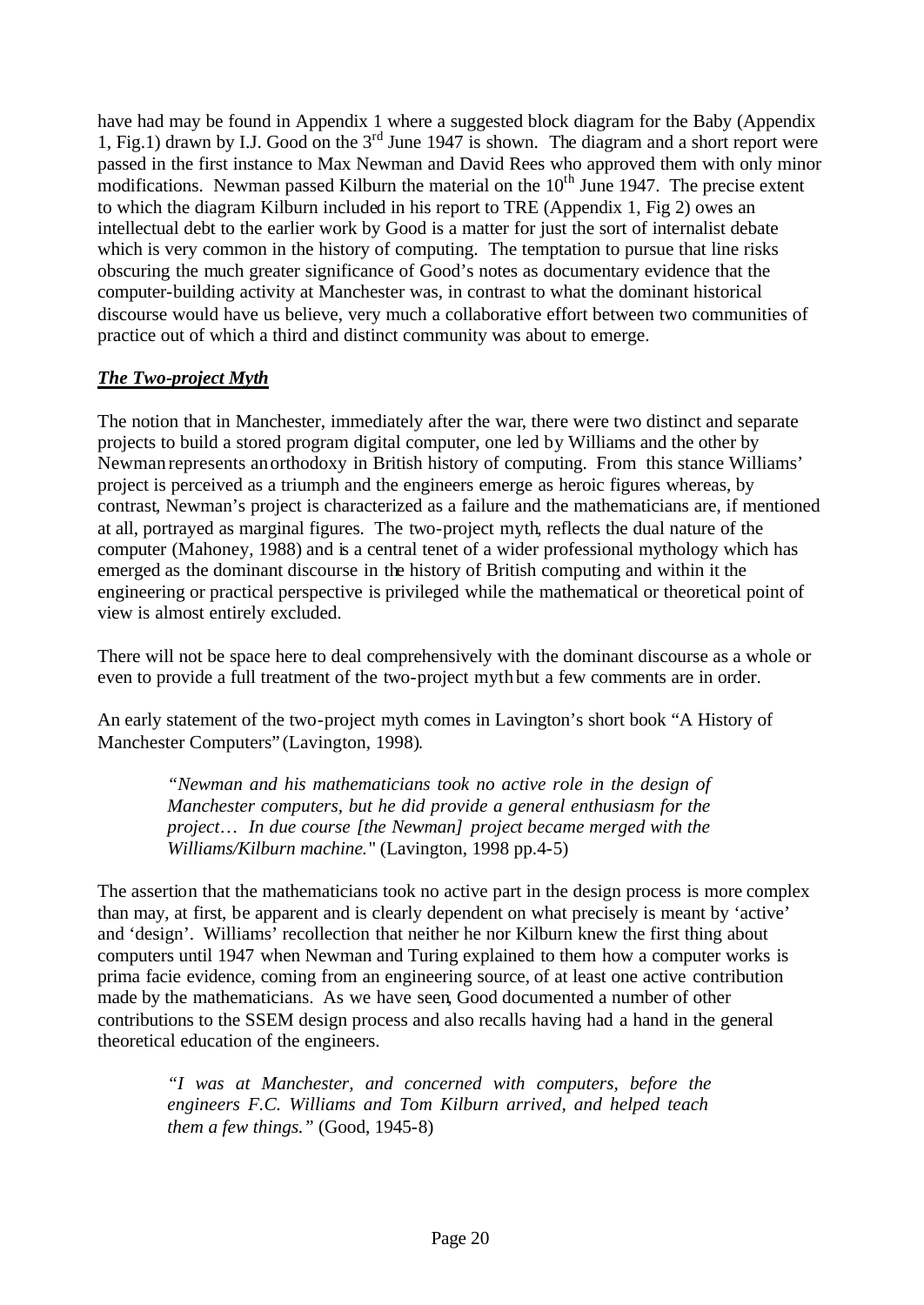have had may be found in Appendix 1 where a suggested block diagram for the Baby (Appendix 1, Fig.1) drawn by I.J. Good on the 3<sup>rd</sup> June 1947 is shown. The diagram and a short report were passed in the first instance to Max Newman and David Rees who approved them with only minor modifications. Newman passed Kilburn the material on the  $10<sup>th</sup>$  June 1947. The precise extent to which the diagram Kilburn included in his report to TRE (Appendix 1, Fig 2) owes an intellectual debt to the earlier work by Good is a matter for just the sort of internalist debate which is very common in the history of computing. The temptation to pursue that line risks obscuring the much greater significance of Good's notes as documentary evidence that the computer-building activity at Manchester was, in contrast to what the dominant historical discourse would have us believe, very much a collaborative effort between two communities of practice out of which a third and distinct community was about to emerge.

#### *The Two-project Myth*

The notion that in Manchester, immediately after the war, there were two distinct and separate projects to build a stored program digital computer, one led by Williams and the other by Newman represents an orthodoxy in British history of computing. From this stance Williams' project is perceived as a triumph and the engineers emerge as heroic figures whereas, by contrast, Newman's project is characterized as a failure and the mathematicians are, if mentioned at all, portrayed as marginal figures. The two-project myth, reflects the dual nature of the computer (Mahoney, 1988) and is a central tenet of a wider professional mythology which has emerged as the dominant discourse in the history of British computing and within it the engineering or practical perspective is privileged while the mathematical or theoretical point of view is almost entirely excluded.

There will not be space here to deal comprehensively with the dominant discourse as a whole or even to provide a full treatment of the two-project myth but a few comments are in order.

An early statement of the two-project myth comes in Lavington's short book "A History of Manchester Computers" (Lavington, 1998).

> *"Newman and his mathematicians took no active role in the design of Manchester computers, but he did provide a general enthusiasm for the project… In due course [the Newman] project became merged with the Williams/Kilburn machine.*" (Lavington, 1998 pp.4-5)

The assertion that the mathematicians took no active part in the design process is more complex than may, at first, be apparent and is clearly dependent on what precisely is meant by 'active' and 'design'. Williams' recollection that neither he nor Kilburn knew the first thing about computers until 1947 when Newman and Turing explained to them how a computer works is prima facie evidence, coming from an engineering source, of at least one active contribution made by the mathematicians. As we have seen, Good documented a number of other contributions to the SSEM design process and also recalls having had a hand in the general theoretical education of the engineers.

*"I was at Manchester, and concerned with computers, before the engineers F.C. Williams and Tom Kilburn arrived, and helped teach them a few things."* (Good, 1945-8)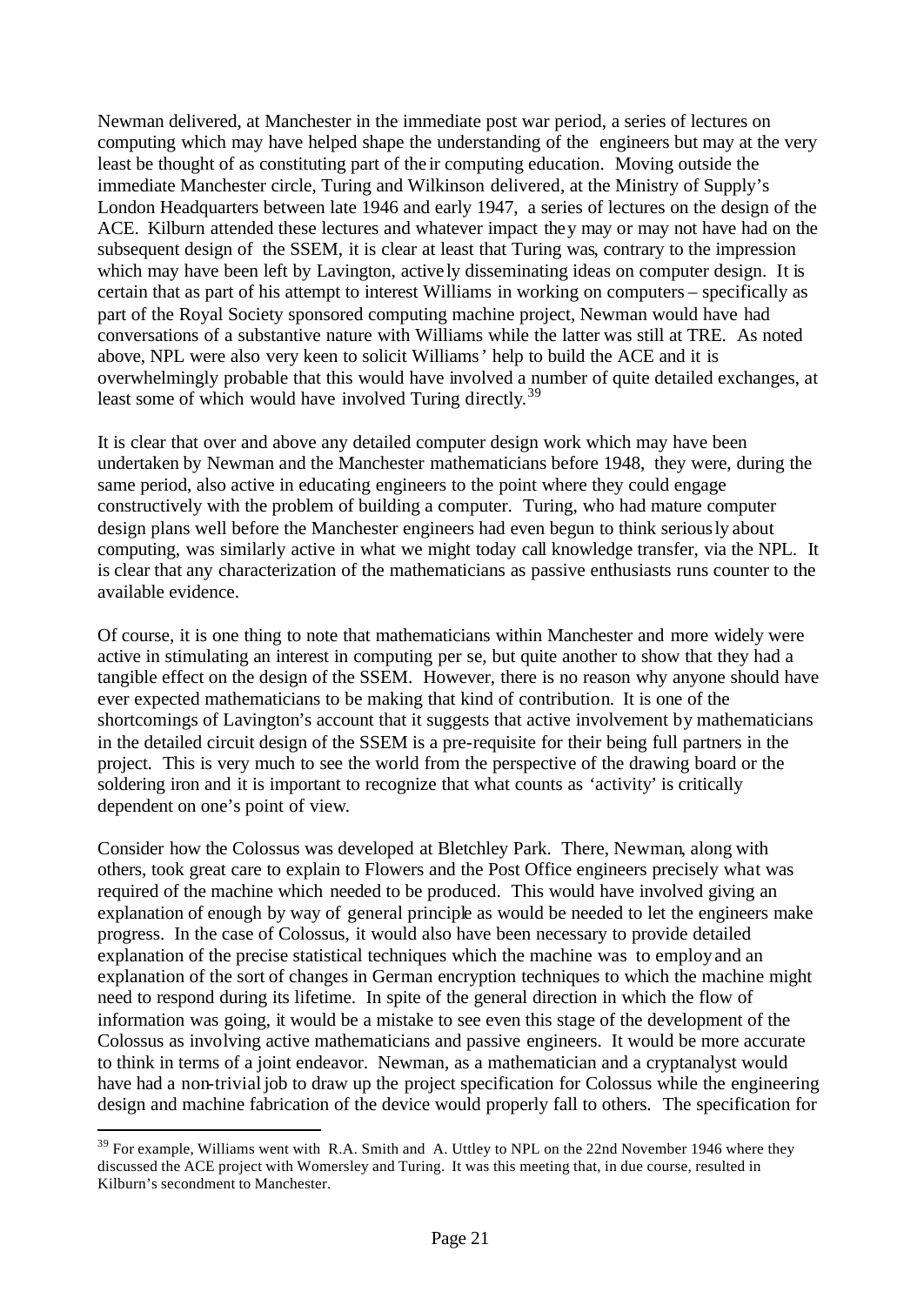Newman delivered, at Manchester in the immediate post war period, a series of lectures on computing which may have helped shape the understanding of the engineers but may at the very least be thought of as constituting part of the ir computing education. Moving outside the immediate Manchester circle, Turing and Wilkinson delivered, at the Ministry of Supply's London Headquarters between late 1946 and early 1947, a series of lectures on the design of the ACE. Kilburn attended these lectures and whatever impact they may or may not have had on the subsequent design of the SSEM, it is clear at least that Turing was, contrary to the impression which may have been left by Lavington, active ly disseminating ideas on computer design. It is certain that as part of his attempt to interest Williams in working on computers – specifically as part of the Royal Society sponsored computing machine project, Newman would have had conversations of a substantive nature with Williams while the latter was still at TRE. As noted above, NPL were also very keen to solicit Williams' help to build the ACE and it is overwhelmingly probable that this would have involved a number of quite detailed exchanges, at least some of which would have involved Turing directly.<sup>39</sup>

It is clear that over and above any detailed computer design work which may have been undertaken by Newman and the Manchester mathematicians before 1948, they were, during the same period, also active in educating engineers to the point where they could engage constructively with the problem of building a computer. Turing, who had mature computer design plans well before the Manchester engineers had even begun to think seriously about computing, was similarly active in what we might today call knowledge transfer, via the NPL. It is clear that any characterization of the mathematicians as passive enthusiasts runs counter to the available evidence.

Of course, it is one thing to note that mathematicians within Manchester and more widely were active in stimulating an interest in computing per se, but quite another to show that they had a tangible effect on the design of the SSEM. However, there is no reason why anyone should have ever expected mathematicians to be making that kind of contribution. It is one of the shortcomings of Lavington's account that it suggests that active involvement by mathematicians in the detailed circuit design of the SSEM is a pre-requisite for their being full partners in the project. This is very much to see the world from the perspective of the drawing board or the soldering iron and it is important to recognize that what counts as 'activity' is critically dependent on one's point of view.

Consider how the Colossus was developed at Bletchley Park. There, Newman, along with others, took great care to explain to Flowers and the Post Office engineers precisely what was required of the machine which needed to be produced. This would have involved giving an explanation of enough by way of general principle as would be needed to let the engineers make progress. In the case of Colossus, it would also have been necessary to provide detailed explanation of the precise statistical techniques which the machine was to employ and an explanation of the sort of changes in German encryption techniques to which the machine might need to respond during its lifetime. In spite of the general direction in which the flow of information was going, it would be a mistake to see even this stage of the development of the Colossus as involving active mathematicians and passive engineers. It would be more accurate to think in terms of a joint endeavor. Newman, as a mathematician and a cryptanalyst would have had a non-trivial job to draw up the project specification for Colossus while the engineering design and machine fabrication of the device would properly fall to others. The specification for

<sup>&</sup>lt;sup>39</sup> For example, Williams went with R.A. Smith and A. Uttley to NPL on the 22nd November 1946 where they discussed the ACE project with Womersley and Turing. It was this meeting that, in due course, resulted in Kilburn's secondment to Manchester.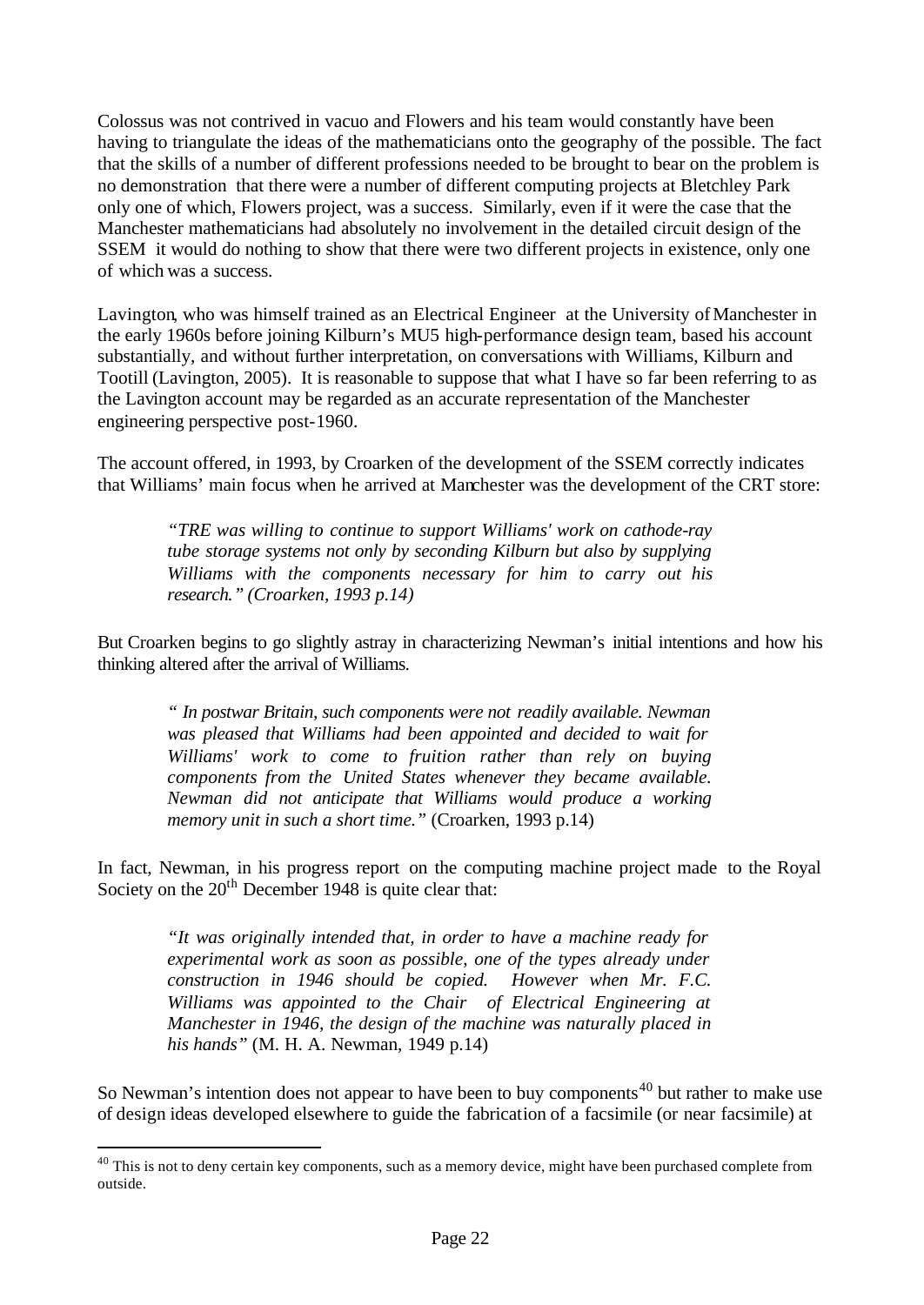Colossus was not contrived in vacuo and Flowers and his team would constantly have been having to triangulate the ideas of the mathematicians onto the geography of the possible. The fact that the skills of a number of different professions needed to be brought to bear on the problem is no demonstration that there were a number of different computing projects at Bletchley Park only one of which, Flowers project, was a success. Similarly, even if it were the case that the Manchester mathematicians had absolutely no involvement in the detailed circuit design of the SSEM it would do nothing to show that there were two different projects in existence, only one of which was a success.

Lavington, who was himself trained as an Electrical Engineer at the University of Manchester in the early 1960s before joining Kilburn's MU5 high-performance design team, based his account substantially, and without further interpretation, on conversations with Williams, Kilburn and Tootill (Lavington, 2005). It is reasonable to suppose that what I have so far been referring to as the Lavington account may be regarded as an accurate representation of the Manchester engineering perspective post-1960.

The account offered, in 1993, by Croarken of the development of the SSEM correctly indicates that Williams' main focus when he arrived at Manchester was the development of the CRT store:

*"TRE was willing to continue to support Williams' work on cathode-ray tube storage systems not only by seconding Kilburn but also by supplying Williams with the components necessary for him to carry out his research." (Croarken, 1993 p.14)*

But Croarken begins to go slightly astray in characterizing Newman's initial intentions and how his thinking altered after the arrival of Williams.

*" In postwar Britain, such components were not readily available. Newman was pleased that Williams had been appointed and decided to wait for Williams' work to come to fruition rather than rely on buying components from the United States whenever they became available. Newman did not anticipate that Williams would produce a working memory unit in such a short time."* (Croarken, 1993 p.14)

In fact, Newman, in his progress report on the computing machine project made to the Royal Society on the  $20<sup>th</sup>$  December 1948 is quite clear that:

*"It was originally intended that, in order to have a machine ready for experimental work as soon as possible, one of the types already under construction in 1946 should be copied. However when Mr. F.C. Williams was appointed to the Chair of Electrical Engineering at Manchester in 1946, the design of the machine was naturally placed in his hands"* (M. H. A. Newman, 1949 p.14)

So Newman's intention does not appear to have been to buy components<sup>40</sup> but rather to make use of design ideas developed elsewhere to guide the fabrication of a facsimile (or near facsimile) at

<sup>&</sup>lt;sup>40</sup> This is not to deny certain key components, such as a memory device, might have been purchased complete from outside.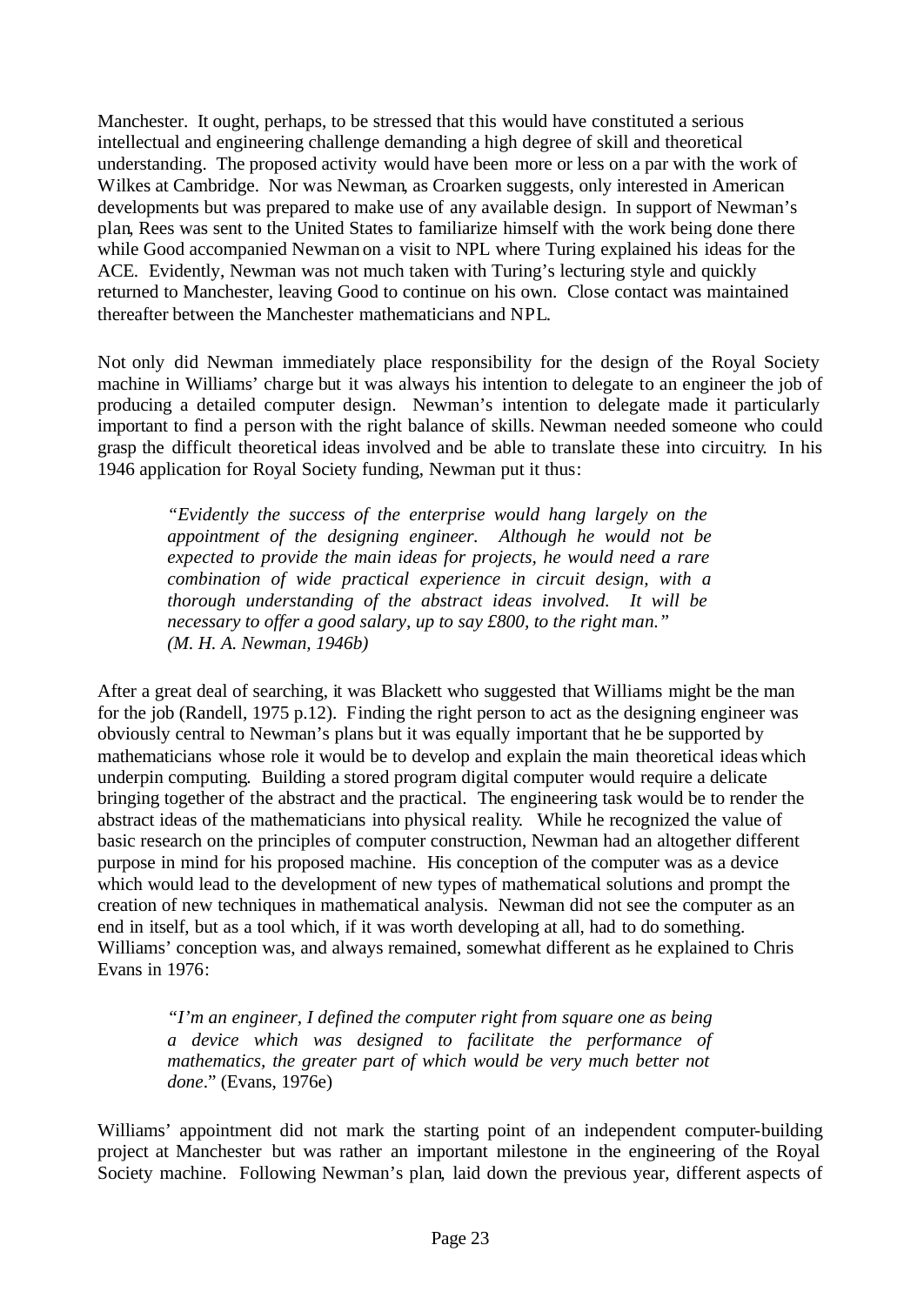Manchester. It ought, perhaps, to be stressed that this would have constituted a serious intellectual and engineering challenge demanding a high degree of skill and theoretical understanding. The proposed activity would have been more or less on a par with the work of Wilkes at Cambridge. Nor was Newman, as Croarken suggests, only interested in American developments but was prepared to make use of any available design. In support of Newman's plan, Rees was sent to the United States to familiarize himself with the work being done there while Good accompanied Newman on a visit to NPL where Turing explained his ideas for the ACE. Evidently, Newman was not much taken with Turing's lecturing style and quickly returned to Manchester, leaving Good to continue on his own. Close contact was maintained thereafter between the Manchester mathematicians and NPL.

Not only did Newman immediately place responsibility for the design of the Royal Society machine in Williams' charge but it was always his intention to delegate to an engineer the job of producing a detailed computer design. Newman's intention to delegate made it particularly important to find a person with the right balance of skills. Newman needed someone who could grasp the difficult theoretical ideas involved and be able to translate these into circuitry. In his 1946 application for Royal Society funding, Newman put it thus:

*"Evidently the success of the enterprise would hang largely on the appointment of the designing engineer. Although he would not be expected to provide the main ideas for projects, he would need a rare combination of wide practical experience in circuit design, with a thorough understanding of the abstract ideas involved. It will be necessary to offer a good salary, up to say £800, to the right man." (M. H. A. Newman, 1946b)*

After a great deal of searching, it was Blackett who suggested that Williams might be the man for the job (Randell, 1975 p.12). Finding the right person to act as the designing engineer was obviously central to Newman's plans but it was equally important that he be supported by mathematicians whose role it would be to develop and explain the main theoretical ideas which underpin computing. Building a stored program digital computer would require a delicate bringing together of the abstract and the practical. The engineering task would be to render the abstract ideas of the mathematicians into physical reality. While he recognized the value of basic research on the principles of computer construction, Newman had an altogether different purpose in mind for his proposed machine. His conception of the computer was as a device which would lead to the development of new types of mathematical solutions and prompt the creation of new techniques in mathematical analysis. Newman did not see the computer as an end in itself, but as a tool which, if it was worth developing at all, had to do something. Williams' conception was, and always remained, somewhat different as he explained to Chris Evans in 1976:

*"I'm an engineer, I defined the computer right from square one as being a device which was designed to facilitate the performance of mathematics, the greater part of which would be very much better not done*." (Evans, 1976e)

Williams' appointment did not mark the starting point of an independent computer-building project at Manchester but was rather an important milestone in the engineering of the Royal Society machine. Following Newman's plan, laid down the previous year, different aspects of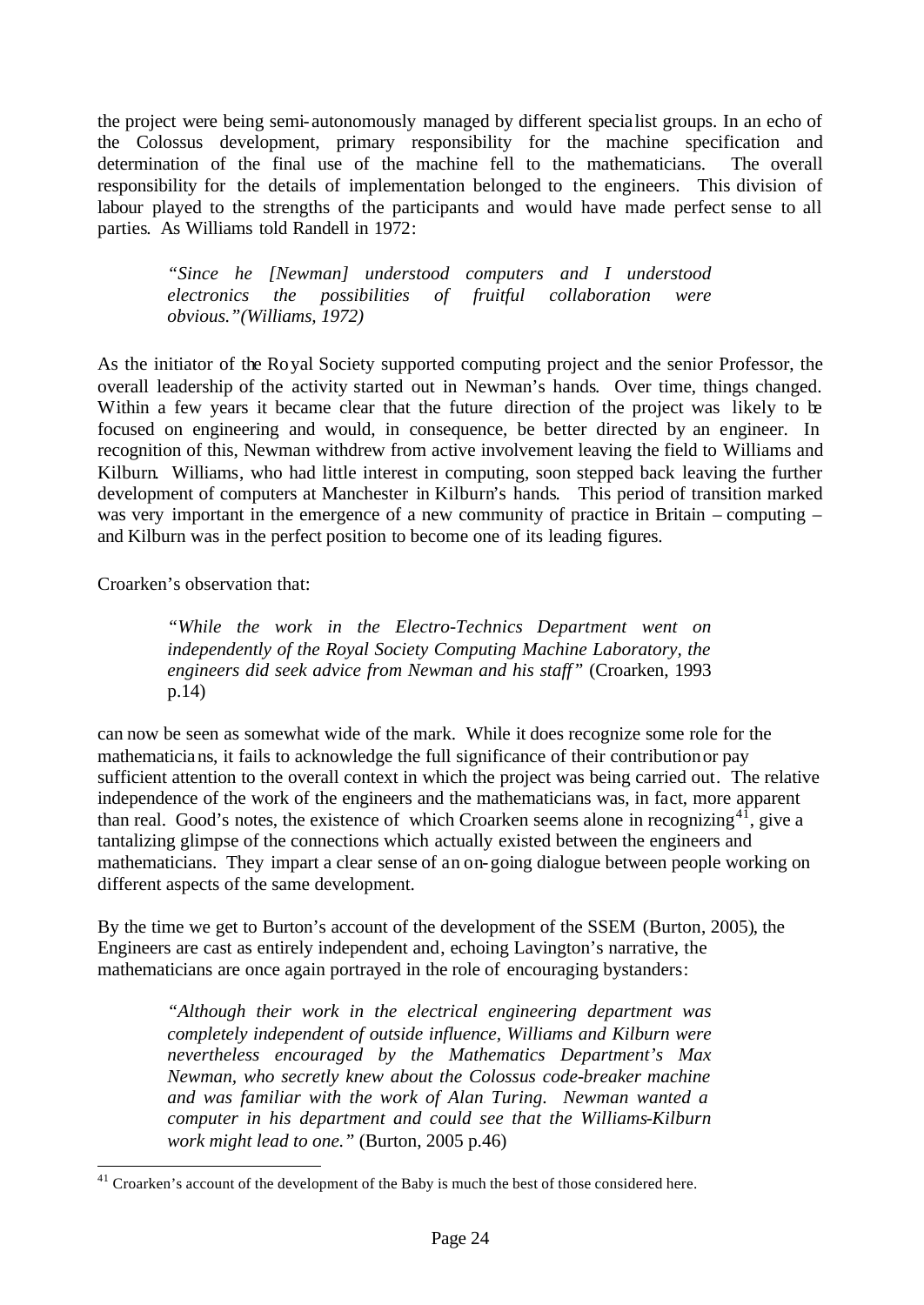the project were being semi-autonomously managed by different specialist groups. In an echo of the Colossus development, primary responsibility for the machine specification and determination of the final use of the machine fell to the mathematicians. The overall responsibility for the details of implementation belonged to the engineers. This division of labour played to the strengths of the participants and would have made perfect sense to all parties. As Williams told Randell in 1972:

*"Since he [Newman] understood computers and I understood electronics the possibilities of fruitful collaboration were obvious."(Williams, 1972)*

As the initiator of the Royal Society supported computing project and the senior Professor, the overall leadership of the activity started out in Newman's hands. Over time, things changed. Within a few years it became clear that the future direction of the project was likely to be focused on engineering and would, in consequence, be better directed by an engineer. In recognition of this, Newman withdrew from active involvement leaving the field to Williams and Kilburn. Williams, who had little interest in computing, soon stepped back leaving the further development of computers at Manchester in Kilburn's hands. This period of transition marked was very important in the emergence of a new community of practice in Britain – computing – and Kilburn was in the perfect position to become one of its leading figures.

Croarken's observation that:

l

*"While the work in the Electro-Technics Department went on independently of the Royal Society Computing Machine Laboratory, the engineers did seek advice from Newman and his staff"* (Croarken, 1993 p.14)

can now be seen as somewhat wide of the mark. While it does recognize some role for the mathematicians, it fails to acknowledge the full significance of their contribution or pay sufficient attention to the overall context in which the project was being carried out. The relative independence of the work of the engineers and the mathematicians was, in fact, more apparent than real. Good's notes, the existence of which Croarken seems alone in recognizing  $4^{1}$ , give a tantalizing glimpse of the connections which actually existed between the engineers and mathematicians. They impart a clear sense of an on-going dialogue between people working on different aspects of the same development.

By the time we get to Burton's account of the development of the SSEM (Burton, 2005), the Engineers are cast as entirely independent and, echoing Lavington's narrative, the mathematicians are once again portrayed in the role of encouraging bystanders:

> *"Although their work in the electrical engineering department was completely independent of outside influence, Williams and Kilburn were nevertheless encouraged by the Mathematics Department's Max Newman, who secretly knew about the Colossus code-breaker machine and was familiar with the work of Alan Turing. Newman wanted a computer in his department and could see that the Williams-Kilburn work might lead to one."* (Burton, 2005 p.46)

 $41$  Croarken's account of the development of the Baby is much the best of those considered here.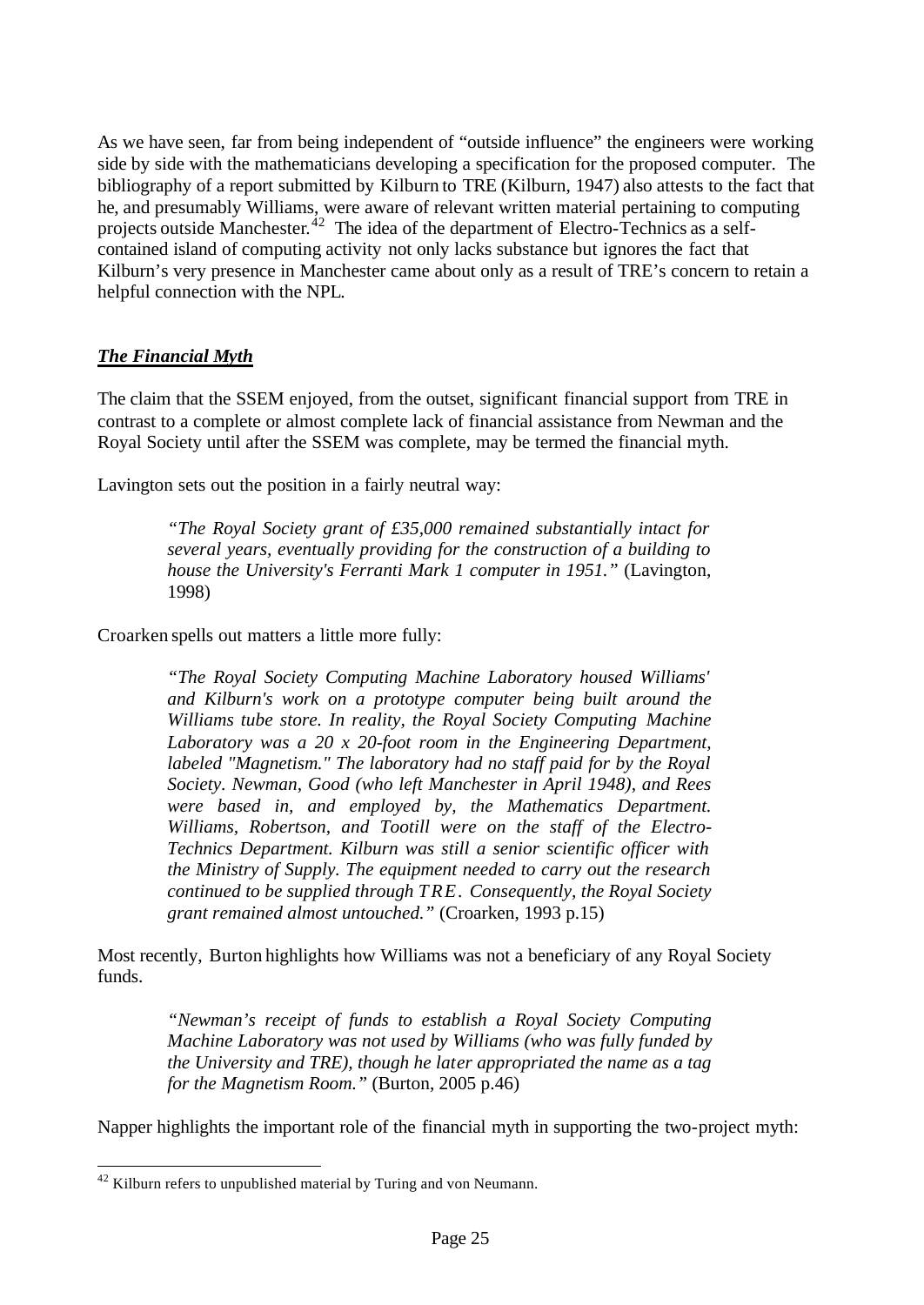As we have seen, far from being independent of "outside influence" the engineers were working side by side with the mathematicians developing a specification for the proposed computer. The bibliography of a report submitted by Kilburn to TRE (Kilburn, 1947) also attests to the fact that he, and presumably Williams, were aware of relevant written material pertaining to computing projects outside Manchester.<sup>42</sup> The idea of the department of Electro-Technics as a selfcontained island of computing activity not only lacks substance but ignores the fact that Kilburn's very presence in Manchester came about only as a result of TRE's concern to retain a helpful connection with the NPL.

#### *The Financial Myth*

The claim that the SSEM enjoyed, from the outset, significant financial support from TRE in contrast to a complete or almost complete lack of financial assistance from Newman and the Royal Society until after the SSEM was complete, may be termed the financial myth.

Lavington sets out the position in a fairly neutral way:

*"The Royal Society grant of £35,000 remained substantially intact for several years, eventually providing for the construction of a building to house the University's Ferranti Mark 1 computer in 1951."* (Lavington, 1998)

Croarken spells out matters a little more fully:

*"The Royal Society Computing Machine Laboratory housed Williams' and Kilburn's work on a prototype computer being built around the Williams tube store. In reality, the Royal Society Computing Machine Laboratory was a 20 x 20-foot room in the Engineering Department, labeled "Magnetism." The laboratory had no staff paid for by the Royal Society. Newman, Good (who left Manchester in April 1948), and Rees were based in, and employed by, the Mathematics Department. Williams, Robertson, and Tootill were on the staff of the Electro-Technics Department. Kilburn was still a senior scientific officer with the Ministry of Supply. The equipment needed to carry out the research continued to be supplied through TRE. Consequently, the Royal Society grant remained almost untouched."* (Croarken, 1993 p.15)

Most recently, Burton highlights how Williams was not a beneficiary of any Royal Society funds.

> *"Newman's receipt of funds to establish a Royal Society Computing Machine Laboratory was not used by Williams (who was fully funded by the University and TRE), though he later appropriated the name as a tag for the Magnetism Room."* (Burton, 2005 p.46)

Napper highlights the important role of the financial myth in supporting the two-project myth:

l  $42$  Kilburn refers to unpublished material by Turing and von Neumann.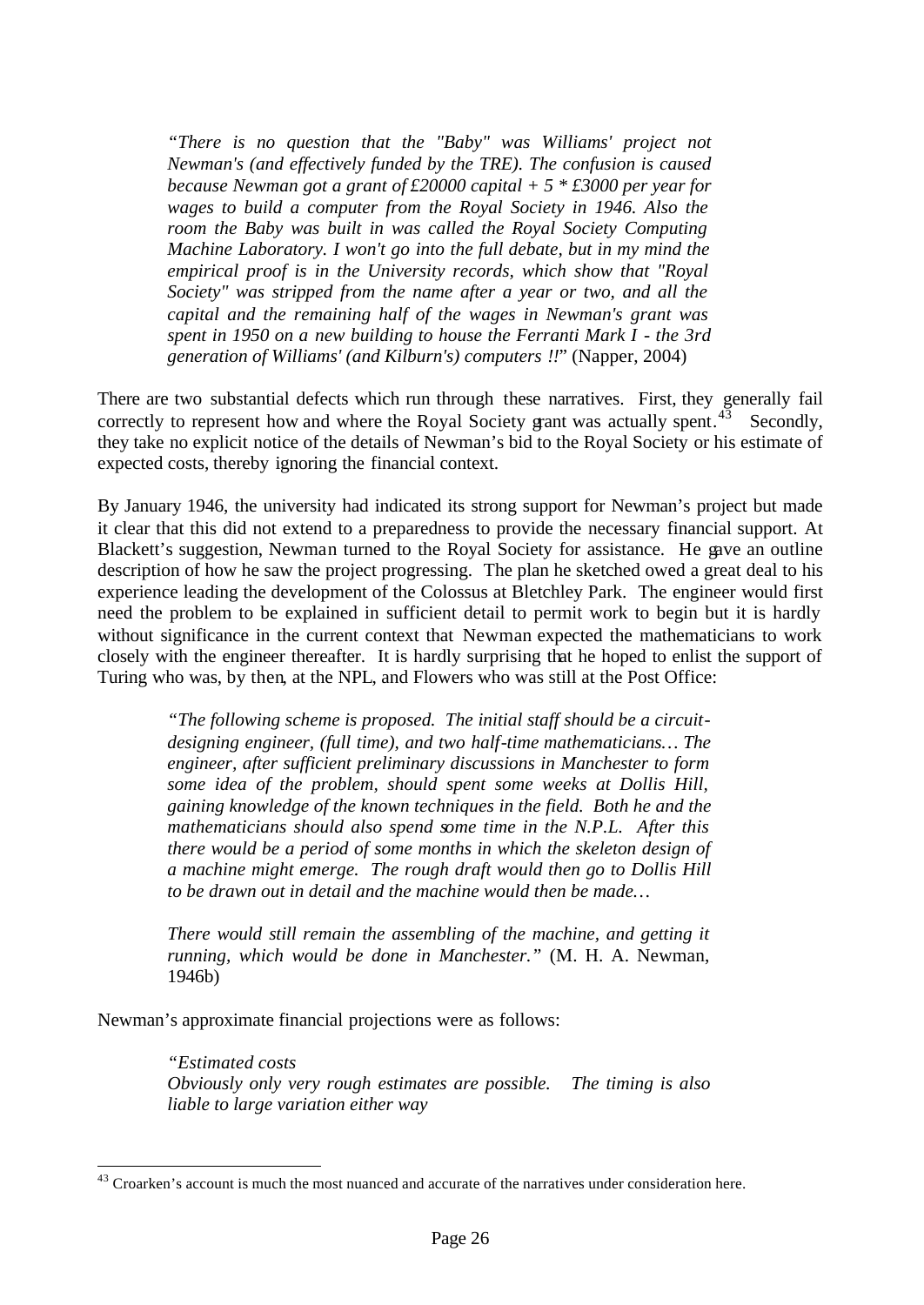*"There is no question that the "Baby" was Williams' project not Newman's (and effectively funded by the TRE). The confusion is caused because Newman got a grant of £20000 capital + 5 \* £3000 per year for wages to build a computer from the Royal Society in 1946. Also the room the Baby was built in was called the Royal Society Computing Machine Laboratory. I won't go into the full debate, but in my mind the empirical proof is in the University records, which show that "Royal Society" was stripped from the name after a year or two, and all the capital and the remaining half of the wages in Newman's grant was spent in 1950 on a new building to house the Ferranti Mark I - the 3rd generation of Williams' (and Kilburn's) computers !!*" (Napper, 2004)

There are two substantial defects which run through these narratives. First, they generally fail correctly to represent how and where the Royal Society grant was actually spent.<sup>43</sup> Secondly. they take no explicit notice of the details of Newman's bid to the Royal Society or his estimate of expected costs, thereby ignoring the financial context.

By January 1946, the university had indicated its strong support for Newman's project but made it clear that this did not extend to a preparedness to provide the necessary financial support. At Blackett's suggestion, Newman turned to the Royal Society for assistance. He gave an outline description of how he saw the project progressing. The plan he sketched owed a great deal to his experience leading the development of the Colossus at Bletchley Park. The engineer would first need the problem to be explained in sufficient detail to permit work to begin but it is hardly without significance in the current context that Newman expected the mathematicians to work closely with the engineer thereafter. It is hardly surprising that he hoped to enlist the support of Turing who was, by then, at the NPL, and Flowers who was still at the Post Office:

*"The following scheme is proposed. The initial staff should be a circuitdesigning engineer, (full time), and two half-time mathematicians… The engineer, after sufficient preliminary discussions in Manchester to form some idea of the problem, should spent some weeks at Dollis Hill, gaining knowledge of the known techniques in the field. Both he and the mathematicians should also spend some time in the N.P.L. After this there would be a period of some months in which the skeleton design of a machine might emerge. The rough draft would then go to Dollis Hill to be drawn out in detail and the machine would then be made…*

*There would still remain the assembling of the machine, and getting it running, which would be done in Manchester."* (M. H. A. Newman, 1946b)

Newman's approximate financial projections were as follows:

l

*"Estimated costs Obviously only very rough estimates are possible. The timing is also liable to large variation either way*

 $43$  Croarken's account is much the most nuanced and accurate of the narratives under consideration here.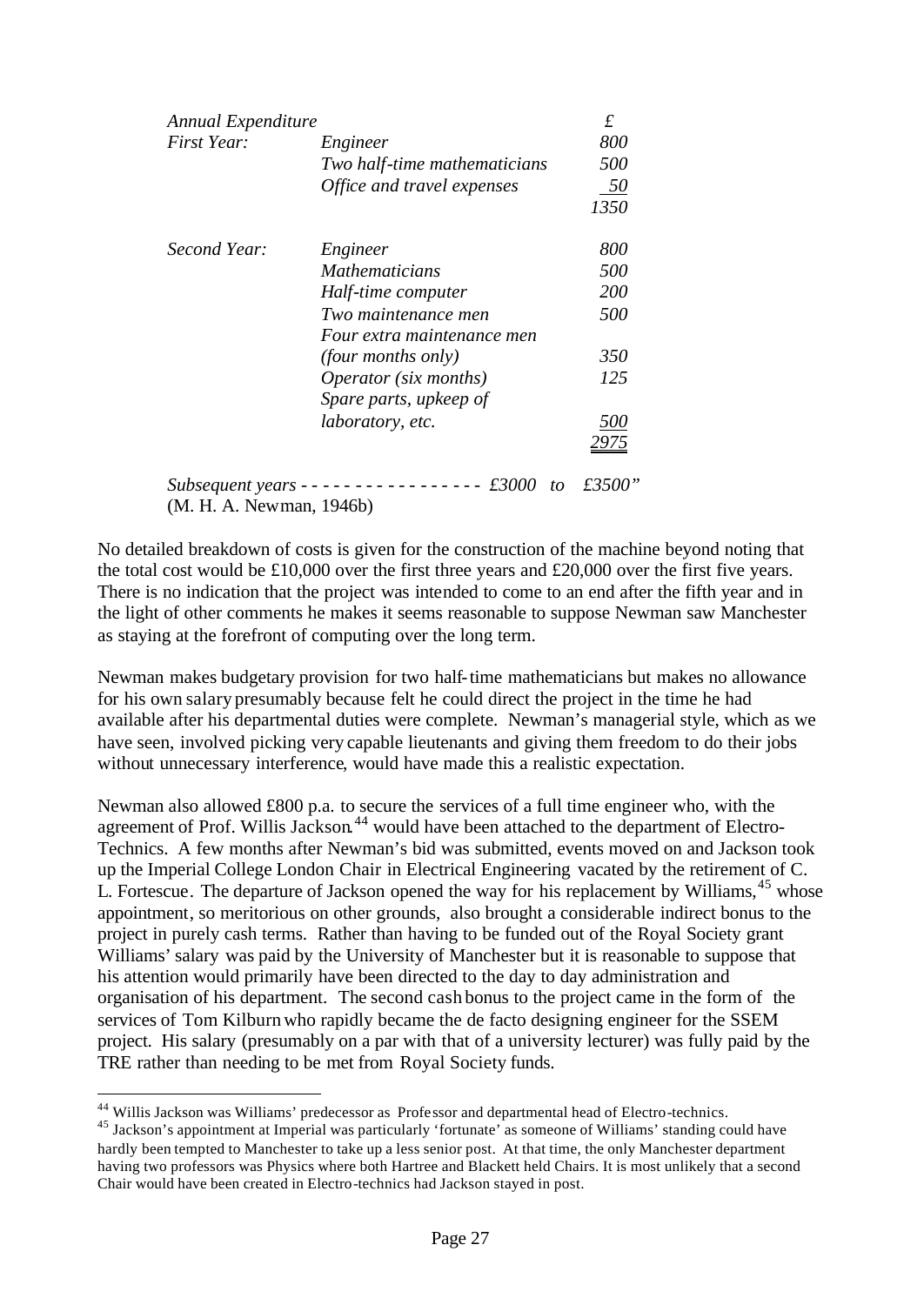| Annual Expenditure       |                              | £          |
|--------------------------|------------------------------|------------|
| First Year:              | Engineer                     | 800        |
|                          | Two half-time mathematicians | <i>500</i> |
|                          | Office and travel expenses   | 50         |
|                          |                              | 1350       |
| Second Year:             | Engineer                     | 800        |
|                          | <b>Mathematicians</b>        | 500        |
|                          | Half-time computer           | 200        |
|                          | Two maintenance men          | 500        |
|                          | Four extra maintenance men   |            |
|                          | (four months only)           | 350        |
|                          | Operator (six months)        | 125        |
|                          | Spare parts, upkeep of       |            |
|                          | laboratory, etc.             | 500        |
|                          |                              |            |
| Subsequent years -       | ---- £3000<br>to             | £3500"     |
| (M. H. A. Newman, 1946b) |                              |            |

No detailed breakdown of costs is given for the construction of the machine beyond noting that the total cost would be £10,000 over the first three years and £20,000 over the first five years. There is no indication that the project was intended to come to an end after the fifth year and in the light of other comments he makes it seems reasonable to suppose Newman saw Manchester as staying at the forefront of computing over the long term.

Newman makes budgetary provision for two half-time mathematicians but makes no allowance for his own salary presumably because felt he could direct the project in the time he had available after his departmental duties were complete. Newman's managerial style, which as we have seen, involved picking very capable lieutenants and giving them freedom to do their jobs without unnecessary interference, would have made this a realistic expectation.

Newman also allowed £800 p.a. to secure the services of a full time engineer who, with the agreement of Prof. Willis Jackson.<sup>44</sup> would have been attached to the department of Electro-Technics. A few months after Newman's bid was submitted, events moved on and Jackson took up the Imperial College London Chair in Electrical Engineering vacated by the retirement of C. L. Fortescue. The departure of Jackson opened the way for his replacement by Williams,<sup>45</sup> whose appointment, so meritorious on other grounds, also brought a considerable indirect bonus to the project in purely cash terms. Rather than having to be funded out of the Royal Society grant Williams' salary was paid by the University of Manchester but it is reasonable to suppose that his attention would primarily have been directed to the day to day administration and organisation of his department. The second cash bonus to the project came in the form of the services of Tom Kilburn who rapidly became the de facto designing engineer for the SSEM project. His salary (presumably on a par with that of a university lecturer) was fully paid by the TRE rather than needing to be met from Royal Society funds.

<sup>44</sup> Willis Jackson was Williams' predecessor as Professor and departmental head of Electro-technics.

<sup>&</sup>lt;sup>45</sup> Jackson's appointment at Imperial was particularly 'fortunate' as someone of Williams' standing could have hardly been tempted to Manchester to take up a less senior post. At that time, the only Manchester department having two professors was Physics where both Hartree and Blackett held Chairs. It is most unlikely that a second Chair would have been created in Electro-technics had Jackson stayed in post.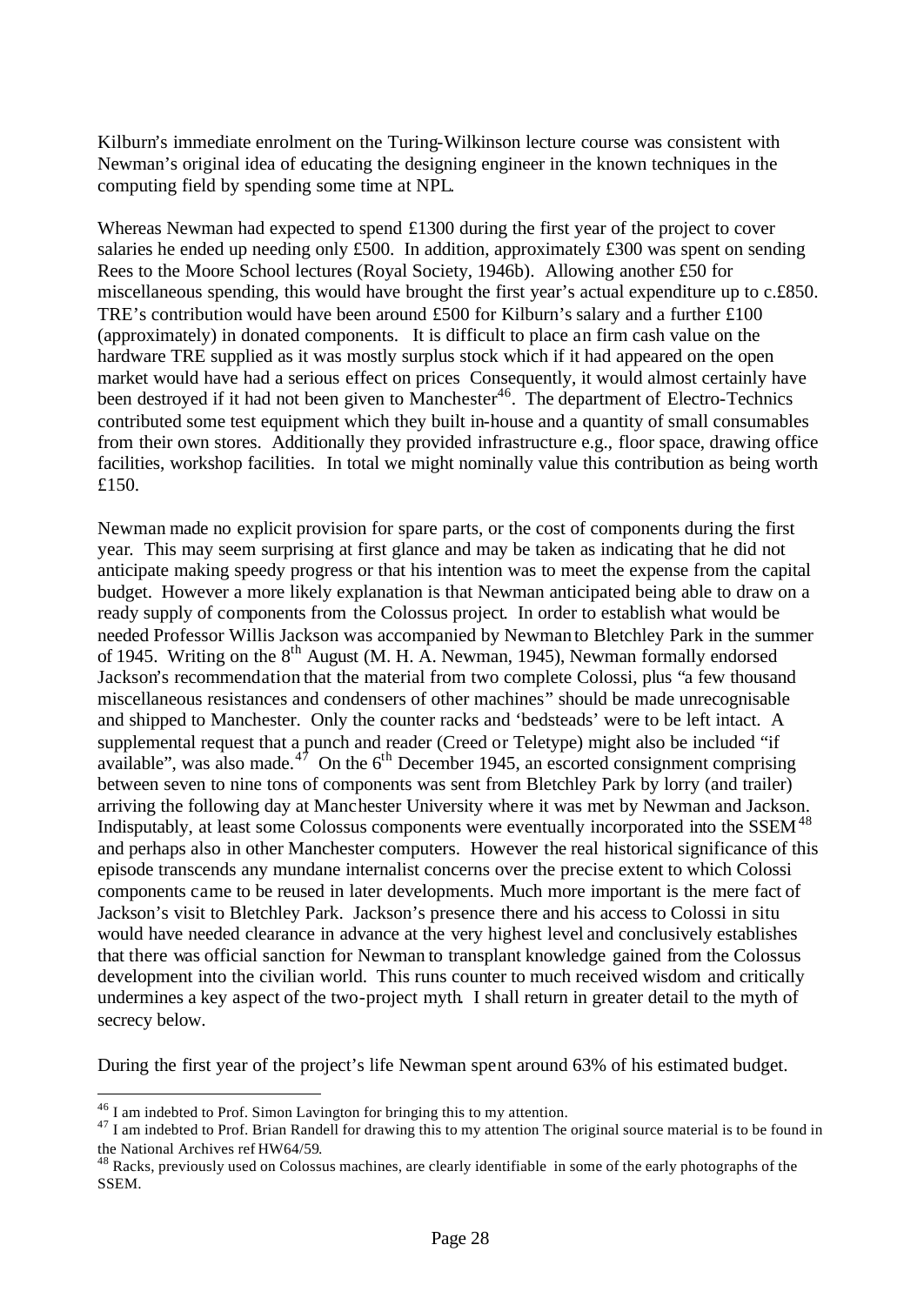Kilburn's immediate enrolment on the Turing-Wilkinson lecture course was consistent with Newman's original idea of educating the designing engineer in the known techniques in the computing field by spending some time at NPL.

Whereas Newman had expected to spend £1300 during the first year of the project to cover salaries he ended up needing only £500. In addition, approximately £300 was spent on sending Rees to the Moore School lectures (Royal Society, 1946b). Allowing another £50 for miscellaneous spending, this would have brought the first year's actual expenditure up to c.£850. TRE's contribution would have been around £500 for Kilburn's salary and a further £100 (approximately) in donated components. It is difficult to place an firm cash value on the hardware TRE supplied as it was mostly surplus stock which if it had appeared on the open market would have had a serious effect on prices Consequently, it would almost certainly have been destroyed if it had not been given to Manchester<sup>46</sup>. The department of Electro-Technics contributed some test equipment which they built in-house and a quantity of small consumables from their own stores. Additionally they provided infrastructure e.g., floor space, drawing office facilities, workshop facilities. In total we might nominally value this contribution as being worth £150.

Newman made no explicit provision for spare parts, or the cost of components during the first year. This may seem surprising at first glance and may be taken as indicating that he did not anticipate making speedy progress or that his intention was to meet the expense from the capital budget. However a more likely explanation is that Newman anticipated being able to draw on a ready supply of components from the Colossus project. In order to establish what would be needed Professor Willis Jackson was accompanied by Newman to Bletchley Park in the summer of 1945. Writing on the  $8<sup>th</sup>$  August (M. H. A. Newman, 1945), Newman formally endorsed Jackson's recommendation that the material from two complete Colossi, plus "a few thousand miscellaneous resistances and condensers of other machines" should be made unrecognisable and shipped to Manchester. Only the counter racks and 'bedsteads' were to be left intact. A supplemental request that a punch and reader (Creed or Teletype) might also be included "if available", was also made. $47$  On the  $6<sup>th</sup>$  December 1945, an escorted consignment comprising between seven to nine tons of components was sent from Bletchley Park by lorry (and trailer) arriving the following day at Manchester University where it was met by Newman and Jackson. Indisputably, at least some Colossus components were eventually incorporated into the SSEM<sup>48</sup> and perhaps also in other Manchester computers. However the real historical significance of this episode transcends any mundane internalist concerns over the precise extent to which Colossi components came to be reused in later developments. Much more important is the mere fact of Jackson's visit to Bletchley Park. Jackson's presence there and his access to Colossi in situ would have needed clearance in advance at the very highest level and conclusively establishes that there was official sanction for Newman to transplant knowledge gained from the Colossus development into the civilian world. This runs counter to much received wisdom and critically undermines a key aspect of the two-project myth. I shall return in greater detail to the myth of secrecy below.

During the first year of the project's life Newman spent around 63% of his estimated budget.

<sup>46</sup> I am indebted to Prof. Simon Lavington for bringing this to my attention.

<sup>&</sup>lt;sup>47</sup> I am indebted to Prof. Brian Randell for drawing this to my attention The original source material is to be found in the National Archives ref HW64/59.

<sup>&</sup>lt;sup>48</sup> Racks, previously used on Colossus machines, are clearly identifiable in some of the early photographs of the SSEM.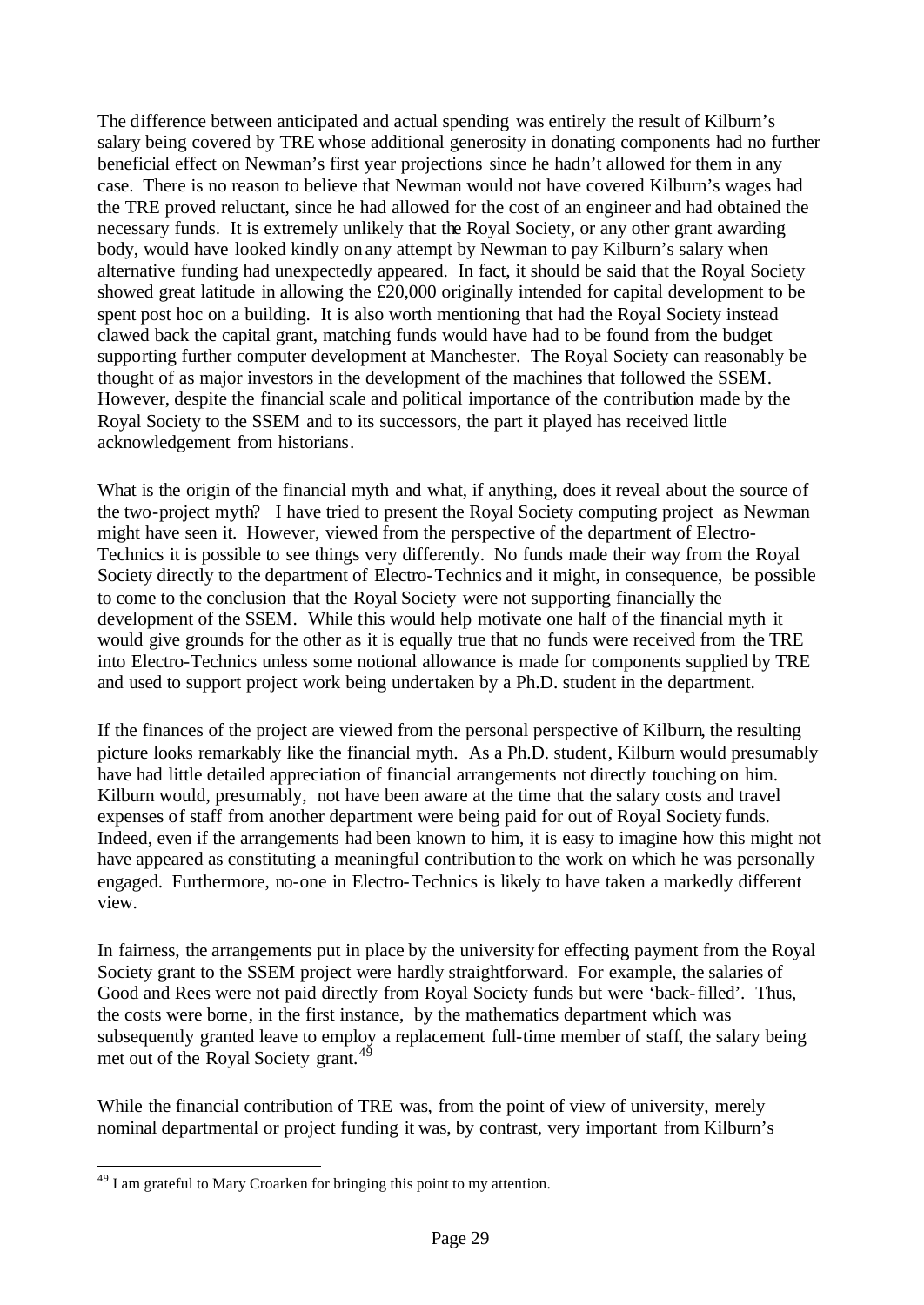The difference between anticipated and actual spending was entirely the result of Kilburn's salary being covered by TRE whose additional generosity in donating components had no further beneficial effect on Newman's first year projections since he hadn't allowed for them in any case. There is no reason to believe that Newman would not have covered Kilburn's wages had the TRE proved reluctant, since he had allowed for the cost of an engineer and had obtained the necessary funds. It is extremely unlikely that the Royal Society, or any other grant awarding body, would have looked kindly on any attempt by Newman to pay Kilburn's salary when alternative funding had unexpectedly appeared. In fact, it should be said that the Royal Society showed great latitude in allowing the £20,000 originally intended for capital development to be spent post hoc on a building. It is also worth mentioning that had the Royal Society instead clawed back the capital grant, matching funds would have had to be found from the budget supporting further computer development at Manchester. The Royal Society can reasonably be thought of as major investors in the development of the machines that followed the SSEM. However, despite the financial scale and political importance of the contribution made by the Royal Society to the SSEM and to its successors, the part it played has received little acknowledgement from historians.

What is the origin of the financial myth and what, if anything, does it reveal about the source of the two-project myth? I have tried to present the Royal Society computing project as Newman might have seen it. However, viewed from the perspective of the department of Electro-Technics it is possible to see things very differently. No funds made their way from the Royal Society directly to the department of Electro-Technics and it might, in consequence, be possible to come to the conclusion that the Royal Society were not supporting financially the development of the SSEM. While this would help motivate one half of the financial myth it would give grounds for the other as it is equally true that no funds were received from the TRE into Electro-Technics unless some notional allowance is made for components supplied by TRE and used to support project work being undertaken by a Ph.D. student in the department.

If the finances of the project are viewed from the personal perspective of Kilburn, the resulting picture looks remarkably like the financial myth. As a Ph.D. student, Kilburn would presumably have had little detailed appreciation of financial arrangements not directly touching on him. Kilburn would, presumably, not have been aware at the time that the salary costs and travel expenses of staff from another department were being paid for out of Royal Society funds. Indeed, even if the arrangements had been known to him, it is easy to imagine how this might not have appeared as constituting a meaningful contribution to the work on which he was personally engaged. Furthermore, no-one in Electro-Technics is likely to have taken a markedly different view.

In fairness, the arrangements put in place by the university for effecting payment from the Royal Society grant to the SSEM project were hardly straightforward. For example, the salaries of Good and Rees were not paid directly from Royal Society funds but were 'back-filled'. Thus, the costs were borne, in the first instance, by the mathematics department which was subsequently granted leave to employ a replacement full-time member of staff, the salary being met out of the Royal Society grant.<sup>49</sup>

While the financial contribution of TRE was, from the point of view of university, merely nominal departmental or project funding it was, by contrast, very important from Kilburn's

l  $^{49}$  I am grateful to Mary Croarken for bringing this point to my attention.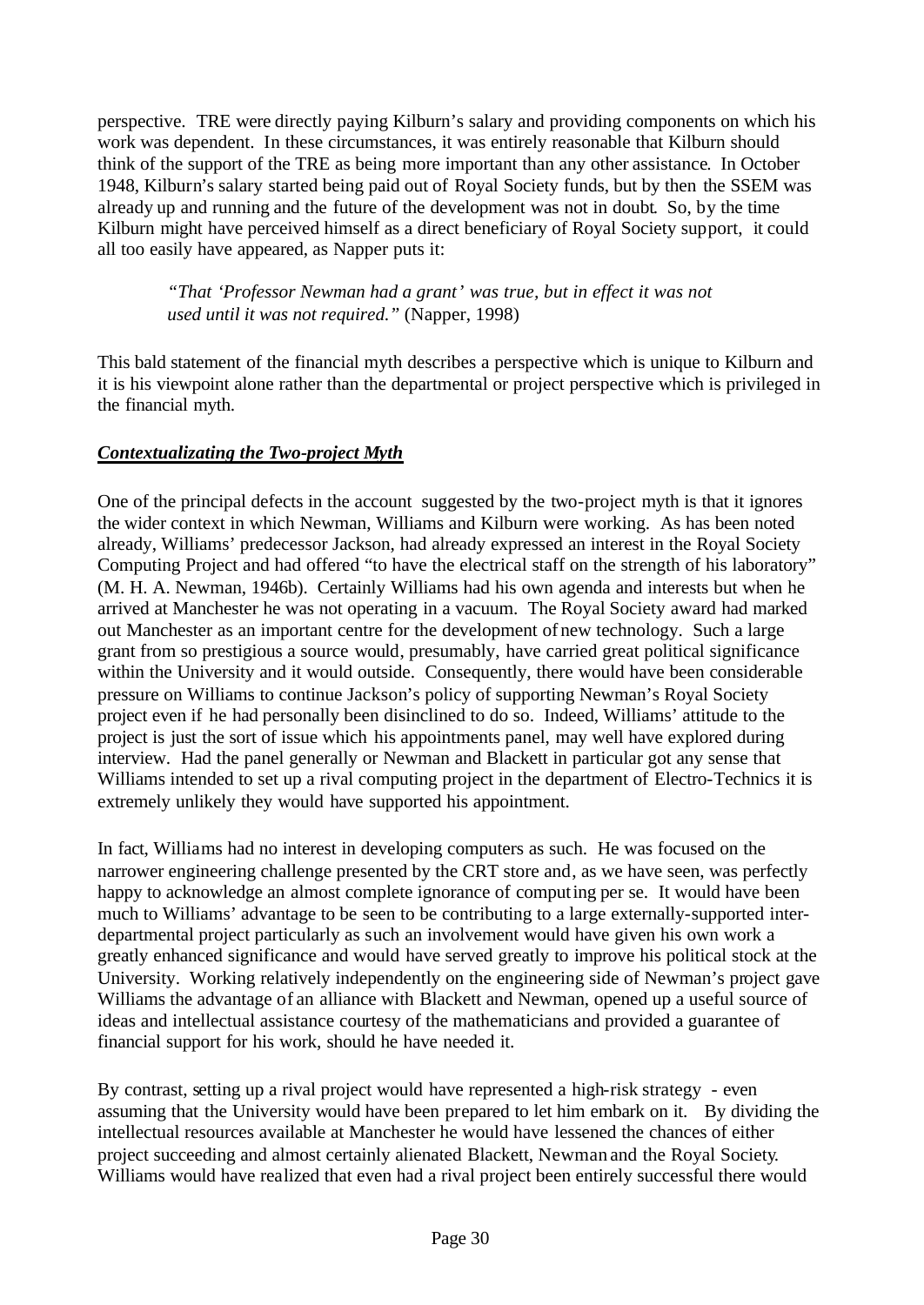perspective. TRE were directly paying Kilburn's salary and providing components on which his work was dependent. In these circumstances, it was entirely reasonable that Kilburn should think of the support of the TRE as being more important than any other assistance. In October 1948, Kilburn's salary started being paid out of Royal Society funds, but by then the SSEM was already up and running and the future of the development was not in doubt. So, by the time Kilburn might have perceived himself as a direct beneficiary of Royal Society support, it could all too easily have appeared, as Napper puts it:

*"That 'Professor Newman had a grant' was true, but in effect it was not used until it was not required."* (Napper, 1998)

This bald statement of the financial myth describes a perspective which is unique to Kilburn and it is his viewpoint alone rather than the departmental or project perspective which is privileged in the financial myth.

#### *Contextualizating the Two-project Myth*

One of the principal defects in the account suggested by the two-project myth is that it ignores the wider context in which Newman, Williams and Kilburn were working. As has been noted already, Williams' predecessor Jackson, had already expressed an interest in the Royal Society Computing Project and had offered "to have the electrical staff on the strength of his laboratory" (M. H. A. Newman, 1946b). Certainly Williams had his own agenda and interests but when he arrived at Manchester he was not operating in a vacuum. The Royal Society award had marked out Manchester as an important centre for the development of new technology. Such a large grant from so prestigious a source would, presumably, have carried great political significance within the University and it would outside. Consequently, there would have been considerable pressure on Williams to continue Jackson's policy of supporting Newman's Royal Society project even if he had personally been disinclined to do so. Indeed, Williams' attitude to the project is just the sort of issue which his appointments panel, may well have explored during interview. Had the panel generally or Newman and Blackett in particular got any sense that Williams intended to set up a rival computing project in the department of Electro-Technics it is extremely unlikely they would have supported his appointment.

In fact, Williams had no interest in developing computers as such. He was focused on the narrower engineering challenge presented by the CRT store and, as we have seen, was perfectly happy to acknowledge an almost complete ignorance of computing per se. It would have been much to Williams' advantage to be seen to be contributing to a large externally-supported interdepartmental project particularly as such an involvement would have given his own work a greatly enhanced significance and would have served greatly to improve his political stock at the University. Working relatively independently on the engineering side of Newman's project gave Williams the advantage of an alliance with Blackett and Newman, opened up a useful source of ideas and intellectual assistance courtesy of the mathematicians and provided a guarantee of financial support for his work, should he have needed it.

By contrast, setting up a rival project would have represented a high-risk strategy - even assuming that the University would have been prepared to let him embark on it. By dividing the intellectual resources available at Manchester he would have lessened the chances of either project succeeding and almost certainly alienated Blackett, Newman and the Royal Society. Williams would have realized that even had a rival project been entirely successful there would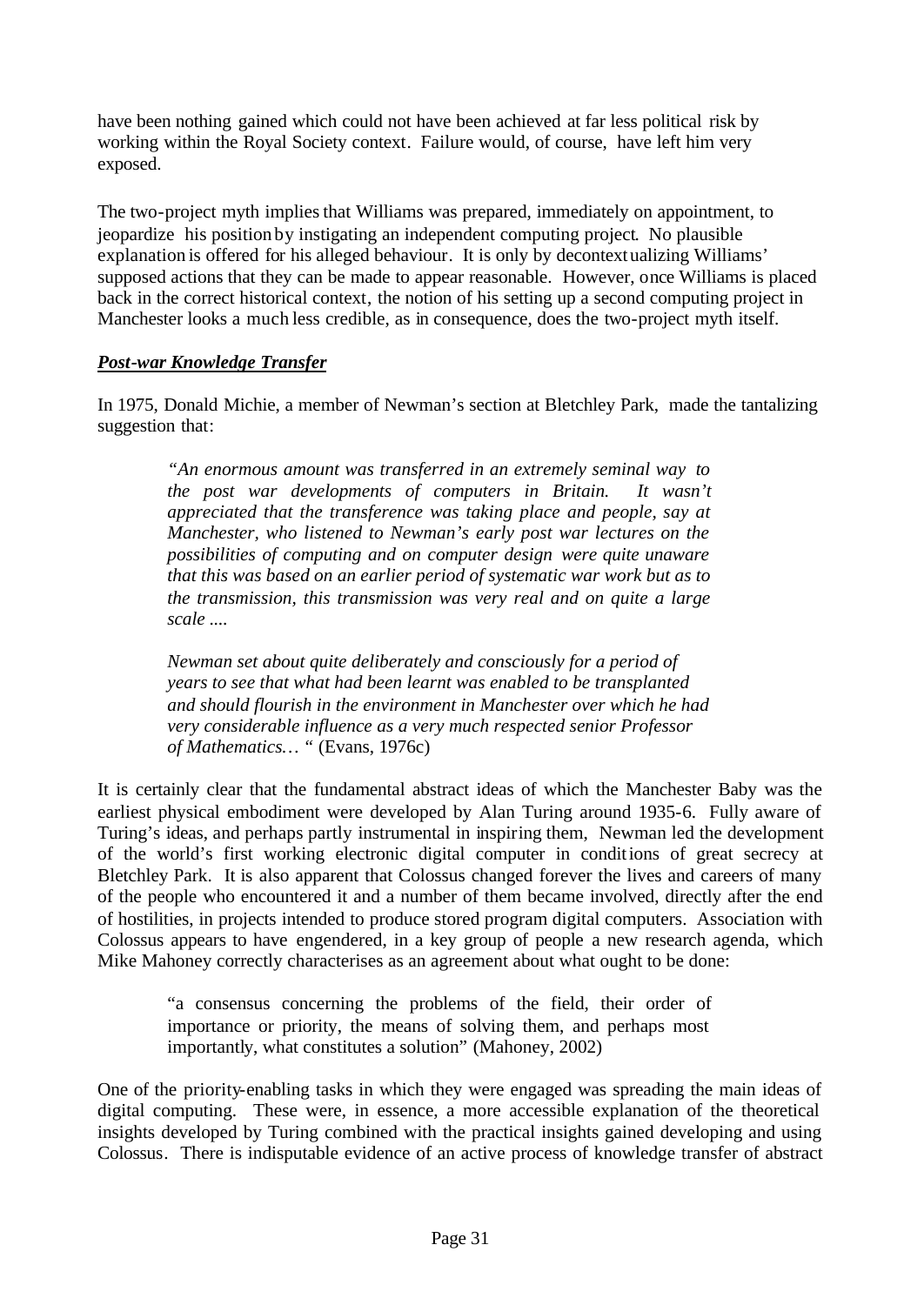have been nothing gained which could not have been achieved at far less political risk by working within the Royal Society context. Failure would, of course, have left him very exposed.

The two-project myth implies that Williams was prepared, immediately on appointment, to jeopardize his position by instigating an independent computing project. No plausible explanation is offered for his alleged behaviour. It is only by decontextualizing Williams' supposed actions that they can be made to appear reasonable. However, once Williams is placed back in the correct historical context, the notion of his setting up a second computing project in Manchester looks a much less credible, as in consequence, does the two-project myth itself.

#### *Post-war Knowledge Transfer*

In 1975, Donald Michie, a member of Newman's section at Bletchley Park, made the tantalizing suggestion that:

*"An enormous amount was transferred in an extremely seminal way to the post war developments of computers in Britain. It wasn't appreciated that the transference was taking place and people, say at Manchester, who listened to Newman's early post war lectures on the possibilities of computing and on computer design were quite unaware that this was based on an earlier period of systematic war work but as to the transmission, this transmission was very real and on quite a large scale ....* 

*Newman set about quite deliberately and consciously for a period of years to see that what had been learnt was enabled to be transplanted and should flourish in the environment in Manchester over which he had very considerable influence as a very much respected senior Professor of Mathematics… "* (Evans, 1976c)

It is certainly clear that the fundamental abstract ideas of which the Manchester Baby was the earliest physical embodiment were developed by Alan Turing around 1935-6. Fully aware of Turing's ideas, and perhaps partly instrumental in inspiring them, Newman led the development of the world's first working electronic digital computer in conditions of great secrecy at Bletchley Park. It is also apparent that Colossus changed forever the lives and careers of many of the people who encountered it and a number of them became involved, directly after the end of hostilities, in projects intended to produce stored program digital computers. Association with Colossus appears to have engendered, in a key group of people a new research agenda, which Mike Mahoney correctly characterises as an agreement about what ought to be done:

"a consensus concerning the problems of the field, their order of importance or priority, the means of solving them, and perhaps most importantly, what constitutes a solution" (Mahoney, 2002)

One of the priority-enabling tasks in which they were engaged was spreading the main ideas of digital computing. These were, in essence, a more accessible explanation of the theoretical insights developed by Turing combined with the practical insights gained developing and using Colossus. There is indisputable evidence of an active process of knowledge transfer of abstract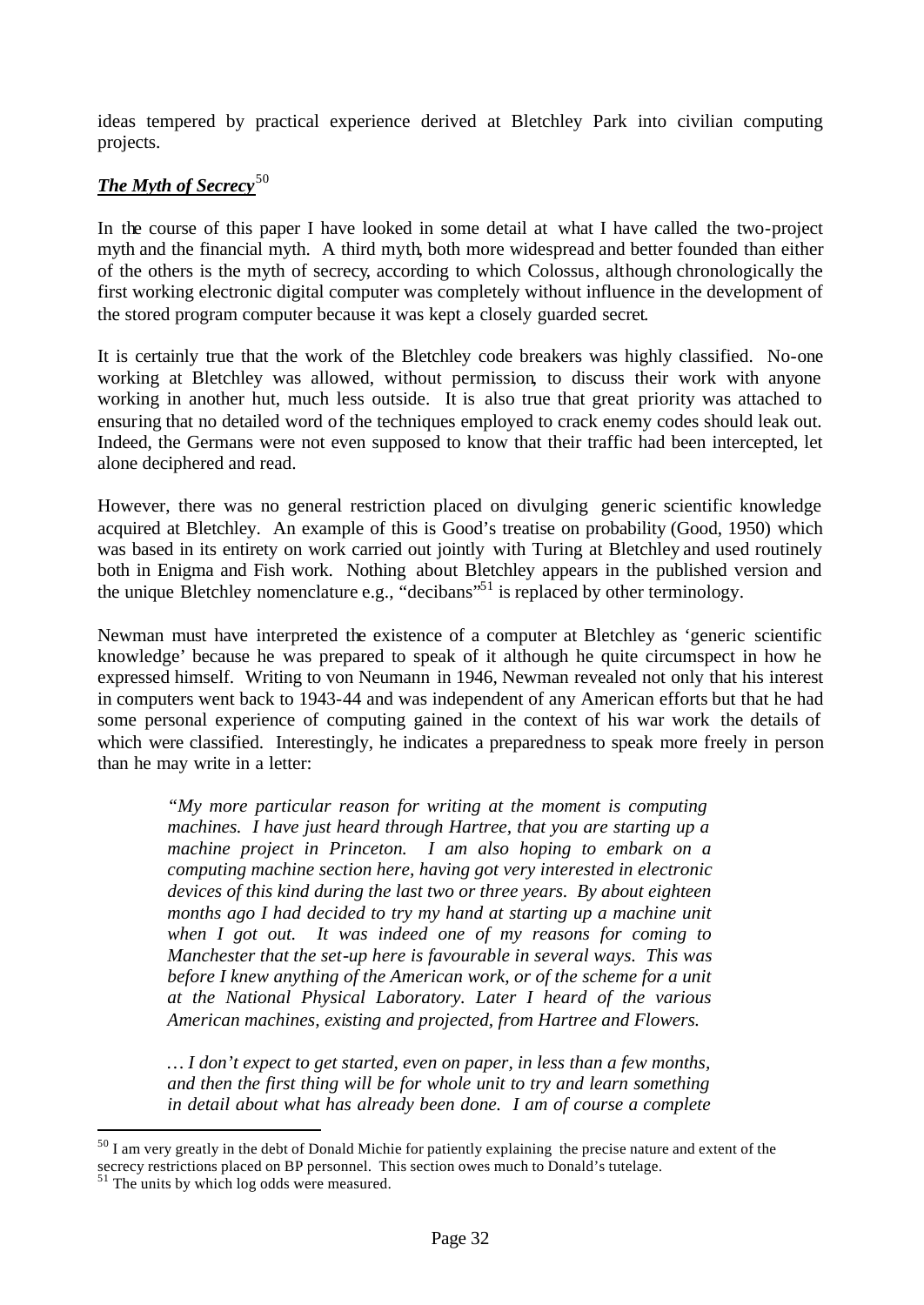ideas tempered by practical experience derived at Bletchley Park into civilian computing projects.

## **The Myth of Secrecy<sup>50</sup>**

In the course of this paper I have looked in some detail at what I have called the two-project myth and the financial myth. A third myth, both more widespread and better founded than either of the others is the myth of secrecy, according to which Colossus, although chronologically the first working electronic digital computer was completely without influence in the development of the stored program computer because it was kept a closely guarded secret.

It is certainly true that the work of the Bletchley code breakers was highly classified. No-one working at Bletchley was allowed, without permission, to discuss their work with anyone working in another hut, much less outside. It is also true that great priority was attached to ensuring that no detailed word of the techniques employed to crack enemy codes should leak out. Indeed, the Germans were not even supposed to know that their traffic had been intercepted, let alone deciphered and read.

However, there was no general restriction placed on divulging generic scientific knowledge acquired at Bletchley. An example of this is Good's treatise on probability (Good, 1950) which was based in its entirety on work carried out jointly with Turing at Bletchley and used routinely both in Enigma and Fish work. Nothing about Bletchley appears in the published version and the unique Bletchley nomenclature e.g., "decibans"<sup>51</sup> is replaced by other terminology.

Newman must have interpreted the existence of a computer at Bletchley as 'generic scientific knowledge' because he was prepared to speak of it although he quite circumspect in how he expressed himself. Writing to von Neumann in 1946, Newman revealed not only that his interest in computers went back to 1943-44 and was independent of any American efforts but that he had some personal experience of computing gained in the context of his war work the details of which were classified. Interestingly, he indicates a preparedness to speak more freely in person than he may write in a letter:

*"My more particular reason for writing at the moment is computing machines. I have just heard through Hartree, that you are starting up a machine project in Princeton. I am also hoping to embark on a computing machine section here, having got very interested in electronic devices of this kind during the last two or three years. By about eighteen months ago I had decided to try my hand at starting up a machine unit when I got out. It was indeed one of my reasons for coming to Manchester that the set-up here is favourable in several ways. This was before I knew anything of the American work, or of the scheme for a unit at the National Physical Laboratory. Later I heard of the various American machines, existing and projected, from Hartree and Flowers.*

*… I don't expect to get started, even on paper, in less than a few months, and then the first thing will be for whole unit to try and learn something in detail about what has already been done. I am of course a complete* 

<sup>&</sup>lt;sup>50</sup> I am very greatly in the debt of Donald Michie for patiently explaining the precise nature and extent of the secrecy restrictions placed on BP personnel. This section owes much to Donald's tutelage.

 $51$  The units by which log odds were measured.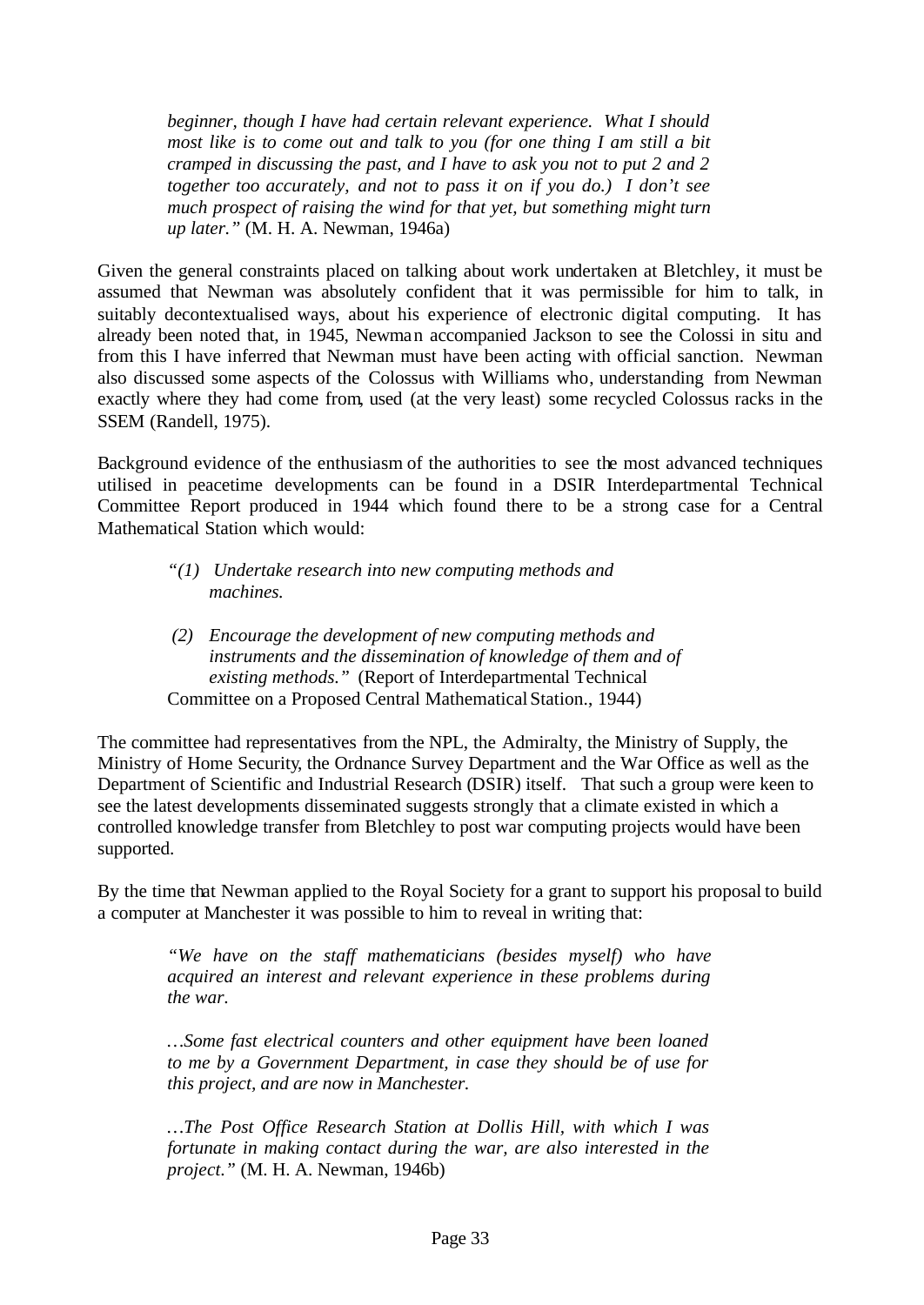*beginner, though I have had certain relevant experience. What I should most like is to come out and talk to you (for one thing I am still a bit cramped in discussing the past, and I have to ask you not to put 2 and 2 together too accurately, and not to pass it on if you do.) I don't see much prospect of raising the wind for that yet, but something might turn up later."* (M. H. A. Newman, 1946a)

Given the general constraints placed on talking about work undertaken at Bletchley, it must be assumed that Newman was absolutely confident that it was permissible for him to talk, in suitably decontextualised ways, about his experience of electronic digital computing. It has already been noted that, in 1945, Newman accompanied Jackson to see the Colossi in situ and from this I have inferred that Newman must have been acting with official sanction. Newman also discussed some aspects of the Colossus with Williams who, understanding from Newman exactly where they had come from, used (at the very least) some recycled Colossus racks in the SSEM (Randell, 1975).

Background evidence of the enthusiasm of the authorities to see the most advanced techniques utilised in peacetime developments can be found in a DSIR Interdepartmental Technical Committee Report produced in 1944 which found there to be a strong case for a Central Mathematical Station which would:

- *"(1) Undertake research into new computing methods and machines.*
- *(2) Encourage the development of new computing methods and instruments and the dissemination of knowledge of them and of existing methods."* (Report of Interdepartmental Technical Committee on a Proposed Central Mathematical Station., 1944)

The committee had representatives from the NPL, the Admiralty, the Ministry of Supply, the Ministry of Home Security, the Ordnance Survey Department and the War Office as well as the Department of Scientific and Industrial Research (DSIR) itself. That such a group were keen to see the latest developments disseminated suggests strongly that a climate existed in which a controlled knowledge transfer from Bletchley to post war computing projects would have been supported.

By the time that Newman applied to the Royal Society for a grant to support his proposal to build a computer at Manchester it was possible to him to reveal in writing that:

*"We have on the staff mathematicians (besides myself) who have acquired an interest and relevant experience in these problems during the war.*

*…Some fast electrical counters and other equipment have been loaned to me by a Government Department, in case they should be of use for this project, and are now in Manchester.*

*…The Post Office Research Station at Dollis Hill, with which I was fortunate in making contact during the war, are also interested in the project."* (M. H. A. Newman, 1946b)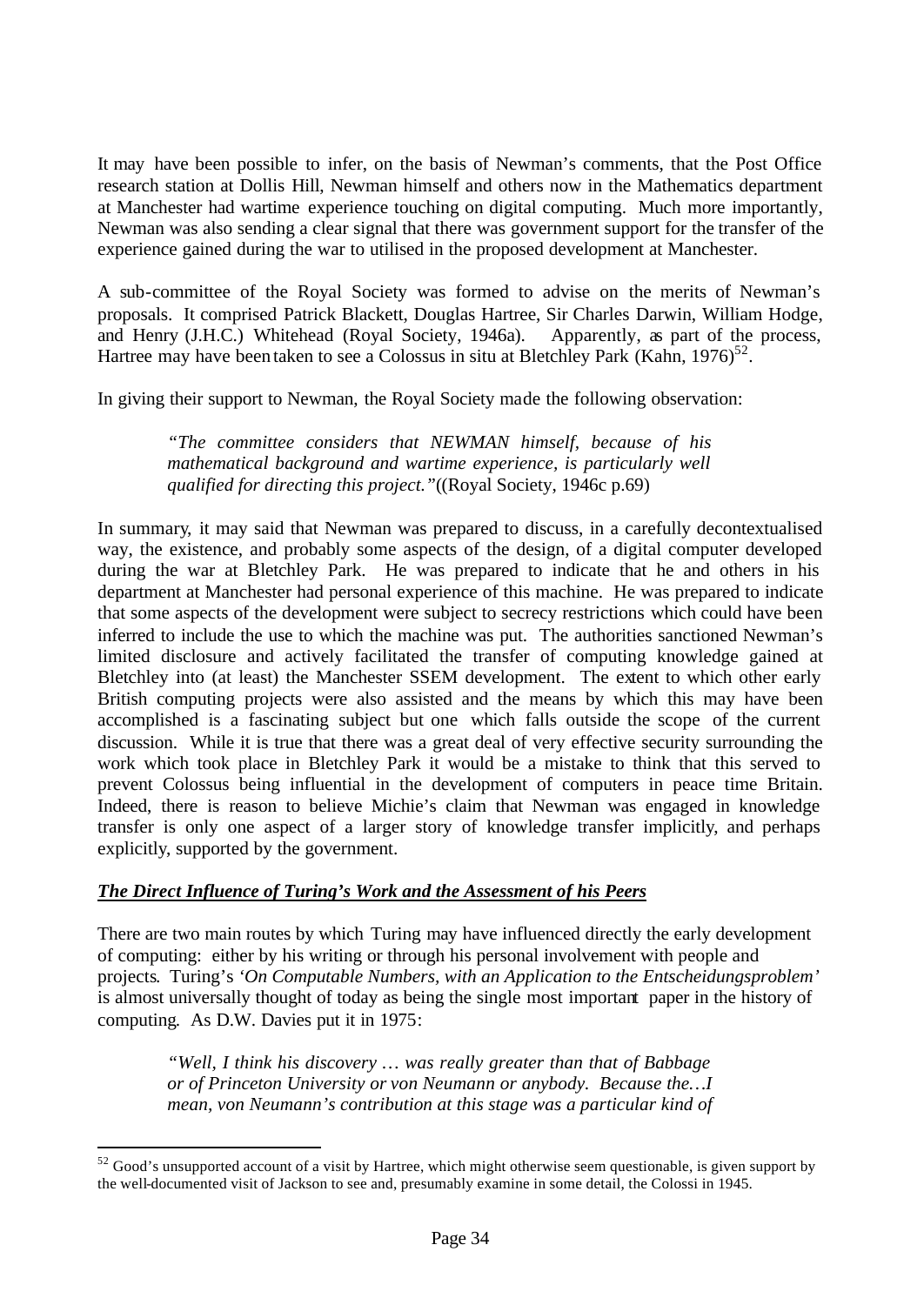It may have been possible to infer, on the basis of Newman's comments, that the Post Office research station at Dollis Hill, Newman himself and others now in the Mathematics department at Manchester had wartime experience touching on digital computing. Much more importantly, Newman was also sending a clear signal that there was government support for the transfer of the experience gained during the war to utilised in the proposed development at Manchester.

A sub-committee of the Royal Society was formed to advise on the merits of Newman's proposals. It comprised Patrick Blackett, Douglas Hartree, Sir Charles Darwin, William Hodge, and Henry (J.H.C.) Whitehead (Royal Society, 1946a). Apparently, as part of the process, Hartree may have been taken to see a Colossus in situ at Bletchley Park (Kahn, 1976)<sup>52</sup>.

In giving their support to Newman, the Royal Society made the following observation:

*"The committee considers that NEWMAN himself, because of his mathematical background and wartime experience, is particularly well qualified for directing this project."*((Royal Society, 1946c p.69)

In summary, it may said that Newman was prepared to discuss, in a carefully decontextualised way, the existence, and probably some aspects of the design, of a digital computer developed during the war at Bletchley Park. He was prepared to indicate that he and others in his department at Manchester had personal experience of this machine. He was prepared to indicate that some aspects of the development were subject to secrecy restrictions which could have been inferred to include the use to which the machine was put. The authorities sanctioned Newman's limited disclosure and actively facilitated the transfer of computing knowledge gained at Bletchley into (at least) the Manchester SSEM development. The extent to which other early British computing projects were also assisted and the means by which this may have been accomplished is a fascinating subject but one which falls outside the scope of the current discussion. While it is true that there was a great deal of very effective security surrounding the work which took place in Bletchley Park it would be a mistake to think that this served to prevent Colossus being influential in the development of computers in peace time Britain. Indeed, there is reason to believe Michie's claim that Newman was engaged in knowledge transfer is only one aspect of a larger story of knowledge transfer implicitly, and perhaps explicitly, supported by the government.

#### *The Direct Influence of Turing's Work and the Assessment of his Peers*

l

There are two main routes by which Turing may have influenced directly the early development of computing: either by his writing or through his personal involvement with people and projects. Turing's *'On Computable Numbers, with an Application to the Entscheidungsproblem'* is almost universally thought of today as being the single most important paper in the history of computing. As D.W. Davies put it in 1975:

*"Well, I think his discovery … was really greater than that of Babbage or of Princeton University or von Neumann or anybody. Because the…I mean, von Neumann's contribution at this stage was a particular kind of* 

 $52$  Good's unsupported account of a visit by Hartree, which might otherwise seem questionable, is given support by the well-documented visit of Jackson to see and, presumably examine in some detail, the Colossi in 1945.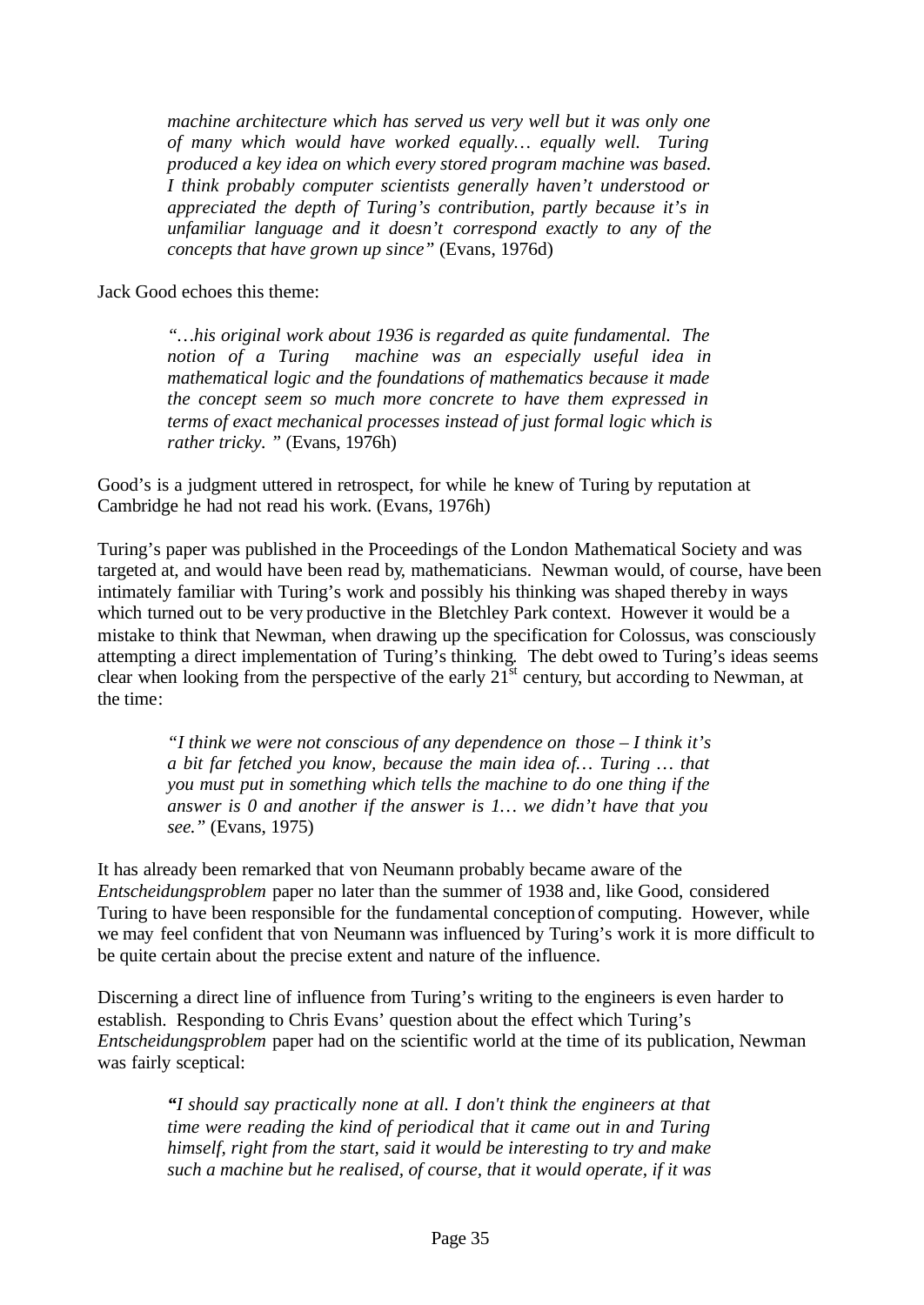*machine architecture which has served us very well but it was only one of many which would have worked equally… equally well. Turing produced a key idea on which every stored program machine was based. I think probably computer scientists generally haven't understood or appreciated the depth of Turing's contribution, partly because it's in unfamiliar language and it doesn't correspond exactly to any of the concepts that have grown up since"* (Evans, 1976d)

Jack Good echoes this theme:

*"…his original work about 1936 is regarded as quite fundamental. The notion of a Turing machine was an especially useful idea in mathematical logic and the foundations of mathematics because it made the concept seem so much more concrete to have them expressed in terms of exact mechanical processes instead of just formal logic which is rather tricky. "* (Evans, 1976h)

Good's is a judgment uttered in retrospect, for while he knew of Turing by reputation at Cambridge he had not read his work. (Evans, 1976h)

Turing's paper was published in the Proceedings of the London Mathematical Society and was targeted at, and would have been read by, mathematicians. Newman would, of course, have been intimately familiar with Turing's work and possibly his thinking was shaped thereby in ways which turned out to be very productive in the Bletchley Park context. However it would be a mistake to think that Newman, when drawing up the specification for Colossus, was consciously attempting a direct implementation of Turing's thinking. The debt owed to Turing's ideas seems clear when looking from the perspective of the early  $21<sup>st</sup>$  century, but according to Newman, at the time:

*"I think we were not conscious of any dependence on those – I think it's a bit far fetched you know, because the main idea of… Turing … that you must put in something which tells the machine to do one thing if the answer is 0 and another if the answer is 1… we didn't have that you see."* (Evans, 1975)

It has already been remarked that von Neumann probably became aware of the *Entscheidungsproblem* paper no later than the summer of 1938 and, like Good, considered Turing to have been responsible for the fundamental conception of computing. However, while we may feel confident that von Neumann was influenced by Turing's work it is more difficult to be quite certain about the precise extent and nature of the influence.

Discerning a direct line of influence from Turing's writing to the engineers is even harder to establish. Responding to Chris Evans' question about the effect which Turing's *Entscheidungsproblem* paper had on the scientific world at the time of its publication, Newman was fairly sceptical:

*"I should say practically none at all. I don't think the engineers at that time were reading the kind of periodical that it came out in and Turing himself, right from the start, said it would be interesting to try and make such a machine but he realised, of course, that it would operate, if it was*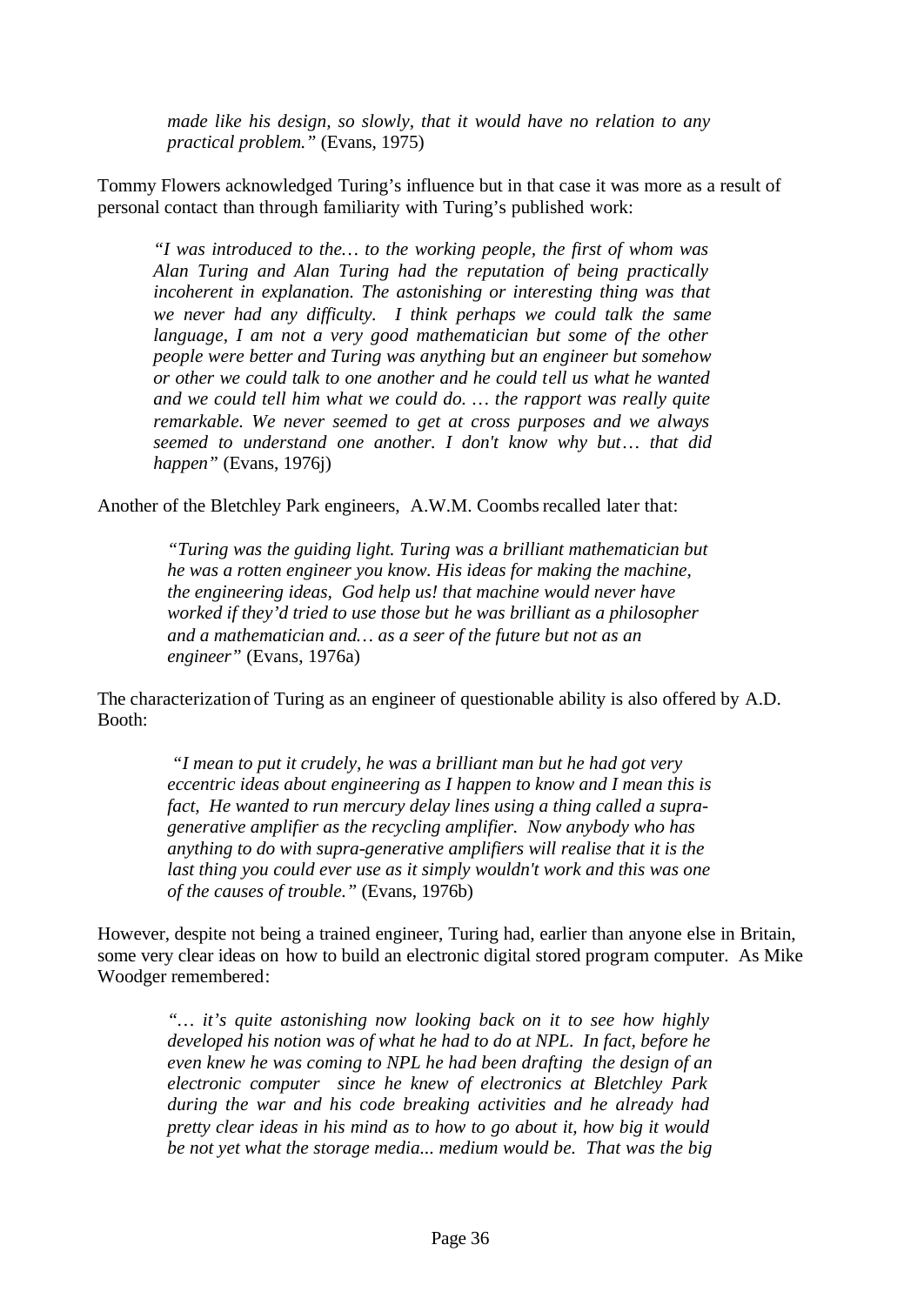*made like his design, so slowly, that it would have no relation to any practical problem."* (Evans, 1975)

Tommy Flowers acknowledged Turing's influence but in that case it was more as a result of personal contact than through familiarity with Turing's published work:

*"I was introduced to the… to the working people, the first of whom was Alan Turing and Alan Turing had the reputation of being practically incoherent in explanation. The astonishing or interesting thing was that we never had any difficulty. I think perhaps we could talk the same language, I am not a very good mathematician but some of the other people were better and Turing was anything but an engineer but somehow or other we could talk to one another and he could tell us what he wanted and we could tell him what we could do. … the rapport was really quite remarkable. We never seemed to get at cross purposes and we always seemed to understand one another. I don't know why but… that did happen"* (Evans, 1976j)

Another of the Bletchley Park engineers, A.W.M. Coombs recalled later that:

*"Turing was the guiding light. Turing was a brilliant mathematician but he was a rotten engineer you know. His ideas for making the machine, the engineering ideas, God help us! that machine would never have worked if they'd tried to use those but he was brilliant as a philosopher and a mathematician and… as a seer of the future but not as an engineer"* (Evans, 1976a)

The characterization of Turing as an engineer of questionable ability is also offered by A.D. Booth:

*"I mean to put it crudely, he was a brilliant man but he had got very eccentric ideas about engineering as I happen to know and I mean this is fact, He wanted to run mercury delay lines using a thing called a supragenerative amplifier as the recycling amplifier. Now anybody who has anything to do with supra-generative amplifiers will realise that it is the last thing you could ever use as it simply wouldn't work and this was one of the causes of trouble."* (Evans, 1976b)

However, despite not being a trained engineer, Turing had, earlier than anyone else in Britain, some very clear ideas on how to build an electronic digital stored program computer. As Mike Woodger remembered:

*"… it's quite astonishing now looking back on it to see how highly developed his notion was of what he had to do at NPL. In fact, before he even knew he was coming to NPL he had been drafting the design of an electronic computer since he knew of electronics at Bletchley Park during the war and his code breaking activities and he already had pretty clear ideas in his mind as to how to go about it, how big it would be not yet what the storage media... medium would be. That was the big*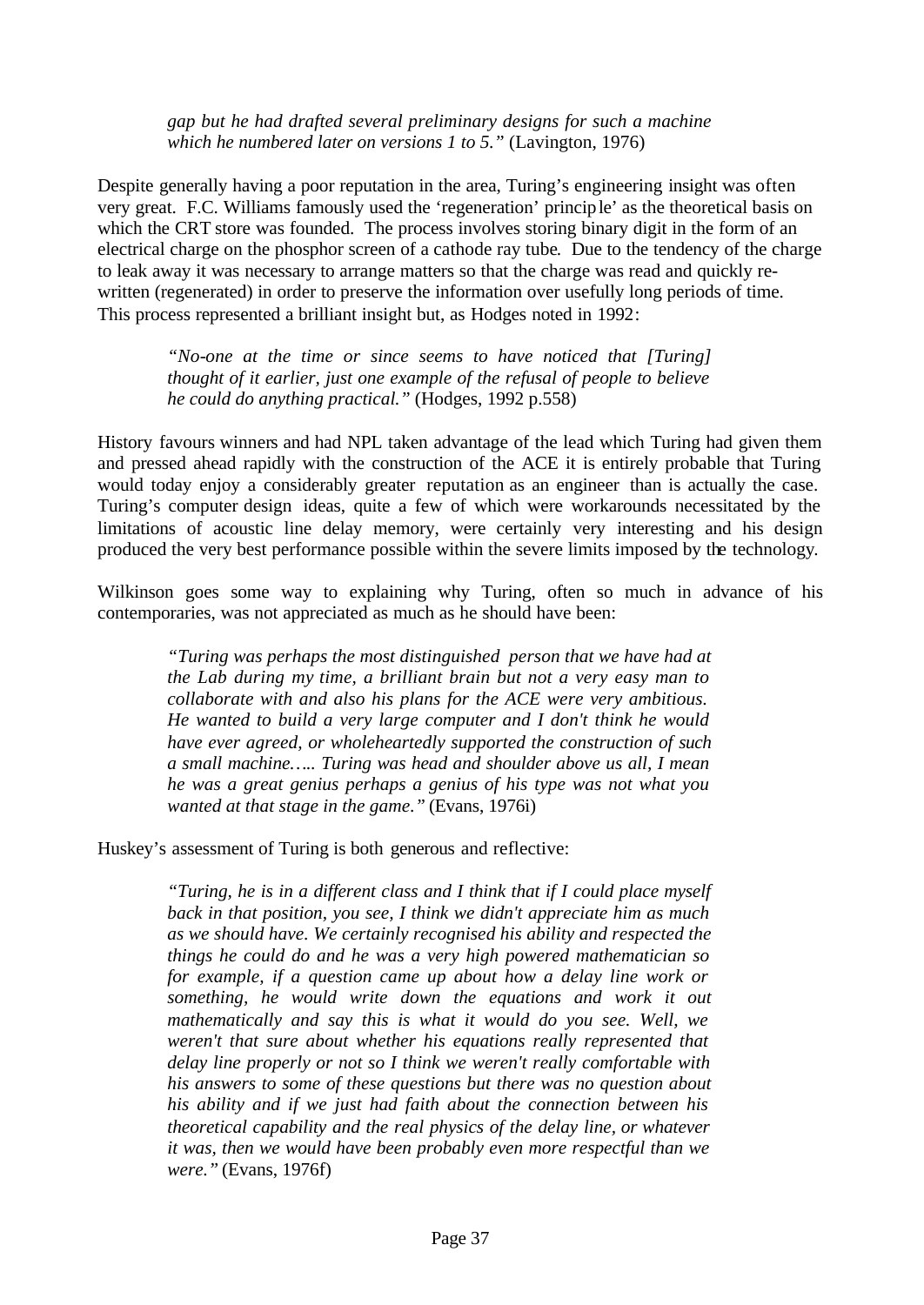*gap but he had drafted several preliminary designs for such a machine which he numbered later on versions 1 to 5."* (Lavington, 1976)

Despite generally having a poor reputation in the area, Turing's engineering insight was often very great. F.C. Williams famously used the 'regeneration' principle' as the theoretical basis on which the CRT store was founded. The process involves storing binary digit in the form of an electrical charge on the phosphor screen of a cathode ray tube. Due to the tendency of the charge to leak away it was necessary to arrange matters so that the charge was read and quickly rewritten (regenerated) in order to preserve the information over usefully long periods of time. This process represented a brilliant insight but, as Hodges noted in 1992:

*"No-one at the time or since seems to have noticed that [Turing] thought of it earlier, just one example of the refusal of people to believe he could do anything practical."* (Hodges, 1992 p.558)

History favours winners and had NPL taken advantage of the lead which Turing had given them and pressed ahead rapidly with the construction of the ACE it is entirely probable that Turing would today enjoy a considerably greater reputation as an engineer than is actually the case. Turing's computer design ideas, quite a few of which were workarounds necessitated by the limitations of acoustic line delay memory, were certainly very interesting and his design produced the very best performance possible within the severe limits imposed by the technology.

Wilkinson goes some way to explaining why Turing, often so much in advance of his contemporaries, was not appreciated as much as he should have been:

*"Turing was perhaps the most distinguished person that we have had at the Lab during my time, a brilliant brain but not a very easy man to collaborate with and also his plans for the ACE were very ambitious. He wanted to build a very large computer and I don't think he would have ever agreed, or wholeheartedly supported the construction of such a small machine….. Turing was head and shoulder above us all, I mean he was a great genius perhaps a genius of his type was not what you wanted at that stage in the game."* (Evans, 1976i)

Huskey's assessment of Turing is both generous and reflective:

*"Turing, he is in a different class and I think that if I could place myself back in that position, you see, I think we didn't appreciate him as much as we should have. We certainly recognised his ability and respected the things he could do and he was a very high powered mathematician so for example, if a question came up about how a delay line work or something, he would write down the equations and work it out mathematically and say this is what it would do you see. Well, we weren't that sure about whether his equations really represented that delay line properly or not so I think we weren't really comfortable with his answers to some of these questions but there was no question about his ability and if we just had faith about the connection between his theoretical capability and the real physics of the delay line, or whatever it was, then we would have been probably even more respectful than we were."* (Evans, 1976f)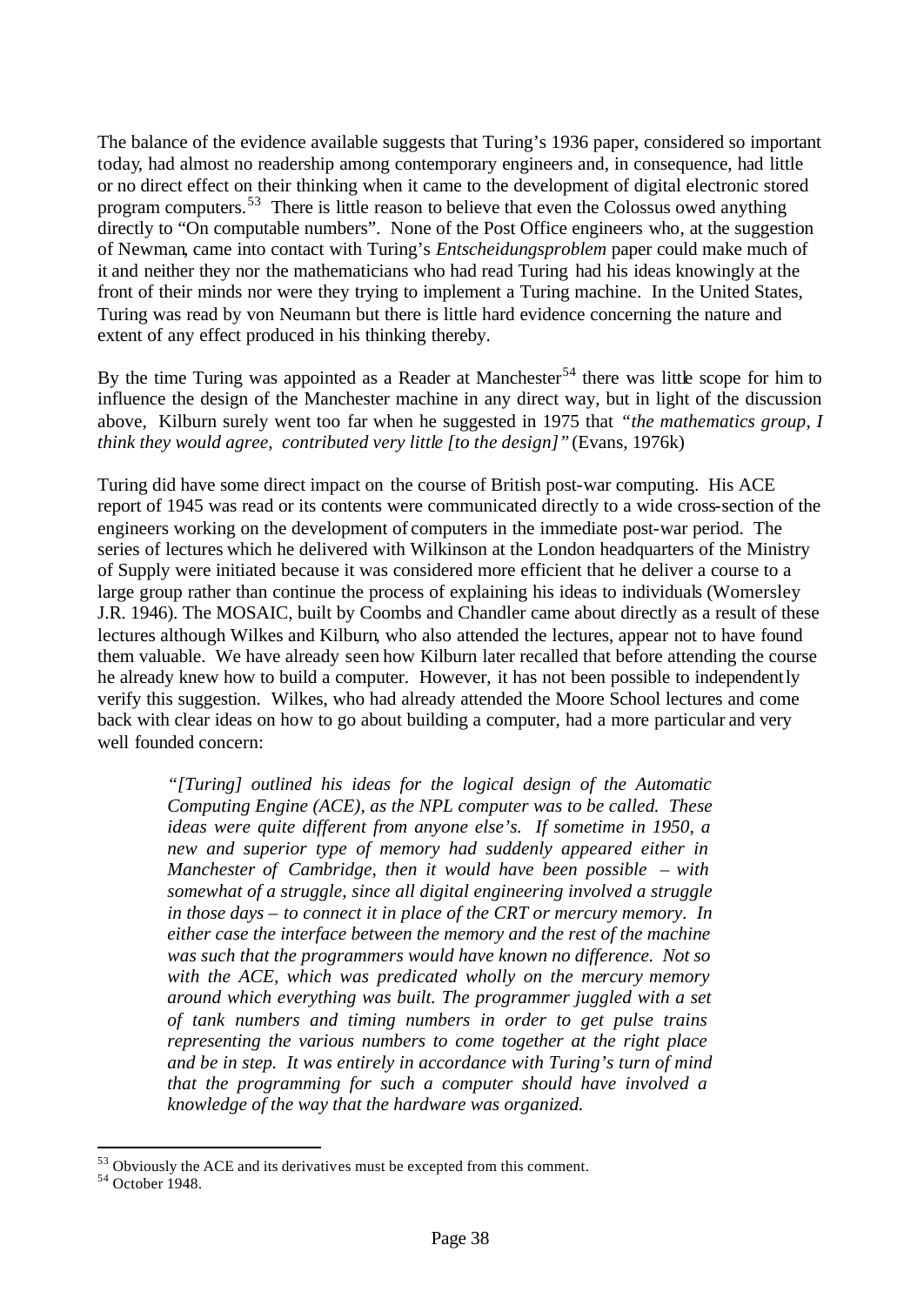The balance of the evidence available suggests that Turing's 1936 paper, considered so important today, had almost no readership among contemporary engineers and, in consequence, had little or no direct effect on their thinking when it came to the development of digital electronic stored program computers.<sup>53</sup> There is little reason to believe that even the Colossus owed anything directly to "On computable numbers". None of the Post Office engineers who, at the suggestion of Newman, came into contact with Turing's *Entscheidungsproblem* paper could make much of it and neither they nor the mathematicians who had read Turing had his ideas knowingly at the front of their minds nor were they trying to implement a Turing machine. In the United States, Turing was read by von Neumann but there is little hard evidence concerning the nature and extent of any effect produced in his thinking thereby.

By the time Turing was appointed as a Reader at Manchester<sup>54</sup> there was little scope for him to influence the design of the Manchester machine in any direct way, but in light of the discussion above, Kilburn surely went too far when he suggested in 1975 that *"the mathematics group, I think they would agree, contributed very little [to the design]"*(Evans, 1976k)

Turing did have some direct impact on the course of British post-war computing. His ACE report of 1945 was read or its contents were communicated directly to a wide cross-section of the engineers working on the development of computers in the immediate post-war period. The series of lectures which he delivered with Wilkinson at the London headquarters of the Ministry of Supply were initiated because it was considered more efficient that he deliver a course to a large group rather than continue the process of explaining his ideas to individuals (Womersley J.R. 1946). The MOSAIC, built by Coombs and Chandler came about directly as a result of these lectures although Wilkes and Kilburn, who also attended the lectures, appear not to have found them valuable. We have already seen how Kilburn later recalled that before attending the course he already knew how to build a computer. However, it has not been possible to independently verify this suggestion. Wilkes, who had already attended the Moore School lectures and come back with clear ideas on how to go about building a computer, had a more particular and very well founded concern:

*"[Turing] outlined his ideas for the logical design of the Automatic Computing Engine (ACE), as the NPL computer was to be called. These ideas were quite different from anyone else's. If sometime in 1950, a new and superior type of memory had suddenly appeared either in Manchester of Cambridge, then it would have been possible – with somewhat of a struggle, since all digital engineering involved a struggle in those days – to connect it in place of the CRT or mercury memory. In either case the interface between the memory and the rest of the machine was such that the programmers would have known no difference. Not so with the ACE, which was predicated wholly on the mercury memory around which everything was built. The programmer juggled with a set of tank numbers and timing numbers in order to get pulse trains representing the various numbers to come together at the right place and be in step. It was entirely in accordance with Turing's turn of mind that the programming for such a computer should have involved a knowledge of the way that the hardware was organized.*

<sup>&</sup>lt;sup>53</sup> Obviously the ACE and its derivatives must be excepted from this comment.

<sup>54</sup> October 1948.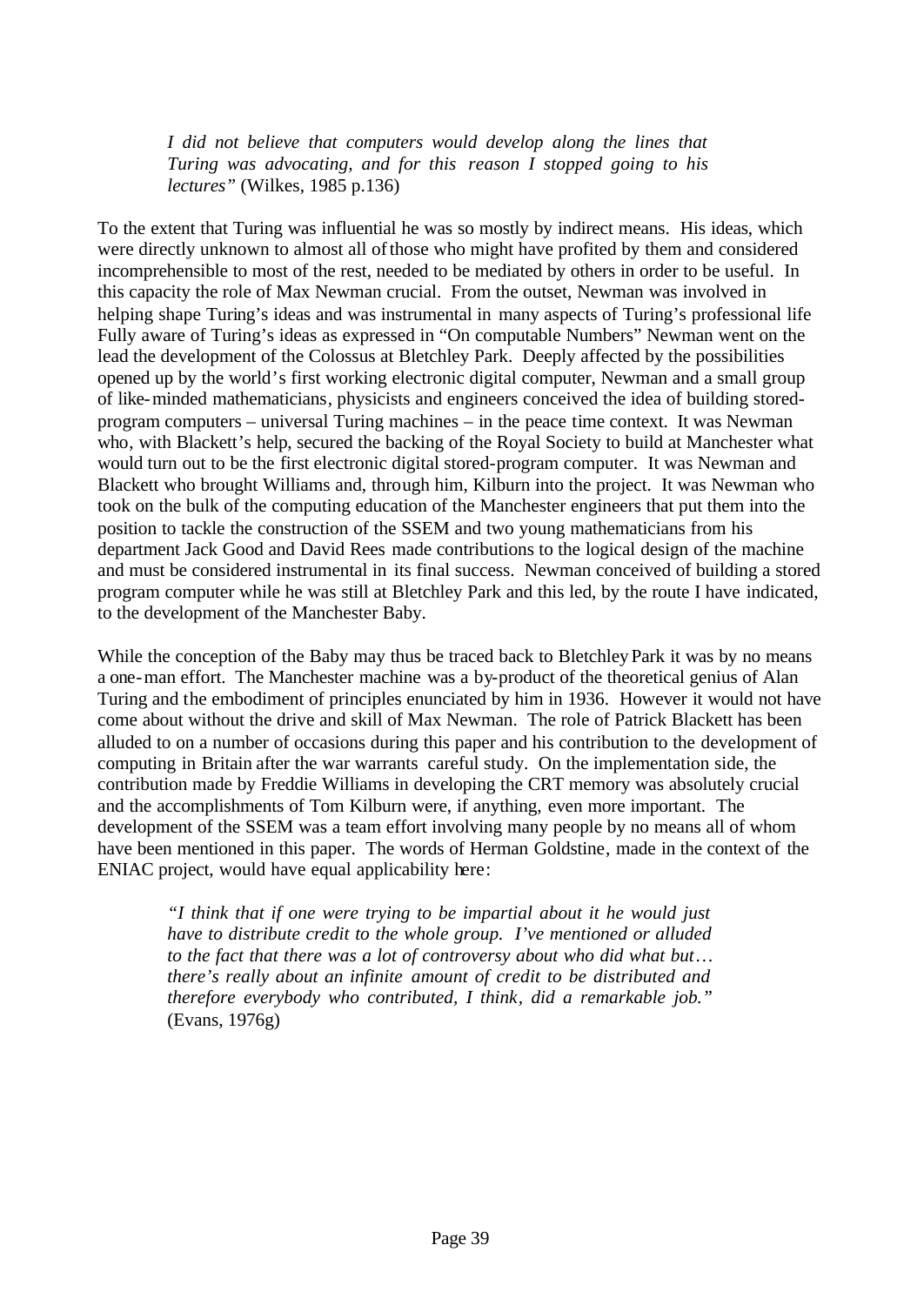*I did not believe that computers would develop along the lines that Turing was advocating, and for this reason I stopped going to his lectures"* (Wilkes, 1985 p.136)

To the extent that Turing was influential he was so mostly by indirect means. His ideas, which were directly unknown to almost all of those who might have profited by them and considered incomprehensible to most of the rest, needed to be mediated by others in order to be useful. In this capacity the role of Max Newman crucial. From the outset, Newman was involved in helping shape Turing's ideas and was instrumental in many aspects of Turing's professional life Fully aware of Turing's ideas as expressed in "On computable Numbers" Newman went on the lead the development of the Colossus at Bletchley Park. Deeply affected by the possibilities opened up by the world's first working electronic digital computer, Newman and a small group of like-minded mathematicians, physicists and engineers conceived the idea of building storedprogram computers – universal Turing machines – in the peace time context. It was Newman who, with Blackett's help, secured the backing of the Royal Society to build at Manchester what would turn out to be the first electronic digital stored-program computer. It was Newman and Blackett who brought Williams and, through him, Kilburn into the project. It was Newman who took on the bulk of the computing education of the Manchester engineers that put them into the position to tackle the construction of the SSEM and two young mathematicians from his department Jack Good and David Rees made contributions to the logical design of the machine and must be considered instrumental in its final success. Newman conceived of building a stored program computer while he was still at Bletchley Park and this led, by the route I have indicated, to the development of the Manchester Baby.

While the conception of the Baby may thus be traced back to Bletchley Park it was by no means a one-man effort. The Manchester machine was a by-product of the theoretical genius of Alan Turing and the embodiment of principles enunciated by him in 1936. However it would not have come about without the drive and skill of Max Newman. The role of Patrick Blackett has been alluded to on a number of occasions during this paper and his contribution to the development of computing in Britain after the war warrants careful study. On the implementation side, the contribution made by Freddie Williams in developing the CRT memory was absolutely crucial and the accomplishments of Tom Kilburn were, if anything, even more important. The development of the SSEM was a team effort involving many people by no means all of whom have been mentioned in this paper. The words of Herman Goldstine, made in the context of the ENIAC project, would have equal applicability here:

*"I think that if one were trying to be impartial about it he would just have to distribute credit to the whole group. I've mentioned or alluded to the fact that there was a lot of controversy about who did what but… there's really about an infinite amount of credit to be distributed and therefore everybody who contributed, I think, did a remarkable job."* (Evans, 1976g)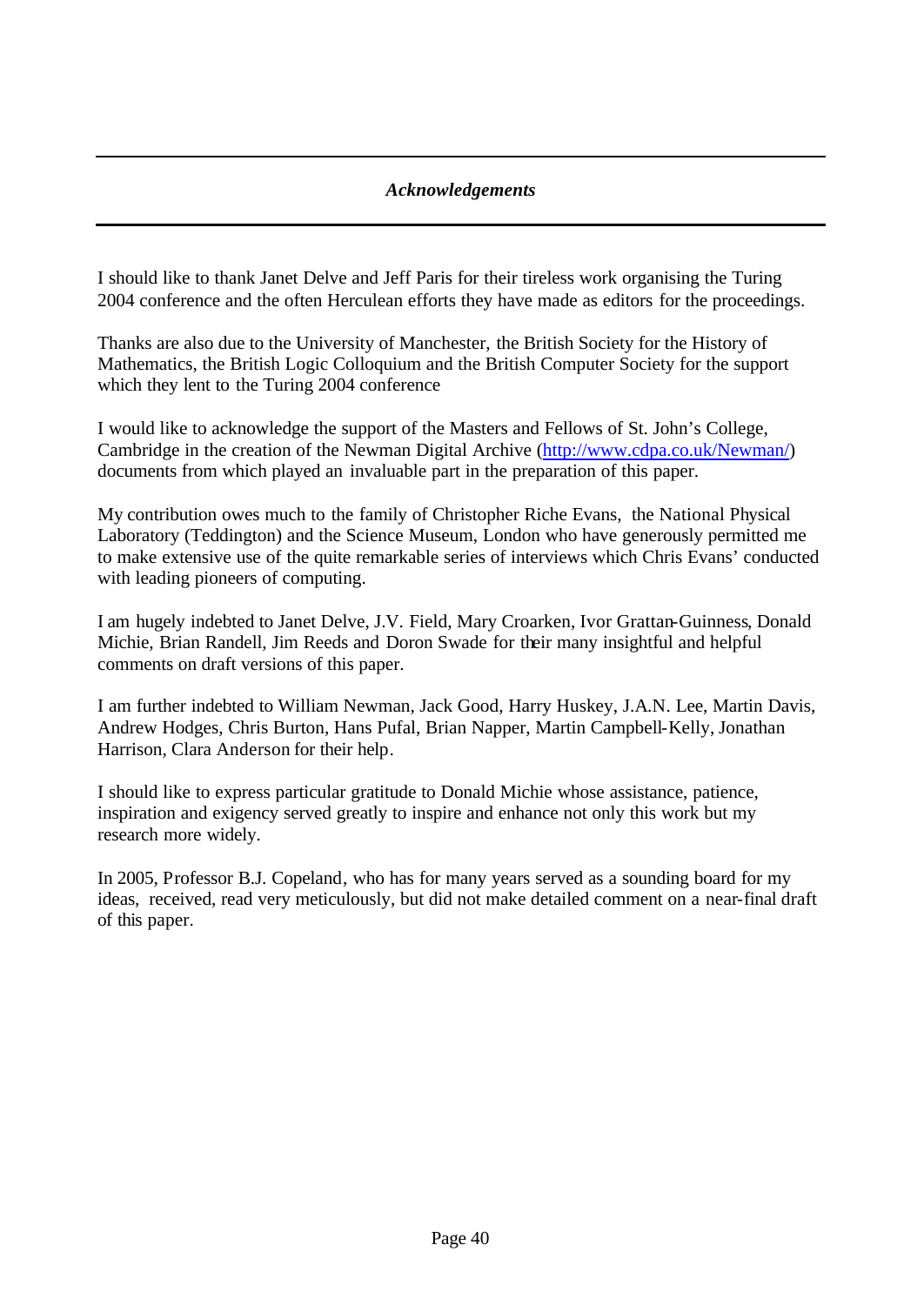#### *Acknowledgements*

I should like to thank Janet Delve and Jeff Paris for their tireless work organising the Turing 2004 conference and the often Herculean efforts they have made as editors for the proceedings.

Thanks are also due to the University of Manchester, the British Society for the History of Mathematics, the British Logic Colloquium and the British Computer Society for the support which they lent to the Turing 2004 conference

I would like to acknowledge the support of the Masters and Fellows of St. John's College, Cambridge in the creation of the Newman Digital Archive (http://www.cdpa.co.uk/Newman/) documents from which played an invaluable part in the preparation of this paper.

My contribution owes much to the family of Christopher Riche Evans, the National Physical Laboratory (Teddington) and the Science Museum, London who have generously permitted me to make extensive use of the quite remarkable series of interviews which Chris Evans' conducted with leading pioneers of computing.

I am hugely indebted to Janet Delve, J.V. Field, Mary Croarken, Ivor Grattan-Guinness, Donald Michie, Brian Randell, Jim Reeds and Doron Swade for their many insightful and helpful comments on draft versions of this paper.

I am further indebted to William Newman, Jack Good, Harry Huskey, J.A.N. Lee, Martin Davis, Andrew Hodges, Chris Burton, Hans Pufal, Brian Napper, Martin Campbell-Kelly, Jonathan Harrison, Clara Anderson for their help.

I should like to express particular gratitude to Donald Michie whose assistance, patience, inspiration and exigency served greatly to inspire and enhance not only this work but my research more widely.

In 2005, Professor B.J. Copeland, who has for many years served as a sounding board for my ideas, received, read very meticulously, but did not make detailed comment on a near-final draft of this paper.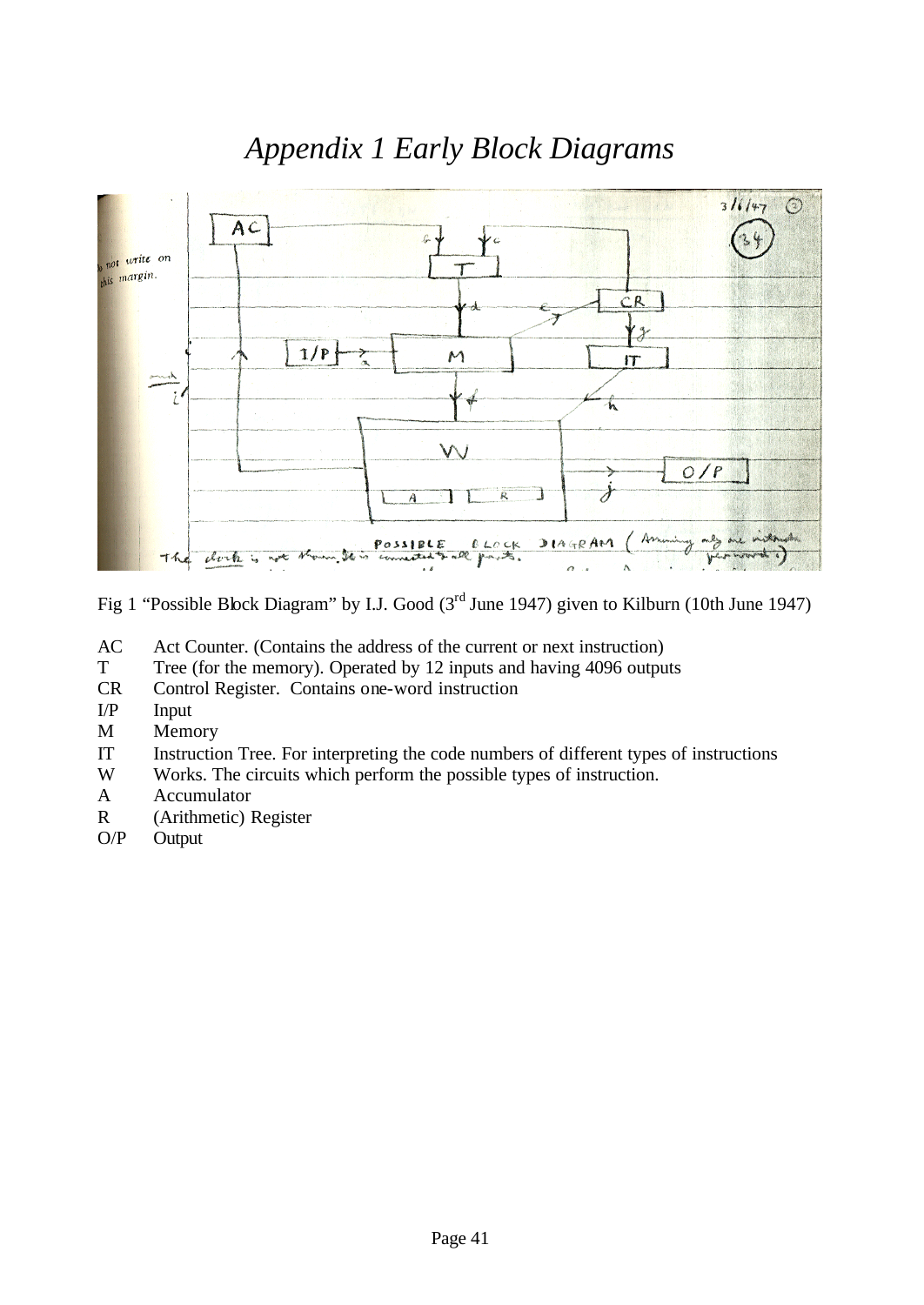# *Appendix 1 Early Block Diagrams*



Fig 1 "Possible Block Diagram" by I.J. Good (3<sup>rd</sup> June 1947) given to Kilburn (10th June 1947)

- AC Act Counter. (Contains the address of the current or next instruction)
- T Tree (for the memory). Operated by 12 inputs and having 4096 outputs
- CR Control Register. Contains one-word instruction
- I/P Input
- M Memory
- IT Instruction Tree. For interpreting the code numbers of different types of instructions
- W Works. The circuits which perform the possible types of instruction.
- A Accumulator
- R (Arithmetic) Register
- O/P Output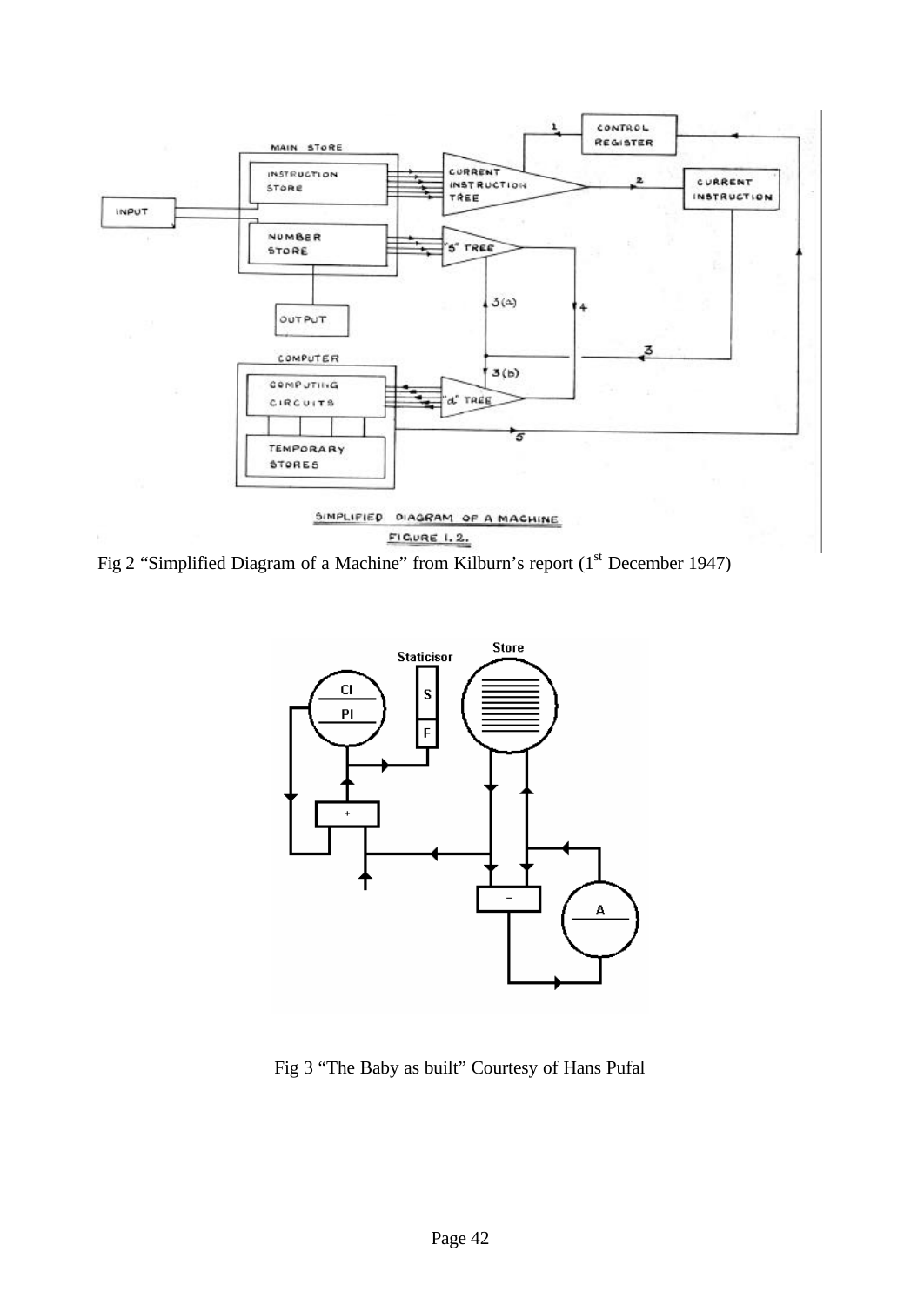

Fig 2 "Simplified Diagram of a Machine" from Kilburn's report (1<sup>st</sup> December 1947)



Fig 3 "The Baby as built" Courtesy of Hans Pufal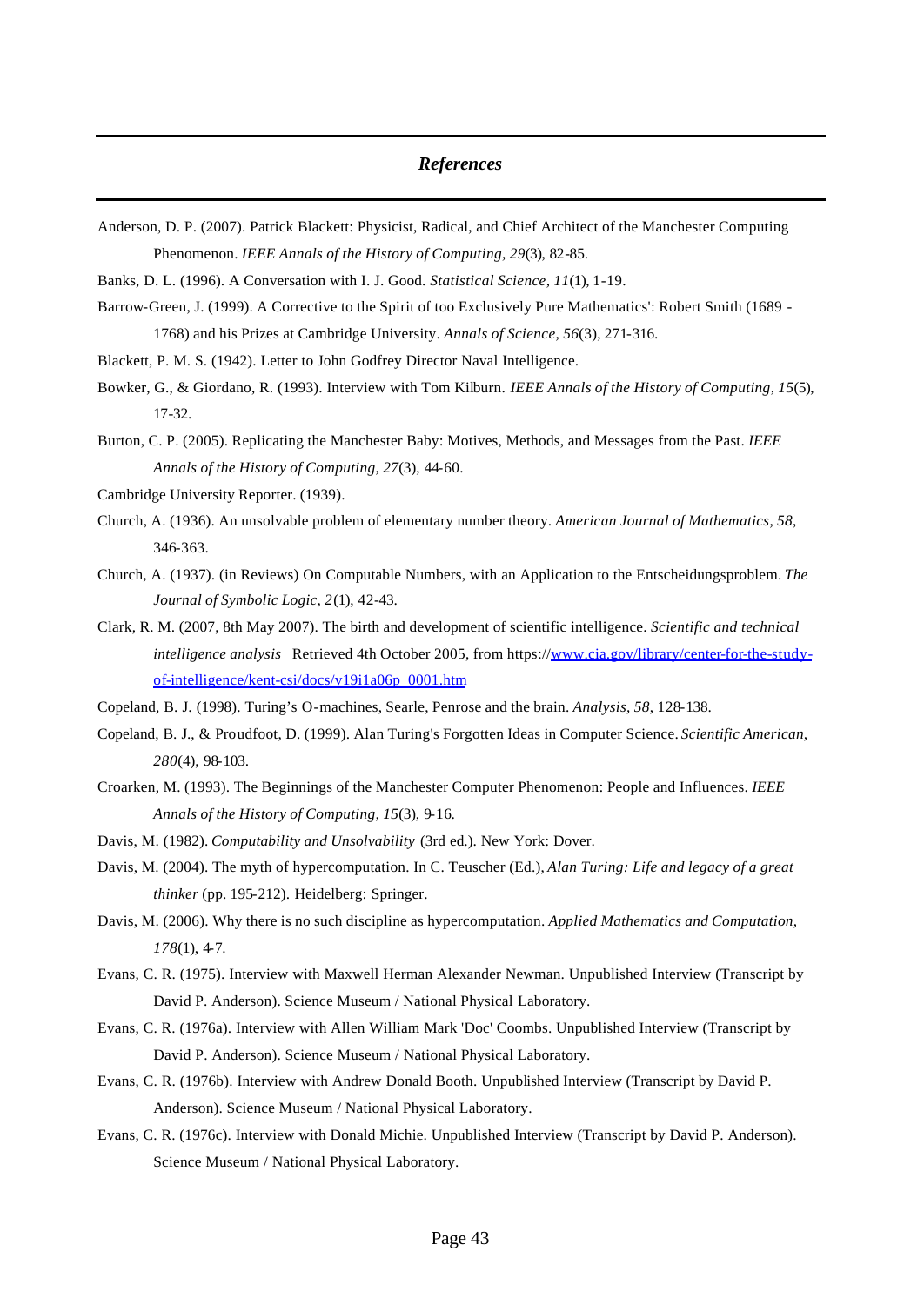#### *References*

- Anderson, D. P. (2007). Patrick Blackett: Physicist, Radical, and Chief Architect of the Manchester Computing Phenomenon. *IEEE Annals of the History of Computing, 29*(3), 82-85.
- Banks, D. L. (1996). A Conversation with I. J. Good. *Statistical Science, 11*(1), 1-19.
- Barrow-Green, J. (1999). A Corrective to the Spirit of too Exclusively Pure Mathematics': Robert Smith (1689 1768) and his Prizes at Cambridge University. *Annals of Science, 56*(3), 271-316.
- Blackett, P. M. S. (1942). Letter to John Godfrey Director Naval Intelligence.
- Bowker, G., & Giordano, R. (1993). Interview with Tom Kilburn. *IEEE Annals of the History of Computing, 15*(5), 17-32.
- Burton, C. P. (2005). Replicating the Manchester Baby: Motives, Methods, and Messages from the Past. *IEEE Annals of the History of Computing, 27*(3), 44-60.
- Cambridge University Reporter. (1939).
- Church, A. (1936). An unsolvable problem of elementary number theory. *American Journal of Mathematics, 58*, 346-363.
- Church, A. (1937). (in Reviews) On Computable Numbers, with an Application to the Entscheidungsproblem. *The Journal of Symbolic Logic, 2*(1), 42-43.
- Clark, R. M. (2007, 8th May 2007). The birth and development of scientific intelligence. *Scientific and technical intelligence analysis* Retrieved 4th October 2005, from https://www.cia.gov/library/center-for-the-studyof-intelligence/kent-csi/docs/v19i1a06p\_0001.htm
- Copeland, B. J. (1998). Turing's O-machines, Searle, Penrose and the brain. *Analysis, 58*, 128-138.
- Copeland, B. J., & Proudfoot, D. (1999). Alan Turing's Forgotten Ideas in Computer Science. *Scientific American, 280*(4), 98-103.
- Croarken, M. (1993). The Beginnings of the Manchester Computer Phenomenon: People and Influences. *IEEE Annals of the History of Computing, 15*(3), 9-16.
- Davis, M. (1982). *Computability and Unsolvability* (3rd ed.). New York: Dover.
- Davis, M. (2004). The myth of hypercomputation. In C. Teuscher (Ed.), *Alan Turing: Life and legacy of a great thinker* (pp. 195-212). Heidelberg: Springer.
- Davis, M. (2006). Why there is no such discipline as hypercomputation. *Applied Mathematics and Computation, 178*(1), 4-7.
- Evans, C. R. (1975). Interview with Maxwell Herman Alexander Newman. Unpublished Interview (Transcript by David P. Anderson). Science Museum / National Physical Laboratory.
- Evans, C. R. (1976a). Interview with Allen William Mark 'Doc' Coombs. Unpublished Interview (Transcript by David P. Anderson). Science Museum / National Physical Laboratory.
- Evans, C. R. (1976b). Interview with Andrew Donald Booth. Unpublished Interview (Transcript by David P. Anderson). Science Museum / National Physical Laboratory.
- Evans, C. R. (1976c). Interview with Donald Michie. Unpublished Interview (Transcript by David P. Anderson). Science Museum / National Physical Laboratory.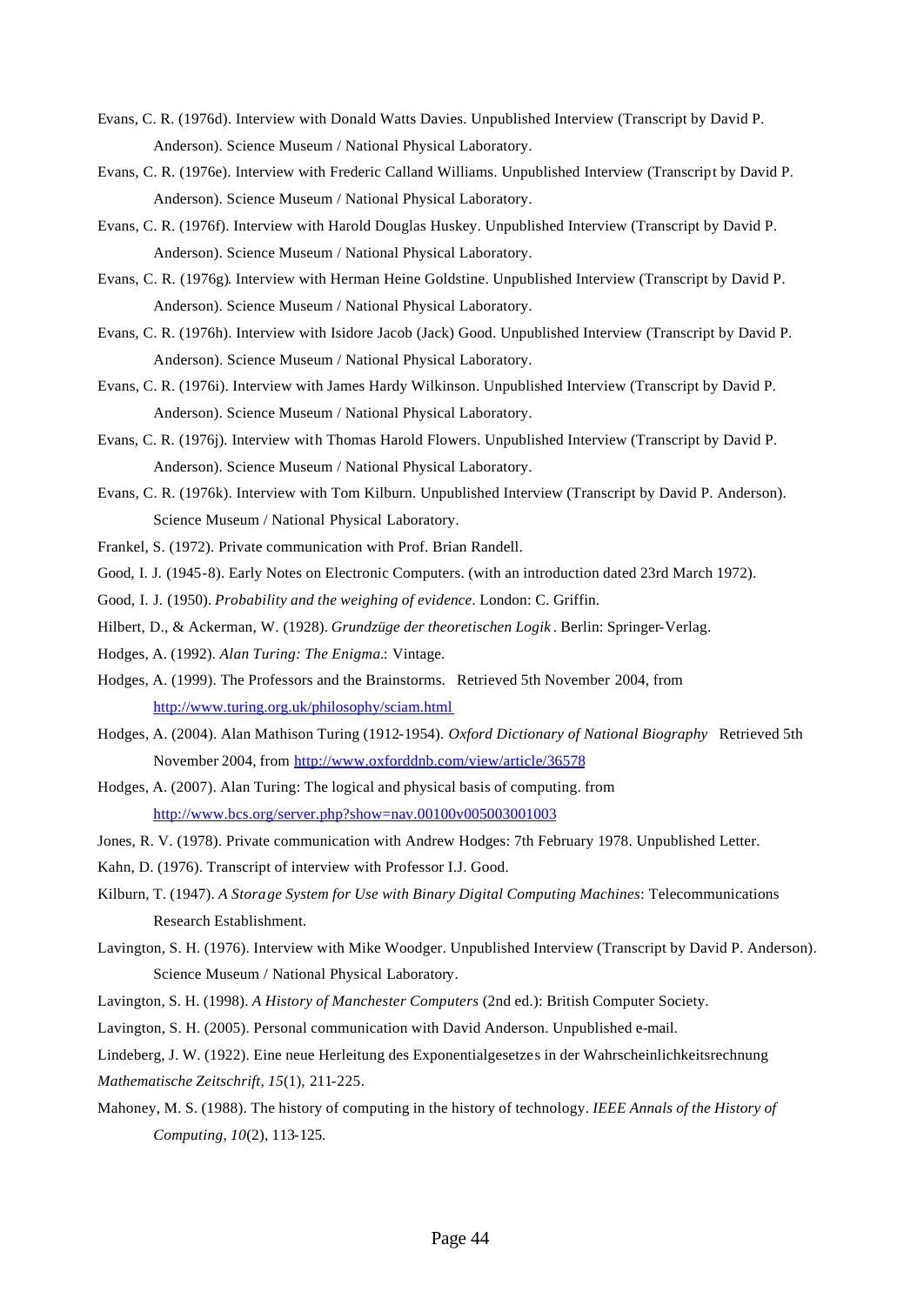- Evans, C. R. (1976d). Interview with Donald Watts Davies. Unpublished Interview (Transcript by David P. Anderson). Science Museum / National Physical Laboratory.
- Evans, C. R. (1976e). Interview with Frederic Calland Williams. Unpublished Interview (Transcript by David P. Anderson). Science Museum / National Physical Laboratory.
- Evans, C. R. (1976f). Interview with Harold Douglas Huskey. Unpublished Interview (Transcript by David P. Anderson). Science Museum / National Physical Laboratory.
- Evans, C. R. (1976g). Interview with Herman Heine Goldstine. Unpublished Interview (Transcript by David P. Anderson). Science Museum / National Physical Laboratory.
- Evans, C. R. (1976h). Interview with Isidore Jacob (Jack) Good. Unpublished Interview (Transcript by David P. Anderson). Science Museum / National Physical Laboratory.
- Evans, C. R. (1976i). Interview with James Hardy Wilkinson. Unpublished Interview (Transcript by David P. Anderson). Science Museum / National Physical Laboratory.
- Evans, C. R. (1976j). Interview with Thomas Harold Flowers. Unpublished Interview (Transcript by David P. Anderson). Science Museum / National Physical Laboratory.
- Evans, C. R. (1976k). Interview with Tom Kilburn. Unpublished Interview (Transcript by David P. Anderson). Science Museum / National Physical Laboratory.
- Frankel, S. (1972). Private communication with Prof. Brian Randell.
- Good, I. J. (1945-8). Early Notes on Electronic Computers. (with an introduction dated 23rd March 1972).
- Good, I. J. (1950). *Probability and the weighing of evidence*. London: C. Griffin.
- Hilbert, D., & Ackerman, W. (1928). *Grundzüge der theoretischen Logik* . Berlin: Springer-Verlag.
- Hodges, A. (1992). *Alan Turing: The Enigma.*: Vintage.
- Hodges, A. (1999). The Professors and the Brainstorms. Retrieved 5th November 2004, from http://www.turing.org.uk/philosophy/sciam.html
- Hodges, A. (2004). Alan Mathison Turing (1912-1954). *Oxford Dictionary of National Biography* Retrieved 5th November 2004, from http://www.oxforddnb.com/view/article/36578
- Hodges, A. (2007). Alan Turing: The logical and physical basis of computing. from http://www.bcs.org/server.php?show=nav.00100v005003001003
- Jones, R. V. (1978). Private communication with Andrew Hodges: 7th February 1978. Unpublished Letter.
- Kahn, D. (1976). Transcript of interview with Professor I.J. Good.
- Kilburn, T. (1947). *A Storage System for Use with Binary Digital Computing Machines*: Telecommunications Research Establishment.
- Lavington, S. H. (1976). Interview with Mike Woodger. Unpublished Interview (Transcript by David P. Anderson). Science Museum / National Physical Laboratory.
- Lavington, S. H. (1998). *A History of Manchester Computers* (2nd ed.): British Computer Society.
- Lavington, S. H. (2005). Personal communication with David Anderson. Unpublished e-mail.

Lindeberg, J. W. (1922). Eine neue Herleitung des Exponentialgesetzes in der Wahrscheinlichkeitsrechnung *Mathematische Zeitschrift, 15*(1), 211-225.

Mahoney, M. S. (1988). The history of computing in the history of technology. *IEEE Annals of the History of Computing, 10*(2), 113-125.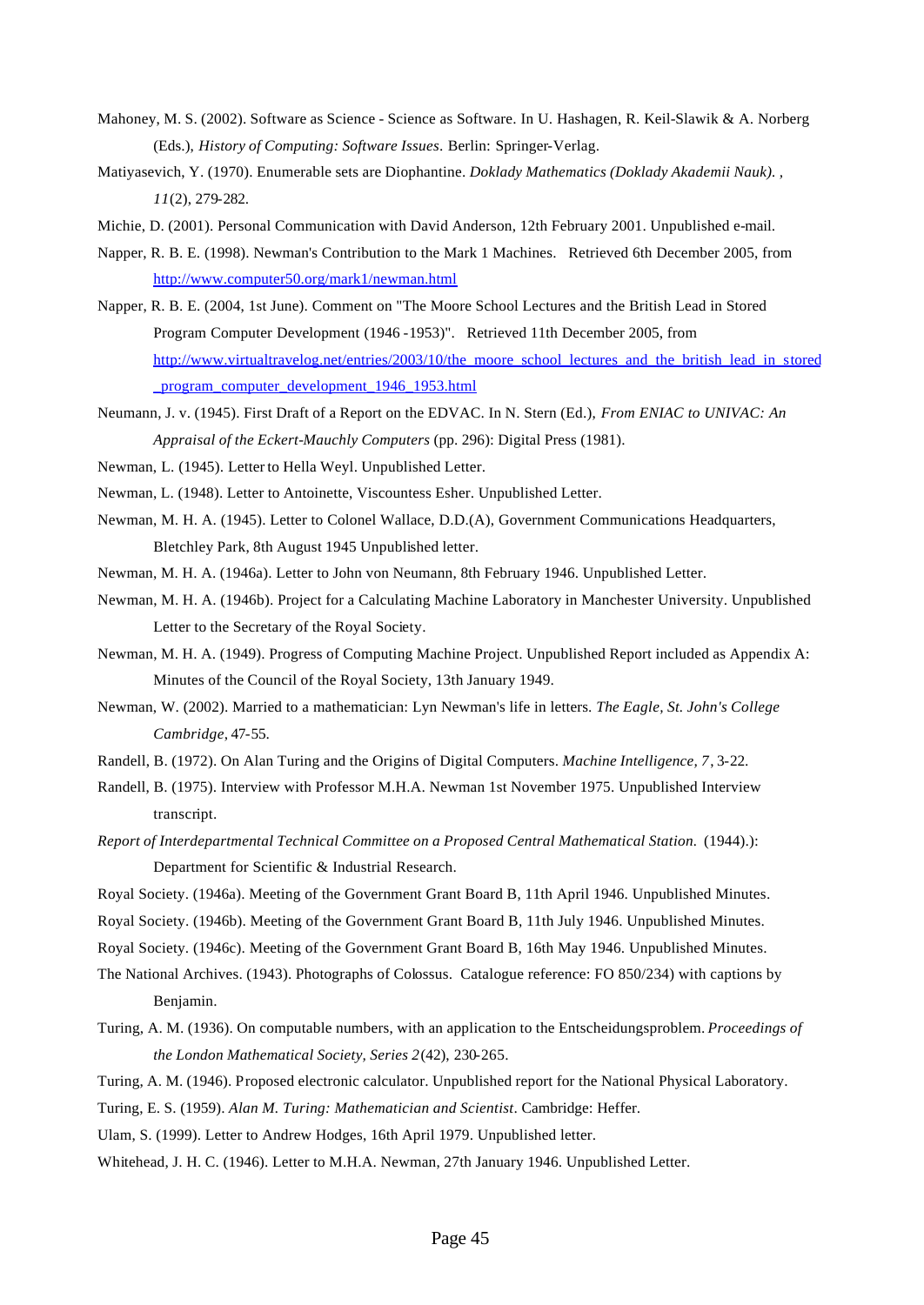- Mahoney, M. S. (2002). Software as Science Science as Software. In U. Hashagen, R. Keil-Slawik & A. Norberg (Eds.), *History of Computing: Software Issues*. Berlin: Springer-Verlag.
- Matiyasevich, Y. (1970). Enumerable sets are Diophantine. *Doklady Mathematics (Doklady Akademii Nauk). , 11*(2), 279-282.
- Michie, D. (2001). Personal Communication with David Anderson, 12th February 2001. Unpublished e-mail.
- Napper, R. B. E. (1998). Newman's Contribution to the Mark 1 Machines. Retrieved 6th December 2005, from http://www.computer50.org/mark1/newman.html
- Napper, R. B. E. (2004, 1st June). Comment on "The Moore School Lectures and the British Lead in Stored Program Computer Development (1946 -1953)". Retrieved 11th December 2005, from http://www.virtualtravelog.net/entries/2003/10/the\_moore\_school\_lectures\_and\_the\_british\_lead\_in\_stored \_program\_computer\_development\_1946\_1953.html
- Neumann, J. v. (1945). First Draft of a Report on the EDVAC. In N. Stern (Ed.), *From ENIAC to UNIVAC: An Appraisal of the Eckert-Mauchly Computers* (pp. 296): Digital Press (1981).
- Newman, L. (1945). Letter to Hella Weyl. Unpublished Letter.
- Newman, L. (1948). Letter to Antoinette, Viscountess Esher. Unpublished Letter.
- Newman, M. H. A. (1945). Letter to Colonel Wallace, D.D.(A), Government Communications Headquarters, Bletchley Park, 8th August 1945 Unpublished letter.
- Newman, M. H. A. (1946a). Letter to John von Neumann, 8th February 1946. Unpublished Letter.
- Newman, M. H. A. (1946b). Project for a Calculating Machine Laboratory in Manchester University. Unpublished Letter to the Secretary of the Royal Society.
- Newman, M. H. A. (1949). Progress of Computing Machine Project. Unpublished Report included as Appendix A: Minutes of the Council of the Royal Society, 13th January 1949.
- Newman, W. (2002). Married to a mathematician: Lyn Newman's life in letters. *The Eagle, St. John's College Cambridge*, 47-55.
- Randell, B. (1972). On Alan Turing and the Origins of Digital Computers. *Machine Intelligence, 7*, 3-22.
- Randell, B. (1975). Interview with Professor M.H.A. Newman 1st November 1975. Unpublished Interview transcript.
- *Report of Interdepartmental Technical Committee on a Proposed Central Mathematical Station.* (1944).): Department for Scientific & Industrial Research.
- Royal Society. (1946a). Meeting of the Government Grant Board B, 11th April 1946. Unpublished Minutes.
- Royal Society. (1946b). Meeting of the Government Grant Board B, 11th July 1946. Unpublished Minutes.
- Royal Society. (1946c). Meeting of the Government Grant Board B, 16th May 1946. Unpublished Minutes.
- The National Archives. (1943). Photographs of Colossus. Catalogue reference: FO 850/234) with captions by Benjamin.
- Turing, A. M. (1936). On computable numbers, with an application to the Entscheidungsproblem. *Proceedings of the London Mathematical Society, Series 2*(42), 230-265.
- Turing, A. M. (1946). Proposed electronic calculator. Unpublished report for the National Physical Laboratory.
- Turing, E. S. (1959). *Alan M. Turing: Mathematician and Scientist*. Cambridge: Heffer.
- Ulam, S. (1999). Letter to Andrew Hodges, 16th April 1979. Unpublished letter.
- Whitehead, J. H. C. (1946). Letter to M.H.A. Newman, 27th January 1946. Unpublished Letter.